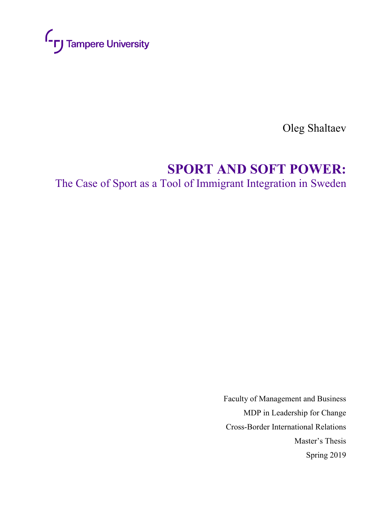

Oleg Shaltaev

# **SPORT AND SOFT POWER:**

The Case of Sport as a Tool of Immigrant Integration in Sweden

Faculty of Management and Business MDP in Leadership for Change Cross-Border International Relations Master's Thesis Spring 2019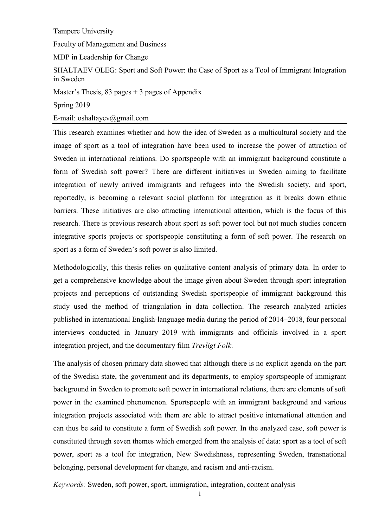## Tampere University

Faculty of Management and Business

MDP in Leadership for Change

SHALTAEV OLEG: Sport and Soft Power: the Case of Sport as a Tool of Immigrant Integration in Sweden

Master's Thesis, 83 pages  $+$  3 pages of Appendix

Spring 2019

E-mail: oshaltayev@gmail.com

This research examines whether and how the idea of Sweden as a multicultural society and the image of sport as a tool of integration have been used to increase the power of attraction of Sweden in international relations. Do sportspeople with an immigrant background constitute a form of Swedish soft power? There are different initiatives in Sweden aiming to facilitate integration of newly arrived immigrants and refugees into the Swedish society, and sport, reportedly, is becoming a relevant social platform for integration as it breaks down ethnic barriers. These initiatives are also attracting international attention, which is the focus of this research. There is previous research about sport as soft power tool but not much studies concern integrative sports projects or sportspeople constituting a form of soft power. The research on sport as a form of Sweden's soft power is also limited.

Methodologically, this thesis relies on qualitative content analysis of primary data. In order to get a comprehensive knowledge about the image given about Sweden through sport integration projects and perceptions of outstanding Swedish sportspeople of immigrant background this study used the method of triangulation in data collection. The research analyzed articles published in international English-language media during the period of 2014–2018, four personal interviews conducted in January 2019 with immigrants and officials involved in a sport integration project, and the documentary film *Trevligt Folk*.

The analysis of chosen primary data showed that although there is no explicit agenda on the part of the Swedish state, the government and its departments, to employ sportspeople of immigrant background in Sweden to promote soft power in international relations, there are elements of soft power in the examined phenomenon. Sportspeople with an immigrant background and various integration projects associated with them are able to attract positive international attention and can thus be said to constitute a form of Swedish soft power. In the analyzed case, soft power is constituted through seven themes which emerged from the analysis of data: sport as a tool of soft power, sport as a tool for integration, New Swedishness, representing Sweden, transnational belonging, personal development for change, and racism and anti-racism.

*Keywords:* Sweden, soft power, sport, immigration, integration, content analysis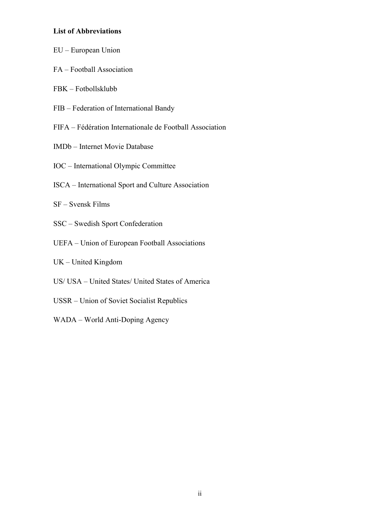## **List of Abbreviations**

- EU European Union
- FA Football Association
- FBK Fotbollsklubb
- FIB Federation of International Bandy
- FIFA Fédération Internationale de Football Association
- IMDb Internet Movie Database
- IOC International Olympic Committee
- ISCA International Sport and Culture Association
- SF Svensk Films
- SSC Swedish Sport Confederation
- UEFA Union of European Football Associations
- UK United Kingdom
- US/ USA United States/ United States of America
- USSR Union of Soviet Socialist Republics
- WADA World Anti-Doping Agency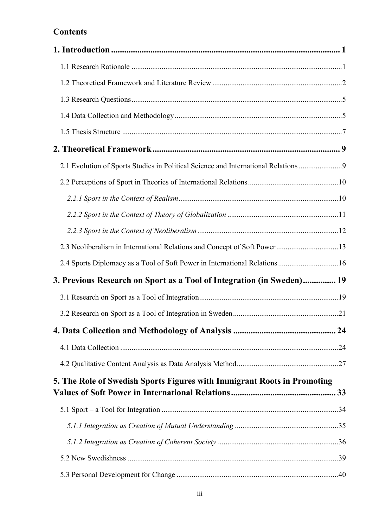## **Contents**

| 2.1 Evolution of Sports Studies in Political Science and International Relations 9 |  |
|------------------------------------------------------------------------------------|--|
|                                                                                    |  |
|                                                                                    |  |
|                                                                                    |  |
|                                                                                    |  |
| 2.3 Neoliberalism in International Relations and Concept of Soft Power13           |  |
| 2.4 Sports Diplomacy as a Tool of Soft Power in International Relations16          |  |
| 3. Previous Research on Sport as a Tool of Integration (in Sweden) 19              |  |
|                                                                                    |  |
|                                                                                    |  |
|                                                                                    |  |
|                                                                                    |  |
|                                                                                    |  |
| 5. The Role of Swedish Sports Figures with Immigrant Roots in Promoting            |  |
|                                                                                    |  |
|                                                                                    |  |
|                                                                                    |  |
|                                                                                    |  |
|                                                                                    |  |
|                                                                                    |  |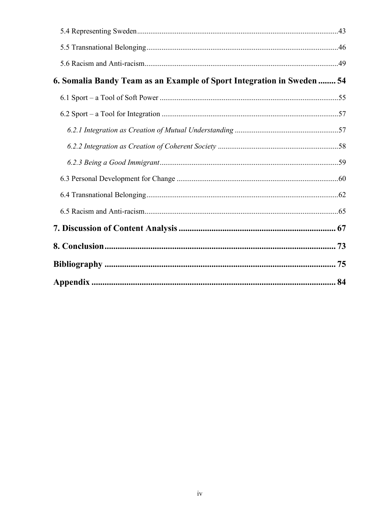| 6. Somalia Bandy Team as an Example of Sport Integration in Sweden  54 |  |
|------------------------------------------------------------------------|--|
|                                                                        |  |
|                                                                        |  |
|                                                                        |  |
|                                                                        |  |
|                                                                        |  |
|                                                                        |  |
|                                                                        |  |
|                                                                        |  |
|                                                                        |  |
|                                                                        |  |
|                                                                        |  |
|                                                                        |  |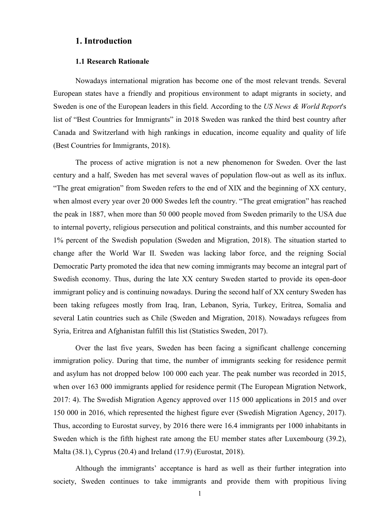## <span id="page-5-0"></span>**1. Introduction**

#### **1.1 Research Rationale**

<span id="page-5-1"></span>Nowadays international migration has become one of the most relevant trends. Several European states have a friendly and propitious environment to adapt migrants in society, and Sweden is one of the European leaders in this field. According to the *US News & World Report*'s list of "Best Countries for Immigrants" in 2018 Sweden was ranked the third best country after Canada and Switzerland with high rankings in education, income equality and quality of life (Best Countries for Immigrants, 2018).

The process of active migration is not a new phenomenon for Sweden. Over the last century and a half, Sweden has met several waves of population flow-out as well as its influx. "The great emigration" from Sweden refers to the end of XIX and the beginning of XX century, when almost every year over 20 000 Swedes left the country. "The great emigration" has reached the peak in 1887, when more than 50 000 people moved from Sweden primarily to the USA due to internal poverty, religious persecution and political constraints, and this number accounted for 1% percent of the Swedish population (Sweden and Migration, 2018). The situation started to change after the World War II. Sweden was lacking labor force, and the reigning Social Democratic Party promoted the idea that new coming immigrants may become an integral part of Swedish economy. Thus, during the late XX century Sweden started to provide its open-door immigrant policy and is continuing nowadays. During the second half of XX century Sweden has been taking refugees mostly from Iraq, Iran, Lebanon, Syria, Turkey, Eritrea, Somalia and several Latin countries such as Chile (Sweden and Migration, 2018). Nowadays refugees from Syria, Eritrea and Afghanistan fulfill this list (Statistics Sweden, 2017).

Over the last five years, Sweden has been facing a significant challenge concerning immigration policy. During that time, the number of immigrants seeking for residence permit and asylum has not dropped below 100 000 each year. The peak number was recorded in 2015, when over 163 000 immigrants applied for residence permit (The European Migration Network, 2017: 4). The Swedish Migration Agency approved over 115 000 applications in 2015 and over 150 000 in 2016, which represented the highest figure ever (Swedish Migration Agency, 2017). Thus, according to Eurostat survey, by 2016 there were 16.4 immigrants per 1000 inhabitants in Sweden which is the fifth highest rate among the EU member states after Luxembourg (39.2), Malta (38.1), Cyprus (20.4) and Ireland (17.9) (Eurostat, 2018).

Although the immigrants' acceptance is hard as well as their further integration into society, Sweden continues to take immigrants and provide them with propitious living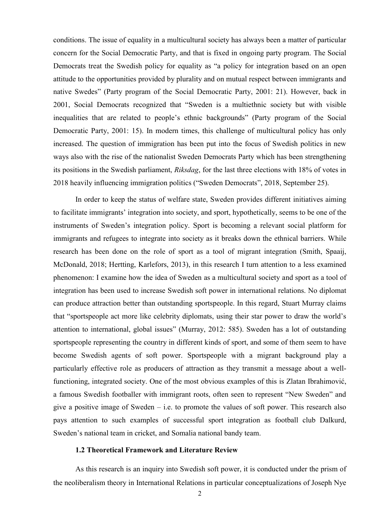conditions. The issue of equality in a multicultural society has always been a matter of particular concern for the Social Democratic Party, and that is fixed in ongoing party program. The Social Democrats treat the Swedish policy for equality as "a policy for integration based on an open attitude to the opportunities provided by plurality and on mutual respect between immigrants and native Swedes" (Party program of the Social Democratic Party, 2001: 21). However, back in 2001, Social Democrats recognized that "Sweden is a multiethnic society but with visible inequalities that are related to people's ethnic backgrounds‖ (Party program of the Social Democratic Party, 2001: 15). In modern times, this challenge of multicultural policy has only increased. The question of immigration has been put into the focus of Swedish politics in new ways also with the rise of the nationalist Sweden Democrats Party which has been strengthening its positions in the Swedish parliament, *Riksdag*, for the last three elections with 18% of votes in 2018 heavily influencing immigration politics ("Sweden Democrats", 2018, September 25).

In order to keep the status of welfare state, Sweden provides different initiatives aiming to facilitate immigrants' integration into society, and sport, hypothetically, seems to be one of the instruments of Sweden's integration policy. Sport is becoming a relevant social platform for immigrants and refugees to integrate into society as it breaks down the ethnical barriers. While research has been done on the role of sport as a tool of migrant integration (Smith, Spaaij, McDonald, 2018; Hertting, Karlefors, 2013), in this research I turn attention to a less examined phenomenon: I examine how the idea of Sweden as a multicultural society and sport as a tool of integration has been used to increase Swedish soft power in international relations. No diplomat can produce attraction better than outstanding sportspeople. In this regard, Stuart Murray claims that "sportspeople act more like celebrity diplomats, using their star power to draw the world's attention to international, global issues" (Murray, 2012: 585). Sweden has a lot of outstanding sportspeople representing the country in different kinds of sport, and some of them seem to have become Swedish agents of soft power. Sportspeople with a migrant background play a particularly effective role as producers of attraction as they transmit a message about a wellfunctioning, integrated society. One of the most obvious examples of this is Zlatan Ibrahimović, a famous Swedish footballer with immigrant roots, often seen to represent "New Sweden" and give a positive image of Sweden – i.e. to promote the values of soft power. This research also pays attention to such examples of successful sport integration as football club Dalkurd, Sweden's national team in cricket, and Somalia national bandy team.

## **1.2 Theoretical Framework and Literature Review**

<span id="page-6-0"></span>As this research is an inquiry into Swedish soft power, it is conducted under the prism of the neoliberalism theory in International Relations in particular conceptualizations of Joseph Nye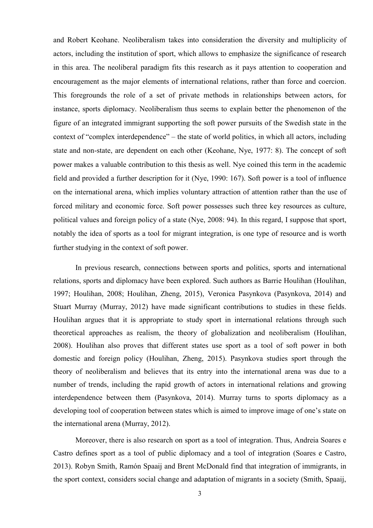and Robert Keohane. Neoliberalism takes into consideration the diversity and multiplicity of actors, including the institution of sport, which allows to emphasize the significance of research in this area. The neoliberal paradigm fits this research as it pays attention to cooperation and encouragement as the major elements of international relations, rather than force and coercion. This foregrounds the role of a set of private methods in relationships between actors, for instance, sports diplomacy. Neoliberalism thus seems to explain better the phenomenon of the figure of an integrated immigrant supporting the soft power pursuits of the Swedish state in the context of "complex interdependence" – the state of world politics, in which all actors, including state and non-state, are dependent on each other (Keohane, Nye, 1977: 8). The concept of soft power makes a valuable contribution to this thesis as well. Nye coined this term in the academic field and provided a further description for it (Nye, 1990: 167). Soft power is a tool of influence on the international arena, which implies voluntary attraction of attention rather than the use of forced military and economic force. Soft power possesses such three key resources as culture, political values and foreign policy of a state (Nye, 2008: 94). In this regard, I suppose that sport, notably the idea of sports as a tool for migrant integration, is one type of resource and is worth further studying in the context of soft power.

In previous research, connections between sports and politics, sports and international relations, sports and diplomacy have been explored. Such authors as Barrie Houlihan (Houlihan, 1997; Houlihan, 2008; Houlihan, Zheng, 2015), Veronica Pasynkova (Pasynkova, 2014) and Stuart Murray (Murray, 2012) have made significant contributions to studies in these fields. Houlihan argues that it is appropriate to study sport in international relations through such theoretical approaches as realism, the theory of globalization and neoliberalism (Houlihan, 2008). Houlihan also proves that different states use sport as a tool of soft power in both domestic and foreign policy (Houlihan, Zheng, 2015). Pasynkova studies sport through the theory of neoliberalism and believes that its entry into the international arena was due to a number of trends, including the rapid growth of actors in international relations and growing interdependence between them (Pasynkova, 2014). Murray turns to sports diplomacy as a developing tool of cooperation between states which is aimed to improve image of one's state on the international arena (Murray, 2012).

Moreover, there is also research on sport as a tool of integration. Thus, Andreia Soares e Castro defines sport as a tool of public diplomacy and a tool of integration (Soares e Castro, 2013). Robyn Smith, Ramón Spaaij and Brent McDonald find that integration of immigrants, in the sport context, considers social change and adaptation of migrants in a society (Smith, Spaaij,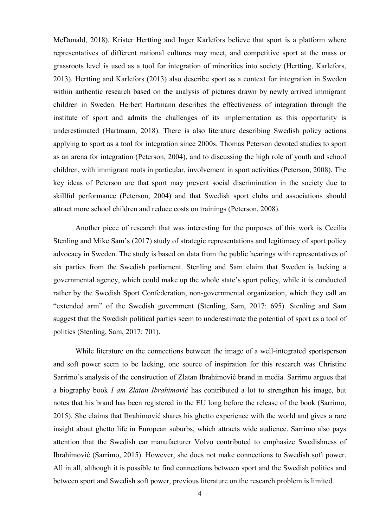McDonald, 2018). Krister Hertting and Inger Karlefors believe that sport is a platform where representatives of different national cultures may meet, and competitive sport at the mass or grassroots level is used as a tool for integration of minorities into society (Hertting, Karlefors, 2013). Hertting and Karlefors (2013) also describe sport as a context for integration in Sweden within authentic research based on the analysis of pictures drawn by newly arrived immigrant children in Sweden. Herbert Hartmann describes the effectiveness of integration through the institute of sport and admits the challenges of its implementation as this opportunity is underestimated (Hartmann, 2018). There is also literature describing Swedish policy actions applying to sport as a tool for integration since 2000s. Thomas Peterson devoted studies to sport as an arena for integration (Peterson, 2004), and to discussing the high role of youth and school children, with immigrant roots in particular, involvement in sport activities (Peterson, 2008). The key ideas of Peterson are that sport may prevent social discrimination in the society due to skillful performance (Peterson, 2004) and that Swedish sport clubs and associations should attract more school children and reduce costs on trainings (Peterson, 2008).

Another piece of research that was interesting for the purposes of this work is Cecilia Stenling and Mike Sam's (2017) study of strategic representations and legitimacy of sport policy advocacy in Sweden. The study is based on data from the public hearings with representatives of six parties from the Swedish parliament. Stenling and Sam claim that Sweden is lacking a governmental agency, which could make up the whole state's sport policy, while it is conducted rather by the Swedish Sport Confederation, non-governmental organization, which they call an "extended arm" of the Swedish government (Stenling, Sam, 2017: 695). Stenling and Sam suggest that the Swedish political parties seem to underestimate the potential of sport as a tool of politics (Stenling, Sam, 2017: 701).

While literature on the connections between the image of a well-integrated sportsperson and soft power seem to be lacking, one source of inspiration for this research was Christine Sarrimo's analysis of the construction of Zlatan Ibrahimović brand in media. Sarrimo argues that a biography book *I am Zlatan Ibrahimović* has contributed a lot to strengthen his image, but notes that his brand has been registered in the EU long before the release of the book (Sarrimo, 2015). She claims that Ibrahimović shares his ghetto experience with the world and gives a rare insight about ghetto life in European suburbs, which attracts wide audience. Sarrimo also pays attention that the Swedish car manufacturer Volvo contributed to emphasize Swedishness of Ibrahimović (Sarrimo, 2015). However, she does not make connections to Swedish soft power. All in all, although it is possible to find connections between sport and the Swedish politics and between sport and Swedish soft power, previous literature on the research problem is limited.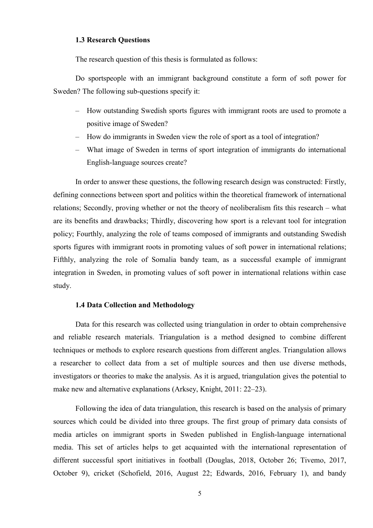## <span id="page-9-0"></span>**1.3 Research Questions**

The research question of this thesis is formulated as follows:

Do sportspeople with an immigrant background constitute a form of soft power for Sweden? The following sub-questions specify it:

- How outstanding Swedish sports figures with immigrant roots are used to promote a positive image of Sweden?
- How do immigrants in Sweden view the role of sport as a tool of integration?
- What image of Sweden in terms of sport integration of immigrants do international English-language sources create?

In order to answer these questions, the following research design was constructed: Firstly, defining connections between sport and politics within the theoretical framework of international relations; Secondly, proving whether or not the theory of neoliberalism fits this research – what are its benefits and drawbacks; Thirdly, discovering how sport is a relevant tool for integration policy; Fourthly, analyzing the role of teams composed of immigrants and outstanding Swedish sports figures with immigrant roots in promoting values of soft power in international relations; Fifthly, analyzing the role of Somalia bandy team, as a successful example of immigrant integration in Sweden, in promoting values of soft power in international relations within case study.

## **1.4 Data Collection and Methodology**

<span id="page-9-1"></span>Data for this research was collected using triangulation in order to obtain comprehensive and reliable research materials. Triangulation is a method designed to combine different techniques or methods to explore research questions from different angles. Triangulation allows a researcher to collect data from a set of multiple sources and then use diverse methods, investigators or theories to make the analysis. As it is argued, triangulation gives the potential to make new and alternative explanations (Arksey, Knight, 2011: 22–23).

Following the idea of data triangulation, this research is based on the analysis of primary sources which could be divided into three groups. The first group of primary data consists of media articles on immigrant sports in Sweden published in English-language international media. This set of articles helps to get acquainted with the international representation of different successful sport initiatives in football (Douglas, 2018, October 26; Tivemo, 2017, October 9), cricket (Schofield, 2016, August 22; Edwards, 2016, February 1), and bandy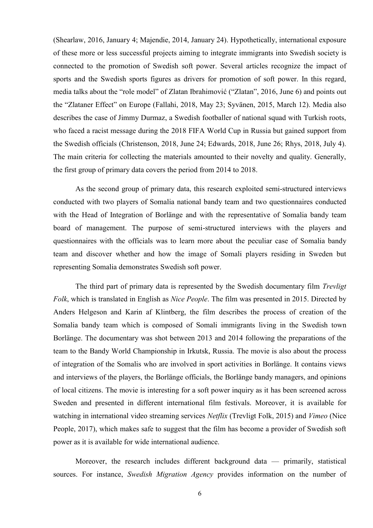(Shearlaw, 2016, January 4; Majendie, 2014, January 24). Hypothetically, international exposure of these more or less successful projects aiming to integrate immigrants into Swedish society is connected to the promotion of Swedish soft power. Several articles recognize the impact of sports and the Swedish sports figures as drivers for promotion of soft power. In this regard, media talks about the "role model" of Zlatan Ibrahimović ("Zlatan", 2016, June 6) and points out the "Zlataner Effect" on Europe (Fallahi, 2018, May 23; Syvänen, 2015, March 12). Media also describes the case of Jimmy Durmaz, a Swedish footballer of national squad with Turkish roots, who faced a racist message during the 2018 FIFA World Cup in Russia but gained support from the Swedish officials (Christenson, 2018, June 24; Edwards, 2018, June 26; Rhys, 2018, July 4). The main criteria for collecting the materials amounted to their novelty and quality. Generally, the first group of primary data covers the period from 2014 to 2018.

As the second group of primary data, this research exploited semi-structured interviews conducted with two players of Somalia national bandy team and two questionnaires conducted with the Head of Integration of Borlänge and with the representative of Somalia bandy team board of management. The purpose of semi-structured interviews with the players and questionnaires with the officials was to learn more about the peculiar case of Somalia bandy team and discover whether and how the image of Somali players residing in Sweden but representing Somalia demonstrates Swedish soft power.

The third part of primary data is represented by the Swedish documentary film *Trevligt Folk*, which is translated in English as *Nice People*. The film was presented in 2015. Directed by Anders Helgeson and Karin af Klintberg, the film describes the process of creation of the Somalia bandy team which is composed of Somali immigrants living in the Swedish town Borlänge. The documentary was shot between 2013 and 2014 following the preparations of the team to the Bandy World Championship in Irkutsk, Russia. The movie is also about the process of integration of the Somalis who are involved in sport activities in Borlänge. It contains views and interviews of the players, the Borlänge officials, the Borlänge bandy managers, and opinions of local citizens. The movie is interesting for a soft power inquiry as it has been screened across Sweden and presented in different international film festivals. Moreover, it is available for watching in international video streaming services *Netflix* (Trevligt Folk, 2015) and *Vimeo* (Nice People, 2017), which makes safe to suggest that the film has become a provider of Swedish soft power as it is available for wide international audience.

Moreover, the research includes different background data — primarily, statistical sources. For instance, *Swedish Migration Agency* provides information on the number of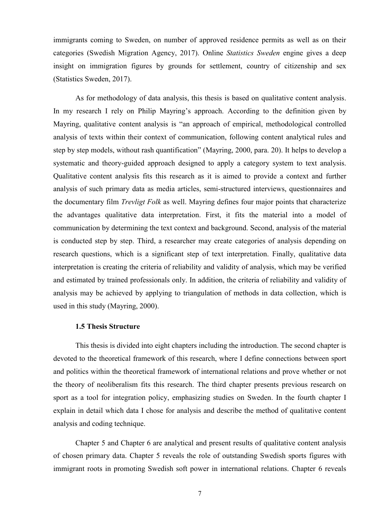immigrants coming to Sweden, on number of approved residence permits as well as on their categories (Swedish Migration Agency, 2017). Online *Statistics Sweden* engine gives a deep insight on immigration figures by grounds for settlement, country of citizenship and sex (Statistics Sweden, 2017).

As for methodology of data analysis, this thesis is based on qualitative content analysis. In my research I rely on Philip Mayring's approach. According to the definition given by Mayring, qualitative content analysis is "an approach of empirical, methodological controlled analysis of texts within their context of communication, following content analytical rules and step by step models, without rash quantification" (Mayring, 2000, para. 20). It helps to develop a systematic and theory-guided approach designed to apply a category system to text analysis. Qualitative content analysis fits this research as it is aimed to provide a context and further analysis of such primary data as media articles, semi-structured interviews, questionnaires and the documentary film *Trevligt Folk* as well. Mayring defines four major points that characterize the advantages qualitative data interpretation. First, it fits the material into a model of communication by determining the text context and background. Second, analysis of the material is conducted step by step. Third, a researcher may create categories of analysis depending on research questions, which is a significant step of text interpretation. Finally, qualitative data interpretation is creating the criteria of reliability and validity of analysis, which may be verified and estimated by trained professionals only. In addition, the criteria of reliability and validity of analysis may be achieved by applying to triangulation of methods in data collection, which is used in this study (Mayring, 2000).

## **1.5 Thesis Structure**

<span id="page-11-0"></span>This thesis is divided into eight chapters including the introduction. The second chapter is devoted to the theoretical framework of this research, where I define connections between sport and politics within the theoretical framework of international relations and prove whether or not the theory of neoliberalism fits this research. The third chapter presents previous research on sport as a tool for integration policy, emphasizing studies on Sweden. In the fourth chapter I explain in detail which data I chose for analysis and describe the method of qualitative content analysis and coding technique.

Chapter 5 and Chapter 6 are analytical and present results of qualitative content analysis of chosen primary data. Chapter 5 reveals the role of outstanding Swedish sports figures with immigrant roots in promoting Swedish soft power in international relations. Chapter 6 reveals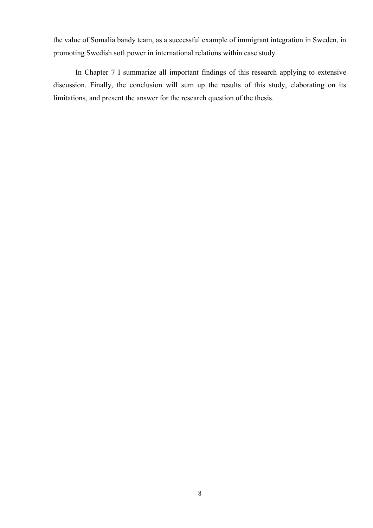the value of Somalia bandy team, as a successful example of immigrant integration in Sweden, in promoting Swedish soft power in international relations within case study.

In Chapter 7 I summarize all important findings of this research applying to extensive discussion. Finally, the conclusion will sum up the results of this study, elaborating on its limitations, and present the answer for the research question of the thesis.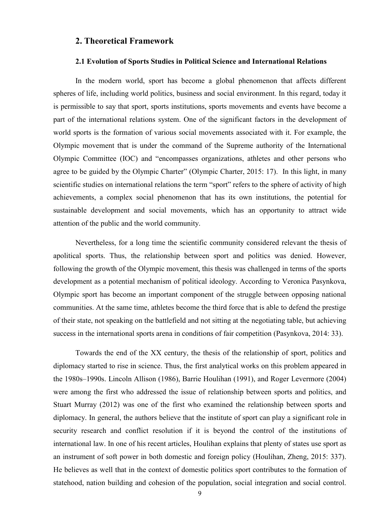## <span id="page-13-0"></span>**2. Theoretical Framework**

#### **2.1 Evolution of Sports Studies in Political Science and International Relations**

<span id="page-13-1"></span>In the modern world, sport has become a global phenomenon that affects different spheres of life, including world politics, business and social environment. In this regard, today it is permissible to say that sport, sports institutions, sports movements and events have become a part of the international relations system. One of the significant factors in the development of world sports is the formation of various social movements associated with it. For example, the Olympic movement that is under the command of the Supreme authority of the International Olympic Committee (IOC) and "encompasses organizations, athletes and other persons who agree to be guided by the Olympic Charter" (Olympic Charter, 2015: 17). In this light, in many scientific studies on international relations the term "sport" refers to the sphere of activity of high achievements, a complex social phenomenon that has its own institutions, the potential for sustainable development and social movements, which has an opportunity to attract wide attention of the public and the world community.

Nevertheless, for a long time the scientific community considered relevant the thesis of apolitical sports. Thus, the relationship between sport and politics was denied. However, following the growth of the Olympic movement, this thesis was challenged in terms of the sports development as a potential mechanism of political ideology. According to Veronica Pasynkova, Olympic sport has become an important component of the struggle between opposing national communities. At the same time, athletes become the third force that is able to defend the prestige of their state, not speaking on the battlefield and not sitting at the negotiating table, but achieving success in the international sports arena in conditions of fair competition (Pasynkova, 2014: 33).

Towards the end of the XX century, the thesis of the relationship of sport, politics and diplomacy started to rise in science. Thus, the first analytical works on this problem appeared in the 1980s–1990s. Lincoln Allison (1986), Barrie Houlihan (1991), and Roger Levermore (2004) were among the first who addressed the issue of relationship between sports and politics, and Stuart Murray (2012) was one of the first who examined the relationship between sports and diplomacy. In general, the authors believe that the institute of sport can play a significant role in security research and conflict resolution if it is beyond the control of the institutions of international law. In one of his recent articles, Houlihan explains that plenty of states use sport as an instrument of soft power in both domestic and foreign policy (Houlihan, Zheng, 2015: 337). He believes as well that in the context of domestic politics sport contributes to the formation of statehood, nation building and cohesion of the population, social integration and social control.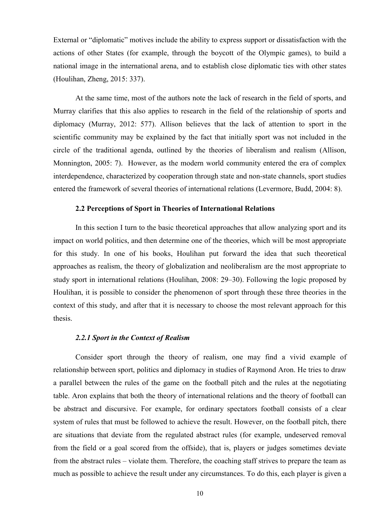External or "diplomatic" motives include the ability to express support or dissatisfaction with the actions of other States (for example, through the boycott of the Olympic games), to build a national image in the international arena, and to establish close diplomatic ties with other states (Houlihan, Zheng, 2015: 337).

At the same time, most of the authors note the lack of research in the field of sports, and Murray clarifies that this also applies to research in the field of the relationship of sports and diplomacy (Murray, 2012: 577). Allison believes that the lack of attention to sport in the scientific community may be explained by the fact that initially sport was not included in the circle of the traditional agenda, outlined by the theories of liberalism and realism (Allison, Monnington, 2005: 7). However, as the modern world community entered the era of complex interdependence, characterized by cooperation through state and non-state channels, sport studies entered the framework of several theories of international relations (Levermore, Budd, 2004: 8).

#### **2.2 Perceptions of Sport in Theories of International Relations**

<span id="page-14-0"></span>In this section I turn to the basic theoretical approaches that allow analyzing sport and its impact on world politics, and then determine one of the theories, which will be most appropriate for this study. In one of his books, Houlihan put forward the idea that such theoretical approaches as realism, the theory of globalization and neoliberalism are the most appropriate to study sport in international relations (Houlihan, 2008: 29–30). Following the logic proposed by Houlihan, it is possible to consider the phenomenon of sport through these three theories in the context of this study, and after that it is necessary to choose the most relevant approach for this thesis.

#### *2.2.1 Sport in the Context of Realism*

<span id="page-14-1"></span>Consider sport through the theory of realism, one may find a vivid example of relationship between sport, politics and diplomacy in studies of Raymond Aron. He tries to draw a parallel between the rules of the game on the football pitch and the rules at the negotiating table. Aron explains that both the theory of international relations and the theory of football can be abstract and discursive. For example, for ordinary spectators football consists of a clear system of rules that must be followed to achieve the result. However, on the football pitch, there are situations that deviate from the regulated abstract rules (for example, undeserved removal from the field or a goal scored from the offside), that is, players or judges sometimes deviate from the abstract rules – violate them. Therefore, the coaching staff strives to prepare the team as much as possible to achieve the result under any circumstances. To do this, each player is given a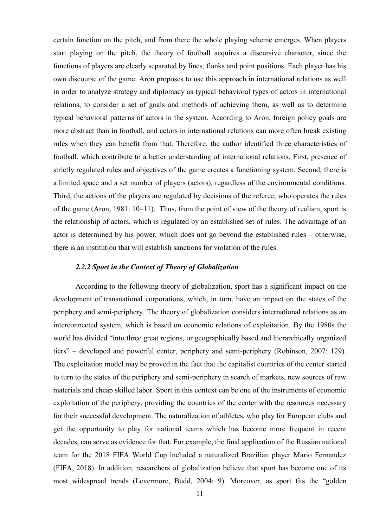certain function on the pitch, and from there the whole playing scheme emerges. When players start playing on the pitch, the theory of football acquires a discursive character, since the functions of players are clearly separated by lines, flanks and point positions. Each player has his own discourse of the game. Aron proposes to use this approach in international relations as well in order to analyze strategy and diplomacy as typical behavioral types of actors in international relations, to consider a set of goals and methods of achieving them, as well as to determine typical behavioral patterns of actors in the system. According to Aron, foreign policy goals are more abstract than in football, and actors in international relations can more often break existing rules when they can benefit from that. Therefore, the author identified three characteristics of football, which contribute to a better understanding of international relations. First, presence of strictly regulated rules and objectives of the game creates a functioning system. Second, there is a limited space and a set number of players (actors), regardless of the environmental conditions. Third, the actions of the players are regulated by decisions of the referee, who operates the rules of the game (Aron, 1981: 10–11). Thus, from the point of view of the theory of realism, sport is the relationship of actors, which is regulated by an established set of rules. The advantage of an actor is determined by his power, which does not go beyond the established rules – otherwise, there is an institution that will establish sanctions for violation of the rules.

## *2.2.2 Sport in the Context of Theory of Globalization*

<span id="page-15-0"></span>According to the following theory of globalization, sport has a significant impact on the development of transnational corporations, which, in turn, have an impact on the states of the periphery and semi-periphery. The theory of globalization considers international relations as an interconnected system, which is based on economic relations of exploitation. By the 1980s the world has divided "into three great regions, or geographically based and hierarchically organized tiers" – developed and powerful center, periphery and semi-periphery (Robinson, 2007: 129). The exploitation model may be proved in the fact that the capitalist countries of the center started to turn to the states of the periphery and semi-periphery in search of markets, new sources of raw materials and cheap skilled labor. Sport in this context can be one of the instruments of economic exploitation of the periphery, providing the countries of the center with the resources necessary for their successful development. The naturalization of athletes, who play for European clubs and get the opportunity to play for national teams which has become more frequent in recent decades, can serve as evidence for that. For example, the final application of the Russian national team for the 2018 FIFA World Cup included a naturalized Brazilian player Mario Fernandez (FIFA, 2018). In addition, researchers of globalization believe that sport has become one of its most widespread trends (Levermore, Budd, 2004: 9). Moreover, as sport fits the "golden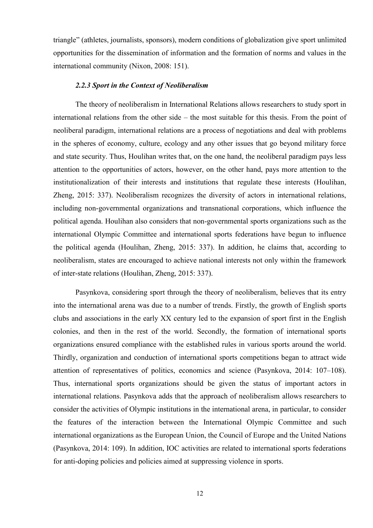triangle‖ (athletes, journalists, sponsors), modern conditions of globalization give sport unlimited opportunities for the dissemination of information and the formation of norms and values in the international community (Nixon, 2008: 151).

#### *2.2.3 Sport in the Context of Neoliberalism*

<span id="page-16-0"></span>The theory of neoliberalism in International Relations allows researchers to study sport in international relations from the other side – the most suitable for this thesis. From the point of neoliberal paradigm, international relations are a process of negotiations and deal with problems in the spheres of economy, culture, ecology and any other issues that go beyond military force and state security. Thus, Houlihan writes that, on the one hand, the neoliberal paradigm pays less attention to the opportunities of actors, however, on the other hand, pays more attention to the institutionalization of their interests and institutions that regulate these interests (Houlihan, Zheng, 2015: 337). Neoliberalism recognizes the diversity of actors in international relations, including non-governmental organizations and transnational corporations, which influence the political agenda. Houlihan also considers that non-governmental sports organizations such as the international Olympic Committee and international sports federations have begun to influence the political agenda (Houlihan, Zheng, 2015: 337). In addition, he claims that, according to neoliberalism, states are encouraged to achieve national interests not only within the framework of inter-state relations (Houlihan, Zheng, 2015: 337).

Pasynkova, considering sport through the theory of neoliberalism, believes that its entry into the international arena was due to a number of trends. Firstly, the growth of English sports clubs and associations in the early XX century led to the expansion of sport first in the English colonies, and then in the rest of the world. Secondly, the formation of international sports organizations ensured compliance with the established rules in various sports around the world. Thirdly, organization and conduction of international sports competitions began to attract wide attention of representatives of politics, economics and science (Pasynkova, 2014: 107–108). Thus, international sports organizations should be given the status of important actors in international relations. Pasynkova adds that the approach of neoliberalism allows researchers to consider the activities of Olympic institutions in the international arena, in particular, to consider the features of the interaction between the International Olympic Committee and such international organizations as the European Union, the Council of Europe and the United Nations (Pasynkova, 2014: 109). In addition, IOC activities are related to international sports federations for anti-doping policies and policies aimed at suppressing violence in sports.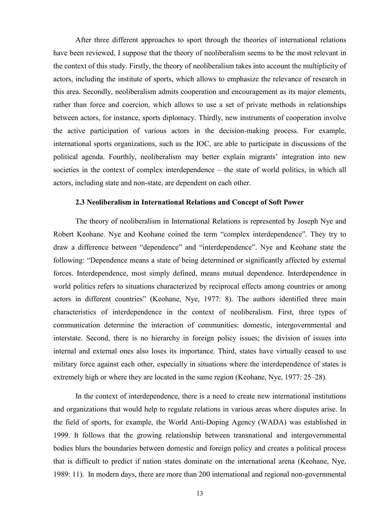After three different approaches to sport through the theories of international relations have been reviewed, I suppose that the theory of neoliberalism seems to be the most relevant in the context of this study. Firstly, the theory of neoliberalism takes into account the multiplicity of actors, including the institute of sports, which allows to emphasize the relevance of research in this area. Secondly, neoliberalism admits cooperation and encouragement as its major elements, rather than force and coercion, which allows to use a set of private methods in relationships between actors, for instance, sports diplomacy. Thirdly, new instruments of cooperation involve the active participation of various actors in the decision-making process. For example, international sports organizations, such as the IOC, are able to participate in discussions of the political agenda. Fourthly, neoliberalism may better explain migrants' integration into new societies in the context of complex interdependence – the state of world politics, in which all actors, including state and non-state, are dependent on each other.

#### **2.3 Neoliberalism in International Relations and Concept of Soft Power**

<span id="page-17-0"></span>The theory of neoliberalism in International Relations is represented by Joseph Nye and Robert Keohane. Nye and Keohane coined the term "complex interdependence". They try to draw a difference between "dependence" and "interdependence". Nye and Keohane state the following: "Dependence means a state of being determined or significantly affected by external forces. Interdependence, most simply defined, means mutual dependence. Interdependence in world politics refers to situations characterized by reciprocal effects among countries or among actors in different countries" (Keohane, Nye, 1977: 8). The authors identified three main characteristics of interdependence in the context of neoliberalism. First, three types of communication determine the interaction of communities: domestic, intergovernmental and interstate. Second, there is no hierarchy in foreign policy issues; the division of issues into internal and external ones also loses its importance. Third, states have virtually ceased to use military force against each other, especially in situations where the interdependence of states is extremely high or where they are located in the same region (Keohane, Nye, 1977: 25–28).

In the context of interdependence, there is a need to create new international institutions and organizations that would help to regulate relations in various areas where disputes arise. In the field of sports, for example, the World Anti-Doping Agency (WADA) was established in 1999. It follows that the growing relationship between transnational and intergovernmental bodies blurs the boundaries between domestic and foreign policy and creates a political process that is difficult to predict if nation states dominate on the international arena (Keohane, Nye, 1989: 11). In modern days, there are more than 200 international and regional non-governmental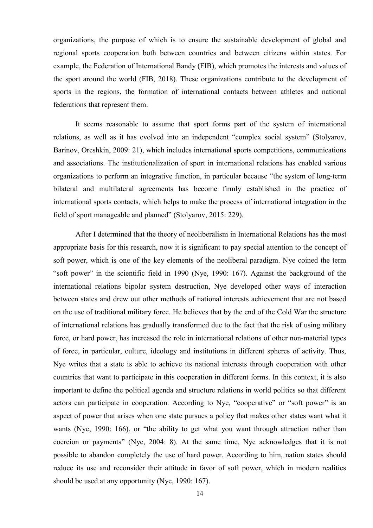organizations, the purpose of which is to ensure the sustainable development of global and regional sports cooperation both between countries and between citizens within states. For example, the Federation of International Bandy (FIB), which promotes the interests and values of the sport around the world (FIB, 2018). These organizations contribute to the development of sports in the regions, the formation of international contacts between athletes and national federations that represent them.

It seems reasonable to assume that sport forms part of the system of international relations, as well as it has evolved into an independent "complex social system" (Stolyarov, Barinov, Oreshkin, 2009: 21), which includes international sports competitions, communications and associations. The institutionalization of sport in international relations has enabled various organizations to perform an integrative function, in particular because "the system of long-term bilateral and multilateral agreements has become firmly established in the practice of international sports contacts, which helps to make the process of international integration in the field of sport manageable and planned" (Stolyarov, 2015: 229).

After I determined that the theory of neoliberalism in International Relations has the most appropriate basis for this research, now it is significant to pay special attention to the concept of soft power, which is one of the key elements of the neoliberal paradigm. Nye coined the term "soft power" in the scientific field in 1990 (Nye, 1990: 167). Against the background of the international relations bipolar system destruction, Nye developed other ways of interaction between states and drew out other methods of national interests achievement that are not based on the use of traditional military force. He believes that by the end of the Cold War the structure of international relations has gradually transformed due to the fact that the risk of using military force, or hard power, has increased the role in international relations of other non-material types of force, in particular, culture, ideology and institutions in different spheres of activity. Thus, Nye writes that a state is able to achieve its national interests through cooperation with other countries that want to participate in this cooperation in different forms. In this context, it is also important to define the political agenda and structure relations in world politics so that different actors can participate in cooperation. According to Nye, "cooperative" or "soft power" is an aspect of power that arises when one state pursues a policy that makes other states want what it wants (Nye, 1990: 166), or "the ability to get what you want through attraction rather than coercion or payments" (Nye, 2004: 8). At the same time, Nye acknowledges that it is not possible to abandon completely the use of hard power. According to him, nation states should reduce its use and reconsider their attitude in favor of soft power, which in modern realities should be used at any opportunity (Nye, 1990: 167).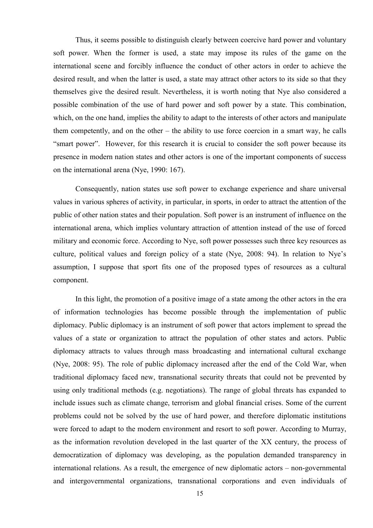Thus, it seems possible to distinguish clearly between coercive hard power and voluntary soft power. When the former is used, a state may impose its rules of the game on the international scene and forcibly influence the conduct of other actors in order to achieve the desired result, and when the latter is used, a state may attract other actors to its side so that they themselves give the desired result. Nevertheless, it is worth noting that Nye also considered a possible combination of the use of hard power and soft power by a state. This combination, which, on the one hand, implies the ability to adapt to the interests of other actors and manipulate them competently, and on the other – the ability to use force coercion in a smart way, he calls "smart power". However, for this research it is crucial to consider the soft power because its presence in modern nation states and other actors is one of the important components of success on the international arena (Nye, 1990: 167).

Consequently, nation states use soft power to exchange experience and share universal values in various spheres of activity, in particular, in sports, in order to attract the attention of the public of other nation states and their population. Soft power is an instrument of influence on the international arena, which implies voluntary attraction of attention instead of the use of forced military and economic force. According to Nye, soft power possesses such three key resources as culture, political values and foreign policy of a state (Nye, 2008: 94). In relation to Nye's assumption, I suppose that sport fits one of the proposed types of resources as a cultural component.

In this light, the promotion of a positive image of a state among the other actors in the era of information technologies has become possible through the implementation of public diplomacy. Public diplomacy is an instrument of soft power that actors implement to spread the values of a state or organization to attract the population of other states and actors. Public diplomacy attracts to values through mass broadcasting and international cultural exchange (Nye, 2008: 95). The role of public diplomacy increased after the end of the Cold War, when traditional diplomacy faced new, transnational security threats that could not be prevented by using only traditional methods (e.g. negotiations). The range of global threats has expanded to include issues such as climate change, terrorism and global financial crises. Some of the current problems could not be solved by the use of hard power, and therefore diplomatic institutions were forced to adapt to the modern environment and resort to soft power. According to Murray, as the information revolution developed in the last quarter of the XX century, the process of democratization of diplomacy was developing, as the population demanded transparency in international relations. As a result, the emergence of new diplomatic actors – non-governmental and intergovernmental organizations, transnational corporations and even individuals of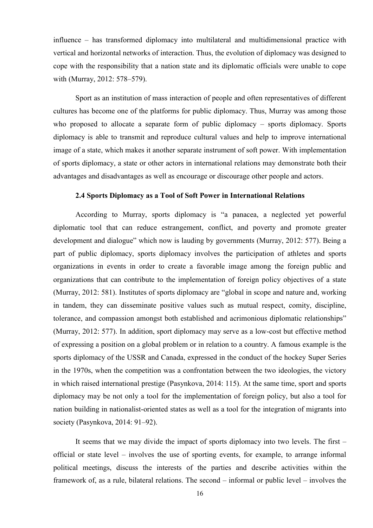influence – has transformed diplomacy into multilateral and multidimensional practice with vertical and horizontal networks of interaction. Thus, the evolution of diplomacy was designed to cope with the responsibility that a nation state and its diplomatic officials were unable to cope with (Murray, 2012: 578–579).

Sport as an institution of mass interaction of people and often representatives of different cultures has become one of the platforms for public diplomacy. Thus, Murray was among those who proposed to allocate a separate form of public diplomacy – sports diplomacy. Sports diplomacy is able to transmit and reproduce cultural values and help to improve international image of a state, which makes it another separate instrument of soft power. With implementation of sports diplomacy, a state or other actors in international relations may demonstrate both their advantages and disadvantages as well as encourage or discourage other people and actors.

## **2.4 Sports Diplomacy as a Tool of Soft Power in International Relations**

<span id="page-20-0"></span>According to Murray, sports diplomacy is "a panacea, a neglected yet powerful diplomatic tool that can reduce estrangement, conflict, and poverty and promote greater development and dialogue" which now is lauding by governments (Murray, 2012: 577). Being a part of public diplomacy, sports diplomacy involves the participation of athletes and sports organizations in events in order to create a favorable image among the foreign public and organizations that can contribute to the implementation of foreign policy objectives of a state (Murray, 2012: 581). Institutes of sports diplomacy are "global in scope and nature and, working in tandem, they can disseminate positive values such as mutual respect, comity, discipline, tolerance, and compassion amongst both established and acrimonious diplomatic relationships" (Murray, 2012: 577). In addition, sport diplomacy may serve as a low-cost but effective method of expressing a position on a global problem or in relation to a country. A famous example is the sports diplomacy of the USSR and Canada, expressed in the conduct of the hockey Super Series in the 1970s, when the competition was a confrontation between the two ideologies, the victory in which raised international prestige (Pasynkova, 2014: 115). At the same time, sport and sports diplomacy may be not only a tool for the implementation of foreign policy, but also a tool for nation building in nationalist-oriented states as well as a tool for the integration of migrants into society (Pasynkova, 2014: 91–92).

It seems that we may divide the impact of sports diplomacy into two levels. The first – official or state level – involves the use of sporting events, for example, to arrange informal political meetings, discuss the interests of the parties and describe activities within the framework of, as a rule, bilateral relations. The second – informal or public level – involves the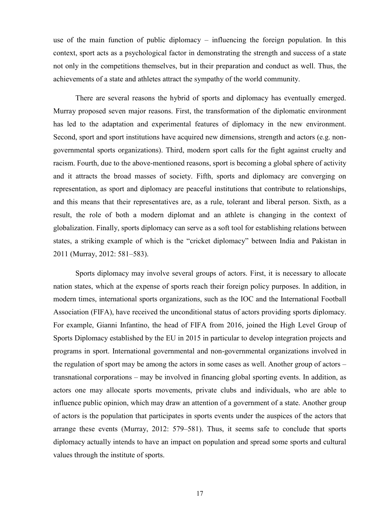use of the main function of public diplomacy – influencing the foreign population. In this context, sport acts as a psychological factor in demonstrating the strength and success of a state not only in the competitions themselves, but in their preparation and conduct as well. Thus, the achievements of a state and athletes attract the sympathy of the world community.

There are several reasons the hybrid of sports and diplomacy has eventually emerged. Murray proposed seven major reasons. First, the transformation of the diplomatic environment has led to the adaptation and experimental features of diplomacy in the new environment. Second, sport and sport institutions have acquired new dimensions, strength and actors (e.g. nongovernmental sports organizations). Third, modern sport calls for the fight against cruelty and racism. Fourth, due to the above-mentioned reasons, sport is becoming a global sphere of activity and it attracts the broad masses of society. Fifth, sports and diplomacy are converging on representation, as sport and diplomacy are peaceful institutions that contribute to relationships, and this means that their representatives are, as a rule, tolerant and liberal person. Sixth, as a result, the role of both a modern diplomat and an athlete is changing in the context of globalization. Finally, sports diplomacy can serve as a soft tool for establishing relations between states, a striking example of which is the "cricket diplomacy" between India and Pakistan in 2011 (Murray, 2012: 581–583).

Sports diplomacy may involve several groups of actors. First, it is necessary to allocate nation states, which at the expense of sports reach their foreign policy purposes. In addition, in modern times, international sports organizations, such as the IOC and the International Football Association (FIFA), have received the unconditional status of actors providing sports diplomacy. For example, Gianni Infantino, the head of FIFA from 2016, joined the High Level Group of Sports Diplomacy established by the EU in 2015 in particular to develop integration projects and programs in sport. International governmental and non-governmental organizations involved in the regulation of sport may be among the actors in some cases as well. Another group of actors – transnational corporations – may be involved in financing global sporting events. In addition, as actors one may allocate sports movements, private clubs and individuals, who are able to influence public opinion, which may draw an attention of a government of a state. Another group of actors is the population that participates in sports events under the auspices of the actors that arrange these events (Murray, 2012: 579–581). Thus, it seems safe to conclude that sports diplomacy actually intends to have an impact on population and spread some sports and cultural values through the institute of sports.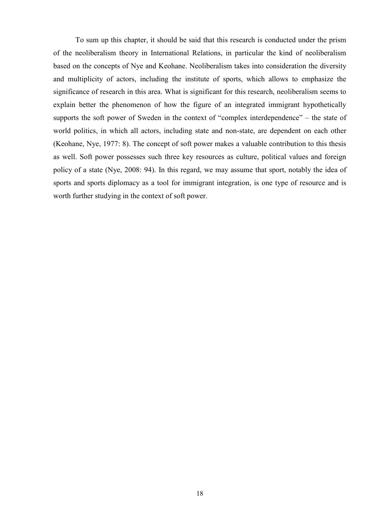To sum up this chapter, it should be said that this research is conducted under the prism of the neoliberalism theory in International Relations, in particular the kind of neoliberalism based on the concepts of Nye and Keohane. Neoliberalism takes into consideration the diversity and multiplicity of actors, including the institute of sports, which allows to emphasize the significance of research in this area. What is significant for this research, neoliberalism seems to explain better the phenomenon of how the figure of an integrated immigrant hypothetically supports the soft power of Sweden in the context of "complex interdependence" – the state of world politics, in which all actors, including state and non-state, are dependent on each other (Keohane, Nye, 1977: 8). The concept of soft power makes a valuable contribution to this thesis as well. Soft power possesses such three key resources as culture, political values and foreign policy of a state (Nye, 2008: 94). In this regard, we may assume that sport, notably the idea of sports and sports diplomacy as a tool for immigrant integration, is one type of resource and is worth further studying in the context of soft power.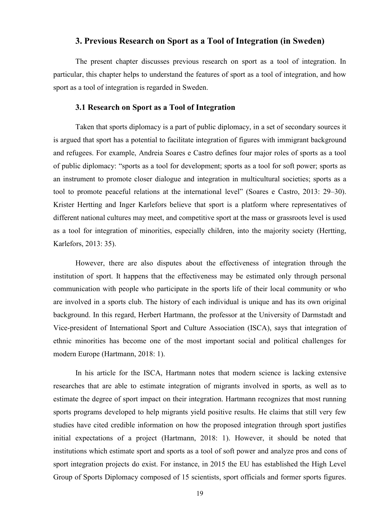## **3. Previous Research on Sport as a Tool of Integration (in Sweden)**

<span id="page-23-0"></span>The present chapter discusses previous research on sport as a tool of integration. In particular, this chapter helps to understand the features of sport as a tool of integration, and how sport as a tool of integration is regarded in Sweden.

### **3.1 Research on Sport as a Tool of Integration**

<span id="page-23-1"></span>Taken that sports diplomacy is a part of public diplomacy, in a set of secondary sources it is argued that sport has a potential to facilitate integration of figures with immigrant background and refugees. For example, Andreia Soares e Castro defines four major roles of sports as a tool of public diplomacy: "sports as a tool for development; sports as a tool for soft power; sports as an instrument to promote closer dialogue and integration in multicultural societies; sports as a tool to promote peaceful relations at the international level" (Soares e Castro, 2013: 29–30). Krister Hertting and Inger Karlefors believe that sport is a platform where representatives of different national cultures may meet, and competitive sport at the mass or grassroots level is used as a tool for integration of minorities, especially children, into the majority society (Hertting, Karlefors, 2013: 35).

However, there are also disputes about the effectiveness of integration through the institution of sport. It happens that the effectiveness may be estimated only through personal communication with people who participate in the sports life of their local community or who are involved in a sports club. The history of each individual is unique and has its own original background. In this regard, Herbert Hartmann, the professor at the University of Darmstadt and Vice-president of International Sport and Culture Association (ISCA), says that integration of ethnic minorities has become one of the most important social and political challenges for modern Europe (Hartmann, 2018: 1).

In his article for the ISCA, Hartmann notes that modern science is lacking extensive researches that are able to estimate integration of migrants involved in sports, as well as to estimate the degree of sport impact on their integration. Hartmann recognizes that most running sports programs developed to help migrants yield positive results. He claims that still very few studies have cited credible information on how the proposed integration through sport justifies initial expectations of a project (Hartmann, 2018: 1). However, it should be noted that institutions which estimate sport and sports as a tool of soft power and analyze pros and cons of sport integration projects do exist. For instance, in 2015 the EU has established the High Level Group of Sports Diplomacy composed of 15 scientists, sport officials and former sports figures.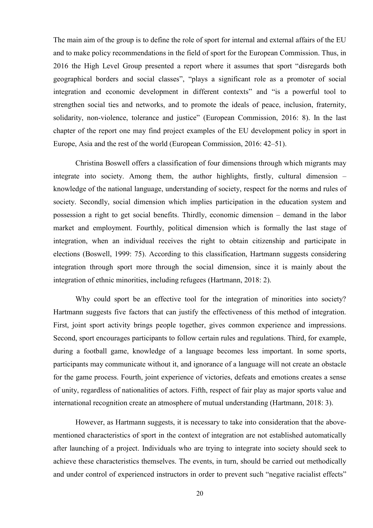The main aim of the group is to define the role of sport for internal and external affairs of the EU and to make policy recommendations in the field of sport for the European Commission. Thus, in 2016 the High Level Group presented a report where it assumes that sport "disregards both geographical borders and social classes", "plays a significant role as a promoter of social integration and economic development in different contexts" and "is a powerful tool to strengthen social ties and networks, and to promote the ideals of peace, inclusion, fraternity, solidarity, non-violence, tolerance and justice" (European Commission, 2016: 8). In the last chapter of the report one may find project examples of the EU development policy in sport in Europe, Asia and the rest of the world (European Commission, 2016: 42–51).

Christina Boswell offers a classification of four dimensions through which migrants may integrate into society. Among them, the author highlights, firstly, cultural dimension – knowledge of the national language, understanding of society, respect for the norms and rules of society. Secondly, social dimension which implies participation in the education system and possession a right to get social benefits. Thirdly, economic dimension – demand in the labor market and employment. Fourthly, political dimension which is formally the last stage of integration, when an individual receives the right to obtain citizenship and participate in elections (Boswell, 1999: 75). According to this classification, Hartmann suggests considering integration through sport more through the social dimension, since it is mainly about the integration of ethnic minorities, including refugees (Hartmann, 2018: 2).

Why could sport be an effective tool for the integration of minorities into society? Hartmann suggests five factors that can justify the effectiveness of this method of integration. First, joint sport activity brings people together, gives common experience and impressions. Second, sport encourages participants to follow certain rules and regulations. Third, for example, during a football game, knowledge of a language becomes less important. In some sports, participants may communicate without it, and ignorance of a language will not create an obstacle for the game process. Fourth, joint experience of victories, defeats and emotions creates a sense of unity, regardless of nationalities of actors. Fifth, respect of fair play as major sports value and international recognition create an atmosphere of mutual understanding (Hartmann, 2018: 3).

However, as Hartmann suggests, it is necessary to take into consideration that the abovementioned characteristics of sport in the context of integration are not established automatically after launching of a project. Individuals who are trying to integrate into society should seek to achieve these characteristics themselves. The events, in turn, should be carried out methodically and under control of experienced instructors in order to prevent such "negative racialist effects"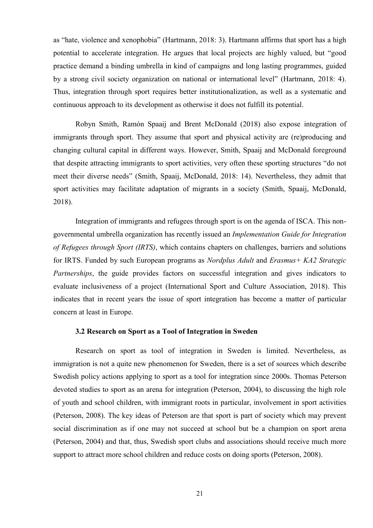as "hate, violence and xenophobia" (Hartmann, 2018: 3). Hartmann affirms that sport has a high potential to accelerate integration. He argues that local projects are highly valued, but "good practice demand a binding umbrella in kind of campaigns and long lasting programmes, guided by a strong civil society organization on national or international level" (Hartmann, 2018: 4). Thus, integration through sport requires better institutionalization, as well as a systematic and continuous approach to its development as otherwise it does not fulfill its potential.

Robyn Smith, Ramón Spaaij and Brent McDonald (2018) also expose integration of immigrants through sport. They assume that sport and physical activity are (re)producing and changing cultural capital in different ways. However, Smith, Spaaij and McDonald foreground that despite attracting immigrants to sport activities, very often these sporting structures "do not meet their diverse needs" (Smith, Spaaij, McDonald, 2018: 14). Nevertheless, they admit that sport activities may facilitate adaptation of migrants in a society (Smith, Spaaij, McDonald, 2018).

Integration of immigrants and refugees through sport is on the agenda of ISCA. This nongovernmental umbrella organization has recently issued an *Implementation Guide for Integration of Refugees through Sport (IRTS)*, which contains chapters on challenges, barriers and solutions for IRTS. Funded by such European programs as *Nordplus Adult* and *Erasmus+ KA2 Strategic Partnerships*, the guide provides factors on successful integration and gives indicators to evaluate inclusiveness of a project (International Sport and Culture Association, 2018). This indicates that in recent years the issue of sport integration has become a matter of particular concern at least in Europe.

#### **3.2 Research on Sport as a Tool of Integration in Sweden**

<span id="page-25-0"></span>Research on sport as tool of integration in Sweden is limited. Nevertheless, as immigration is not a quite new phenomenon for Sweden, there is a set of sources which describe Swedish policy actions applying to sport as a tool for integration since 2000s. Thomas Peterson devoted studies to sport as an arena for integration (Peterson, 2004), to discussing the high role of youth and school children, with immigrant roots in particular, involvement in sport activities (Peterson, 2008). The key ideas of Peterson are that sport is part of society which may prevent social discrimination as if one may not succeed at school but be a champion on sport arena (Peterson, 2004) and that, thus, Swedish sport clubs and associations should receive much more support to attract more school children and reduce costs on doing sports (Peterson, 2008).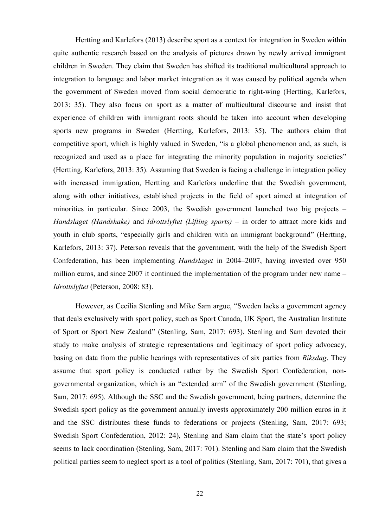Hertting and Karlefors (2013) describe sport as a context for integration in Sweden within quite authentic research based on the analysis of pictures drawn by newly arrived immigrant children in Sweden. They claim that Sweden has shifted its traditional multicultural approach to integration to language and labor market integration as it was caused by political agenda when the government of Sweden moved from social democratic to right-wing (Hertting, Karlefors, 2013: 35). They also focus on sport as a matter of multicultural discourse and insist that experience of children with immigrant roots should be taken into account when developing sports new programs in Sweden (Hertting, Karlefors, 2013: 35). The authors claim that competitive sport, which is highly valued in Sweden, "is a global phenomenon and, as such, is recognized and used as a place for integrating the minority population in majority societies" (Hertting, Karlefors, 2013: 35). Assuming that Sweden is facing a challenge in integration policy with increased immigration, Hertting and Karlefors underline that the Swedish government, along with other initiatives, established projects in the field of sport aimed at integration of minorities in particular. Since 2003, the Swedish government launched two big projects – *Handslaget (Handshake)* and *Idrottslyftet (Lifting sports)* – in order to attract more kids and youth in club sports, "especially girls and children with an immigrant background" (Hertting, Karlefors, 2013: 37). Peterson reveals that the government, with the help of the Swedish Sport Confederation, has been implementing *Handslaget* in 2004–2007, having invested over 950 million euros, and since 2007 it continued the implementation of the program under new name – *Idrottslyftet* (Peterson, 2008: 83).

However, as Cecilia Stenling and Mike Sam argue, "Sweden lacks a government agency that deals exclusively with sport policy, such as Sport Canada, UK Sport, the Australian Institute of Sport or Sport New Zealand" (Stenling, Sam, 2017: 693). Stenling and Sam devoted their study to make analysis of strategic representations and legitimacy of sport policy advocacy, basing on data from the public hearings with representatives of six parties from *Riksdag*. They assume that sport policy is conducted rather by the Swedish Sport Confederation, nongovernmental organization, which is an "extended arm" of the Swedish government (Stenling, Sam, 2017: 695). Although the SSC and the Swedish government, being partners, determine the Swedish sport policy as the government annually invests approximately 200 million euros in it and the SSC distributes these funds to federations or projects (Stenling, Sam, 2017: 693; Swedish Sport Confederation, 2012: 24), Stenling and Sam claim that the state's sport policy seems to lack coordination (Stenling, Sam, 2017: 701). Stenling and Sam claim that the Swedish political parties seem to neglect sport as a tool of politics (Stenling, Sam, 2017: 701), that gives a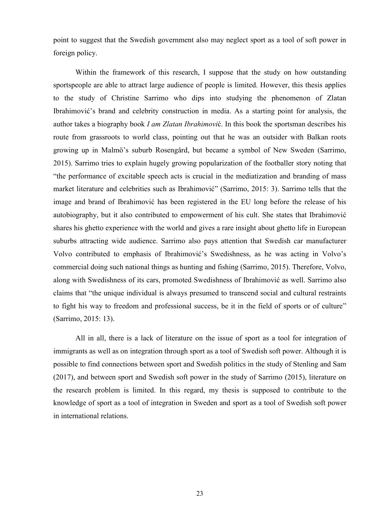point to suggest that the Swedish government also may neglect sport as a tool of soft power in foreign policy.

Within the framework of this research, I suppose that the study on how outstanding sportspeople are able to attract large audience of people is limited. However, this thesis applies to the study of Christine Sarrimo who dips into studying the phenomenon of Zlatan Ibrahimović's brand and celebrity construction in media. As a starting point for analysis, the author takes a biography book *I am Zlatan Ibrahimovi*ć. In this book the sportsman describes his route from grassroots to world class, pointing out that he was an outsider with Balkan roots growing up in Malmö's suburb Rosengård, but became a symbol of New Sweden (Sarrimo, 2015). Sarrimo tries to explain hugely growing popularization of the footballer story noting that "the performance of excitable speech acts is crucial in the mediatization and branding of mass market literature and celebrities such as Ibrahimović" (Sarrimo, 2015: 3). Sarrimo tells that the image and brand of Ibrahimović has been registered in the EU long before the release of his autobiography, but it also contributed to empowerment of his cult. She states that Ibrahimović shares his ghetto experience with the world and gives a rare insight about ghetto life in European suburbs attracting wide audience. Sarrimo also pays attention that Swedish car manufacturer Volvo contributed to emphasis of Ibrahimović's Swedishness, as he was acting in Volvo's commercial doing such national things as hunting and fishing (Sarrimo, 2015). Therefore, Volvo, along with Swedishness of its cars, promoted Swedishness of Ibrahimović as well. Sarrimo also claims that "the unique individual is always presumed to transcend social and cultural restraints to fight his way to freedom and professional success, be it in the field of sports or of culture" (Sarrimo, 2015: 13).

All in all, there is a lack of literature on the issue of sport as a tool for integration of immigrants as well as on integration through sport as a tool of Swedish soft power. Although it is possible to find connections between sport and Swedish politics in the study of Stenling and Sam (2017), and between sport and Swedish soft power in the study of Sarrimo (2015), literature on the research problem is limited. In this regard, my thesis is supposed to contribute to the knowledge of sport as a tool of integration in Sweden and sport as a tool of Swedish soft power in international relations.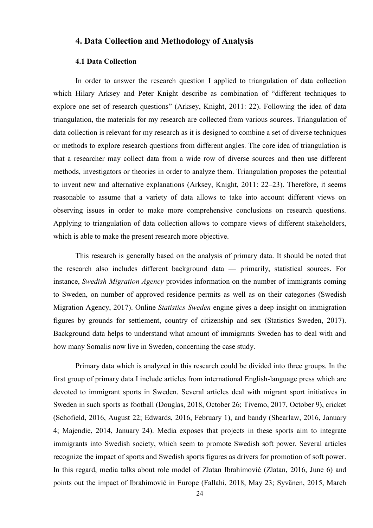## <span id="page-28-0"></span>**4. Data Collection and Methodology of Analysis**

#### **4.1 Data Collection**

<span id="page-28-1"></span>In order to answer the research question I applied to triangulation of data collection which Hilary Arksey and Peter Knight describe as combination of "different techniques to explore one set of research questions" (Arksey, Knight, 2011: 22). Following the idea of data triangulation, the materials for my research are collected from various sources. Triangulation of data collection is relevant for my research as it is designed to combine a set of diverse techniques or methods to explore research questions from different angles. The core idea of triangulation is that a researcher may collect data from a wide row of diverse sources and then use different methods, investigators or theories in order to analyze them. Triangulation proposes the potential to invent new and alternative explanations (Arksey, Knight, 2011: 22–23). Therefore, it seems reasonable to assume that a variety of data allows to take into account different views on observing issues in order to make more comprehensive conclusions on research questions. Applying to triangulation of data collection allows to compare views of different stakeholders, which is able to make the present research more objective.

This research is generally based on the analysis of primary data. It should be noted that the research also includes different background data — primarily, statistical sources. For instance, *Swedish Migration Agency* provides information on the number of immigrants coming to Sweden, on number of approved residence permits as well as on their categories (Swedish Migration Agency, 2017). Online *Statistics Sweden* engine gives a deep insight on immigration figures by grounds for settlement, country of citizenship and sex (Statistics Sweden, 2017). Background data helps to understand what amount of immigrants Sweden has to deal with and how many Somalis now live in Sweden, concerning the case study.

Primary data which is analyzed in this research could be divided into three groups. In the first group of primary data I include articles from international English-language press which are devoted to immigrant sports in Sweden. Several articles deal with migrant sport initiatives in Sweden in such sports as football (Douglas, 2018, October 26; Tivemo, 2017, October 9), cricket (Schofield, 2016, August 22; Edwards, 2016, February 1), and bandy (Shearlaw, 2016, January 4; Majendie, 2014, January 24). Media exposes that projects in these sports aim to integrate immigrants into Swedish society, which seem to promote Swedish soft power. Several articles recognize the impact of sports and Swedish sports figures as drivers for promotion of soft power. In this regard, media talks about role model of Zlatan Ibrahimović (Zlatan, 2016, June 6) and points out the impact of Ibrahimović in Europe (Fallahi, 2018, May 23; Syvänen, 2015, March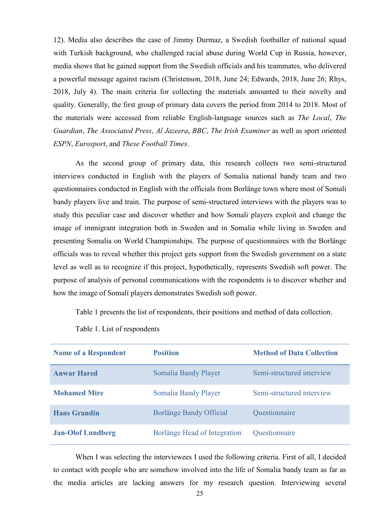12). Media also describes the case of Jimmy Durmaz, a Swedish footballer of national squad with Turkish background, who challenged racial abuse during World Cup in Russia, however, media shows that he gained support from the Swedish officials and his teammates, who delivered a powerful message against racism (Christenson, 2018, June 24; Edwards, 2018, June 26; Rhys, 2018, July 4). The main criteria for collecting the materials amounted to their novelty and quality. Generally, the first group of primary data covers the period from 2014 to 2018. Most of the materials were accessed from reliable English-language sources such as *The Local*, *The Guardian*, *The Associated Press*, *Al Jazeera*, *BBC*, *The Irish Examiner* as well as sport oriented *ESPN*, *Eurosport*, and *These Football Times*.

As the second group of primary data, this research collects two semi-structured interviews conducted in English with the players of Somalia national bandy team and two questionnaires conducted in English with the officials from Borlänge town where most of Somali bandy players live and train. The purpose of semi-structured interviews with the players was to study this peculiar case and discover whether and how Somali players exploit and change the image of immigrant integration both in Sweden and in Somalia while living in Sweden and presenting Somalia on World Championships. The purpose of questionnaires with the Borlänge officials was to reveal whether this project gets support from the Swedish government on a state level as well as to recognize if this project, hypothetically, represents Swedish soft power. The purpose of analysis of personal communications with the respondents is to discover whether and how the image of Somali players demonstrates Swedish soft power.

Table 1 presents the list of respondents, their positions and method of data collection.

Table 1. List of respondents

| <b>Name of a Respondent</b> | <b>Position</b>              | <b>Method of Data Collection</b> |
|-----------------------------|------------------------------|----------------------------------|
| <b>Anwar Hared</b>          | Somalia Bandy Player         | Semi-structured interview        |
| <b>Mohamed Mire</b>         | Somalia Bandy Player         | Semi-structured interview        |
| <b>Hans Grandin</b>         | Borlänge Bandy Official      | Questionnaire                    |
| <b>Jan-Olof Lundberg</b>    | Borlänge Head of Integration | Questionnaire                    |

When I was selecting the interviewees I used the following criteria. First of all, I decided to contact with people who are somehow involved into the life of Somalia bandy team as far as the media articles are lacking answers for my research question. Interviewing several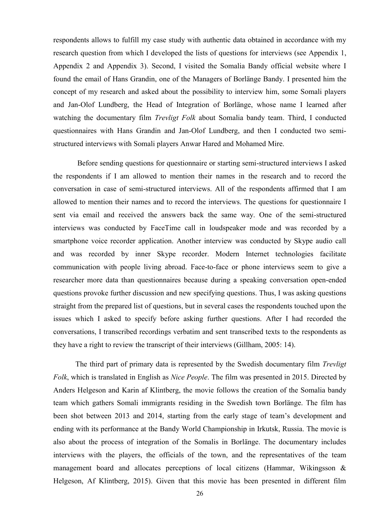respondents allows to fulfill my case study with authentic data obtained in accordance with my research question from which I developed the lists of questions for interviews (see Appendix 1, Appendix 2 and Appendix 3). Second, I visited the Somalia Bandy official website where I found the email of Hans Grandin, one of the Managers of Borlänge Bandy. I presented him the concept of my research and asked about the possibility to interview him, some Somali players and Jan-Olof Lundberg, the Head of Integration of Borlänge, whose name I learned after watching the documentary film *Trevligt Folk* about Somalia bandy team. Third, I conducted questionnaires with Hans Grandin and Jan-Olof Lundberg, and then I conducted two semistructured interviews with Somali players Anwar Hared and Mohamed Mire.

Before sending questions for questionnaire or starting semi-structured interviews I asked the respondents if I am allowed to mention their names in the research and to record the conversation in case of semi-structured interviews. All of the respondents affirmed that I am allowed to mention their names and to record the interviews. The questions for questionnaire I sent via email and received the answers back the same way. One of the semi-structured interviews was conducted by FaceTime call in loudspeaker mode and was recorded by a smartphone voice recorder application. Another interview was conducted by Skype audio call and was recorded by inner Skype recorder. Modern Internet technologies facilitate communication with people living abroad. Face-to-face or phone interviews seem to give a researcher more data than questionnaires because during a speaking conversation open-ended questions provoke further discussion and new specifying questions. Thus, I was asking questions straight from the prepared list of questions, but in several cases the respondents touched upon the issues which I asked to specify before asking further questions. After I had recorded the conversations, I transcribed recordings verbatim and sent transcribed texts to the respondents as they have a right to review the transcript of their interviews (Gillham, 2005: 14).

The third part of primary data is represented by the Swedish documentary film *Trevligt Folk*, which is translated in English as *Nice People*. The film was presented in 2015. Directed by Anders Helgeson and Karin af Klintberg, the movie follows the creation of the Somalia bandy team which gathers Somali immigrants residing in the Swedish town Borlänge. The film has been shot between 2013 and 2014, starting from the early stage of team's development and ending with its performance at the Bandy World Championship in Irkutsk, Russia. The movie is also about the process of integration of the Somalis in Borlänge. The documentary includes interviews with the players, the officials of the town, and the representatives of the team management board and allocates perceptions of local citizens (Hammar, Wikingsson & Helgeson, Af Klintberg, 2015). Given that this movie has been presented in different film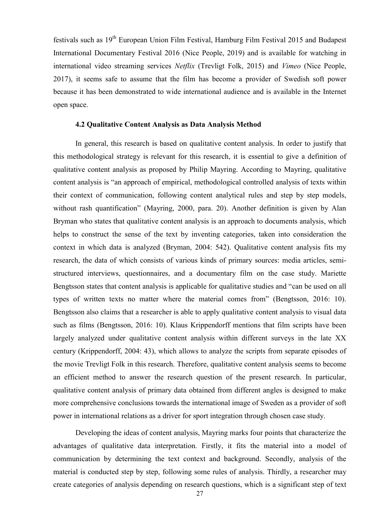festivals such as 19th European Union Film Festival, Hamburg Film Festival 2015 and Budapest International Documentary Festival 2016 (Nice People, 2019) and is available for watching in international video streaming services *Netflix* (Trevligt Folk, 2015) and *Vimeo* (Nice People, 2017), it seems safe to assume that the film has become a provider of Swedish soft power because it has been demonstrated to wide international audience and is available in the Internet open space.

#### **4.2 Qualitative Content Analysis as Data Analysis Method**

<span id="page-31-0"></span>In general, this research is based on qualitative content analysis. In order to justify that this methodological strategy is relevant for this research, it is essential to give a definition of qualitative content analysis as proposed by Philip Mayring. According to Mayring, qualitative content analysis is "an approach of empirical, methodological controlled analysis of texts within their context of communication, following content analytical rules and step by step models, without rash quantification" (Mayring, 2000, para. 20). Another definition is given by Alan Bryman who states that qualitative content analysis is an approach to documents analysis, which helps to construct the sense of the text by inventing categories, taken into consideration the context in which data is analyzed (Bryman, 2004: 542). Qualitative content analysis fits my research, the data of which consists of various kinds of primary sources: media articles, semistructured interviews, questionnaires, and a documentary film on the case study. Mariette Bengtsson states that content analysis is applicable for qualitative studies and "can be used on all types of written texts no matter where the material comes from" (Bengtsson, 2016: 10). Bengtsson also claims that a researcher is able to apply qualitative content analysis to visual data such as films (Bengtsson, 2016: 10). Klaus Krippendorff mentions that film scripts have been largely analyzed under qualitative content analysis within different surveys in the late XX century (Krippendorff, 2004: 43), which allows to analyze the scripts from separate episodes of the movie Trevligt Folk in this research. Therefore, qualitative content analysis seems to become an efficient method to answer the research question of the present research. In particular, qualitative content analysis of primary data obtained from different angles is designed to make more comprehensive conclusions towards the international image of Sweden as a provider of soft power in international relations as a driver for sport integration through chosen case study.

Developing the ideas of content analysis, Mayring marks four points that characterize the advantages of qualitative data interpretation. Firstly, it fits the material into a model of communication by determining the text context and background. Secondly, analysis of the material is conducted step by step, following some rules of analysis. Thirdly, a researcher may create categories of analysis depending on research questions, which is a significant step of text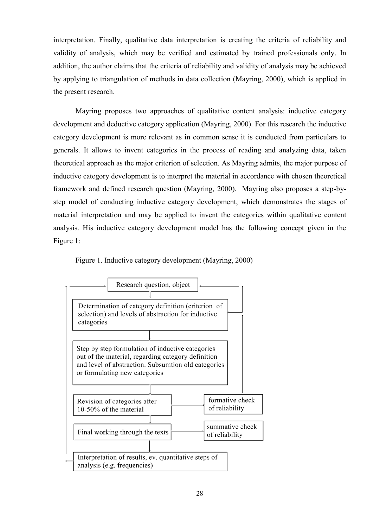interpretation. Finally, qualitative data interpretation is creating the criteria of reliability and validity of analysis, which may be verified and estimated by trained professionals only. In addition, the author claims that the criteria of reliability and validity of analysis may be achieved by applying to triangulation of methods in data collection (Mayring, 2000), which is applied in the present research.

Mayring proposes two approaches of qualitative content analysis: inductive category development and deductive category application (Mayring, 2000). For this research the inductive category development is more relevant as in common sense it is conducted from particulars to generals. It allows to invent categories in the process of reading and analyzing data, taken theoretical approach as the major criterion of selection. As Mayring admits, the major purpose of inductive category development is to interpret the material in accordance with chosen theoretical framework and defined research question (Mayring, 2000). Mayring also proposes a step-bystep model of conducting inductive category development, which demonstrates the stages of material interpretation and may be applied to invent the categories within qualitative content analysis. His inductive category development model has the following concept given in the Figure 1:



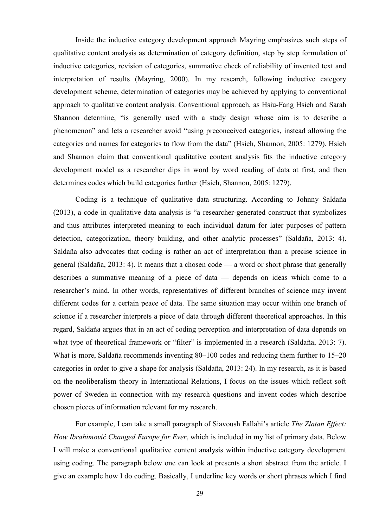Inside the inductive category development approach Mayring emphasizes such steps of qualitative content analysis as determination of category definition, step by step formulation of inductive categories, revision of categories, summative check of reliability of invented text and interpretation of results (Mayring, 2000). In my research, following inductive category development scheme, determination of categories may be achieved by applying to conventional approach to qualitative content analysis. Conventional approach, as Hsiu-Fang Hsieh and Sarah Shannon determine, "is generally used with a study design whose aim is to describe a phenomenon" and lets a researcher avoid "using preconceived categories, instead allowing the categories and names for categories to flow from the data" (Hsieh, Shannon, 2005: 1279). Hsieh and Shannon claim that conventional qualitative content analysis fits the inductive category development model as a researcher dips in word by word reading of data at first, and then determines codes which build categories further (Hsieh, Shannon, 2005: 1279).

Coding is a technique of qualitative data structuring. According to Johnny Saldaña  $(2013)$ , a code in qualitative data analysis is "a researcher-generated construct that symbolizes and thus attributes interpreted meaning to each individual datum for later purposes of pattern detection, categorization, theory building, and other analytic processes" (Saldaña, 2013: 4). Saldaña also advocates that coding is rather an act of interpretation than a precise science in general (Saldaña, 2013: 4). It means that a chosen code — a word or short phrase that generally describes a summative meaning of a piece of data — depends on ideas which come to a researcher's mind. In other words, representatives of different branches of science may invent different codes for a certain peace of data. The same situation may occur within one branch of science if a researcher interprets a piece of data through different theoretical approaches. In this regard, Saldaña argues that in an act of coding perception and interpretation of data depends on what type of theoretical framework or "filter" is implemented in a research (Saldaña, 2013: 7). What is more, Saldaña recommends inventing 80–100 codes and reducing them further to 15–20 categories in order to give a shape for analysis (Saldaña, 2013: 24). In my research, as it is based on the neoliberalism theory in International Relations, I focus on the issues which reflect soft power of Sweden in connection with my research questions and invent codes which describe chosen pieces of information relevant for my research.

For example, I can take a small paragraph of Siavoush Fallahi's article *The Zlatan Effect: How Ibrahimović Changed Europe for Ever*, which is included in my list of primary data. Below I will make a conventional qualitative content analysis within inductive category development using coding. The paragraph below one can look at presents a short abstract from the article. I give an example how I do coding. Basically, I underline key words or short phrases which I find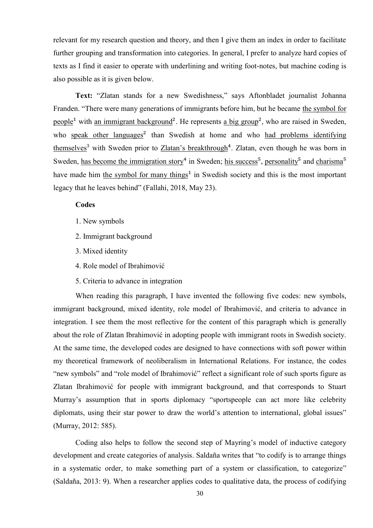relevant for my research question and theory, and then I give them an index in order to facilitate further grouping and transformation into categories. In general, I prefer to analyze hard copies of texts as I find it easier to operate with underlining and writing foot-notes, but machine coding is also possible as it is given below.

Text: "Zlatan stands for a new Swedishness," says Aftonbladet journalist Johanna Franden. "There were many generations of immigrants before him, but he became the symbol for people<sup>1</sup> with an immigrant background<sup>2</sup>. He represents a big group<sup>2</sup>, who are raised in Sweden, who speak other languages<sup>2</sup> than Swedish at home and who had problems identifying themselves<sup>3</sup> with Sweden prior to Zlatan's breakthrough<sup>4</sup>. Zlatan, even though he was born in Sweden, has become the immigration story<sup>4</sup> in Sweden; his success<sup>5</sup>, personality<sup>5</sup> and charisma<sup>5</sup> have made him the symbol for many things<sup>1</sup> in Swedish society and this is the most important legacy that he leaves behind" (Fallahi, 2018, May 23).

## **Codes**

- 1. New symbols
- 2. Immigrant background
- 3. Mixed identity
- 4. Role model of Ibrahimović
- 5. Criteria to advance in integration

When reading this paragraph, I have invented the following five codes: new symbols, immigrant background, mixed identity, role model of Ibrahimović, and criteria to advance in integration. I see them the most reflective for the content of this paragraph which is generally about the role of Zlatan Ibrahimović in adopting people with immigrant roots in Swedish society. At the same time, the developed codes are designed to have connections with soft power within my theoretical framework of neoliberalism in International Relations. For instance, the codes "new symbols" and "role model of Ibrahimović" reflect a significant role of such sports figure as Zlatan Ibrahimović for people with immigrant background, and that corresponds to Stuart Murray's assumption that in sports diplomacy "sportspeople can act more like celebrity diplomats, using their star power to draw the world's attention to international, global issues" (Murray, 2012: 585).

Coding also helps to follow the second step of Mayring's model of inductive category development and create categories of analysis. Saldaña writes that "to codify is to arrange things in a systematic order, to make something part of a system or classification, to categorize" (Saldaña, 2013: 9). When a researcher applies codes to qualitative data, the process of codifying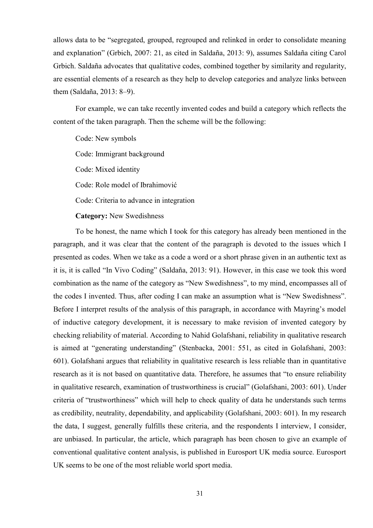allows data to be "segregated, grouped, regrouped and relinked in order to consolidate meaning and explanation" (Grbich, 2007: 21, as cited in Saldaña, 2013: 9), assumes Saldaña citing Carol Grbich. Saldaña advocates that qualitative codes, combined together by similarity and regularity, are essential elements of a research as they help to develop categories and analyze links between them (Saldaña, 2013: 8–9).

For example, we can take recently invented codes and build a category which reflects the content of the taken paragraph. Then the scheme will be the following:

Code: New symbols Code: Immigrant background Code: Mixed identity Code: Role model of Ibrahimović Code: Criteria to advance in integration

**Category:** New Swedishness

To be honest, the name which I took for this category has already been mentioned in the paragraph, and it was clear that the content of the paragraph is devoted to the issues which I presented as codes. When we take as a code a word or a short phrase given in an authentic text as it is, it is called "In Vivo Coding" (Saldaña, 2013: 91). However, in this case we took this word combination as the name of the category as "New Swedishness", to my mind, encompasses all of the codes I invented. Thus, after coding I can make an assumption what is "New Swedishness". Before I interpret results of the analysis of this paragraph, in accordance with Mayring's model of inductive category development, it is necessary to make revision of invented category by checking reliability of material. According to Nahid Golafshani, reliability in qualitative research is aimed at "generating understanding" (Stenbacka, 2001: 551, as cited in Golafshani, 2003: 601). Golafshani argues that reliability in qualitative research is less reliable than in quantitative research as it is not based on quantitative data. Therefore, he assumes that "to ensure reliability in qualitative research, examination of trustworthiness is crucial" (Golafshani, 2003: 601). Under criteria of "trustworthiness" which will help to check quality of data he understands such terms as credibility, neutrality, dependability, and applicability (Golafshani, 2003: 601). In my research the data, I suggest, generally fulfills these criteria, and the respondents I interview, I consider, are unbiased. In particular, the article, which paragraph has been chosen to give an example of conventional qualitative content analysis, is published in Eurosport UK media source. Eurosport UK seems to be one of the most reliable world sport media.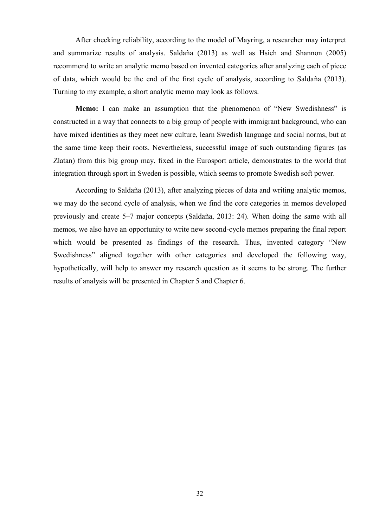After checking reliability, according to the model of Mayring, a researcher may interpret and summarize results of analysis. Saldaña (2013) as well as Hsieh and Shannon (2005) recommend to write an analytic memo based on invented categories after analyzing each of piece of data, which would be the end of the first cycle of analysis, according to Saldaña (2013). Turning to my example, a short analytic memo may look as follows.

**Memo:** I can make an assumption that the phenomenon of "New Swedishness" is constructed in a way that connects to a big group of people with immigrant background, who can have mixed identities as they meet new culture, learn Swedish language and social norms, but at the same time keep their roots. Nevertheless, successful image of such outstanding figures (as Zlatan) from this big group may, fixed in the Eurosport article, demonstrates to the world that integration through sport in Sweden is possible, which seems to promote Swedish soft power.

According to Saldaña (2013), after analyzing pieces of data and writing analytic memos, we may do the second cycle of analysis, when we find the core categories in memos developed previously and create 5–7 major concepts (Saldaña, 2013: 24). When doing the same with all memos, we also have an opportunity to write new second-cycle memos preparing the final report which would be presented as findings of the research. Thus, invented category "New Swedishness" aligned together with other categories and developed the following way, hypothetically, will help to answer my research question as it seems to be strong. The further results of analysis will be presented in Chapter 5 and Chapter 6.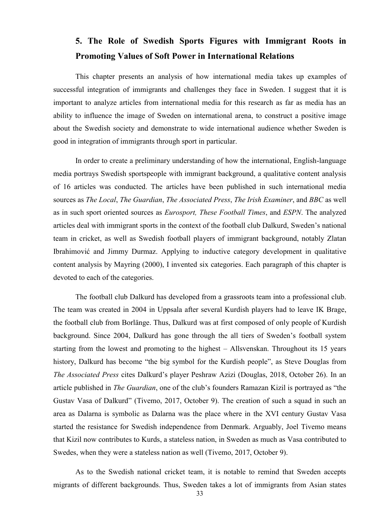# **5. The Role of Swedish Sports Figures with Immigrant Roots in Promoting Values of Soft Power in International Relations**

This chapter presents an analysis of how international media takes up examples of successful integration of immigrants and challenges they face in Sweden. I suggest that it is important to analyze articles from international media for this research as far as media has an ability to influence the image of Sweden on international arena, to construct a positive image about the Swedish society and demonstrate to wide international audience whether Sweden is good in integration of immigrants through sport in particular.

In order to create a preliminary understanding of how the international, English-language media portrays Swedish sportspeople with immigrant background, a qualitative content analysis of 16 articles was conducted. The articles have been published in such international media sources as *The Local*, *The Guardian*, *The Associated Press*, *The Irish Examiner*, and *BBC* as well as in such sport oriented sources as *Eurosport, These Football Times*, and *ESPN*. The analyzed articles deal with immigrant sports in the context of the football club Dalkurd, Sweden's national team in cricket, as well as Swedish football players of immigrant background, notably Zlatan Ibrahimović and Jimmy Durmaz. Applying to inductive category development in qualitative content analysis by Mayring (2000), I invented six categories. Each paragraph of this chapter is devoted to each of the categories.

The football club Dalkurd has developed from a grassroots team into a professional club. The team was created in 2004 in Uppsala after several Kurdish players had to leave IK Brage, the football club from Borlänge. Thus, Dalkurd was at first composed of only people of Kurdish background. Since 2004, Dalkurd has gone through the all tiers of Sweden's football system starting from the lowest and promoting to the highest – Allsvenskan. Throughout its 15 years history, Dalkurd has become "the big symbol for the Kurdish people", as Steve Douglas from *The Associated Press* cites Dalkurd's player Peshraw Azizi (Douglas, 2018, October 26). In an article published in *The Guardian*, one of the club's founders Ramazan Kizil is portrayed as "the Gustav Vasa of Dalkurd" (Tivemo, 2017, October 9). The creation of such a squad in such an area as Dalarna is symbolic as Dalarna was the place where in the XVI century Gustav Vasa started the resistance for Swedish independence from Denmark. Arguably, Joel Tivemo means that Kizil now contributes to Kurds, a stateless nation, in Sweden as much as Vasa contributed to Swedes, when they were a stateless nation as well (Tivemo, 2017, October 9).

As to the Swedish national cricket team, it is notable to remind that Sweden accepts migrants of different backgrounds. Thus, Sweden takes a lot of immigrants from Asian states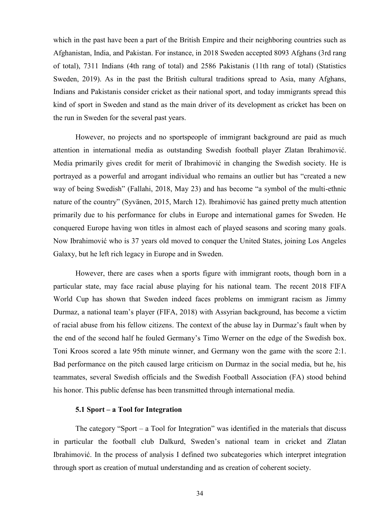which in the past have been a part of the British Empire and their neighboring countries such as Afghanistan, India, and Pakistan. For instance, in 2018 Sweden accepted 8093 Afghans (3rd rang of total), 7311 Indians (4th rang of total) and 2586 Pakistanis (11th rang of total) (Statistics Sweden, 2019). As in the past the British cultural traditions spread to Asia, many Afghans, Indians and Pakistanis consider cricket as their national sport, and today immigrants spread this kind of sport in Sweden and stand as the main driver of its development as cricket has been on the run in Sweden for the several past years.

However, no projects and no sportspeople of immigrant background are paid as much attention in international media as outstanding Swedish football player Zlatan Ibrahimović. Media primarily gives credit for merit of Ibrahimović in changing the Swedish society. He is portrayed as a powerful and arrogant individual who remains an outlier but has "created a new way of being Swedish" (Fallahi, 2018, May 23) and has become "a symbol of the multi-ethnic nature of the country" (Syvänen, 2015, March 12). Ibrahimović has gained pretty much attention primarily due to his performance for clubs in Europe and international games for Sweden. He conquered Europe having won titles in almost each of played seasons and scoring many goals. Now Ibrahimović who is 37 years old moved to conquer the United States, joining Los Angeles Galaxy, but he left rich legacy in Europe and in Sweden.

However, there are cases when a sports figure with immigrant roots, though born in a particular state, may face racial abuse playing for his national team. The recent 2018 FIFA World Cup has shown that Sweden indeed faces problems on immigrant racism as Jimmy Durmaz, a national team's player (FIFA, 2018) with Assyrian background, has become a victim of racial abuse from his fellow citizens. The context of the abuse lay in Durmaz's fault when by the end of the second half he fouled Germany's Timo Werner on the edge of the Swedish box. Toni Kroos scored a late 95th minute winner, and Germany won the game with the score 2:1. Bad performance on the pitch caused large criticism on Durmaz in the social media, but he, his teammates, several Swedish officials and the Swedish Football Association (FA) stood behind his honor. This public defense has been transmitted through international media.

# **5.1 Sport – a Tool for Integration**

The category "Sport – a Tool for Integration" was identified in the materials that discuss in particular the football club Dalkurd, Sweden's national team in cricket and Zlatan Ibrahimović. In the process of analysis I defined two subcategories which interpret integration through sport as creation of mutual understanding and as creation of coherent society.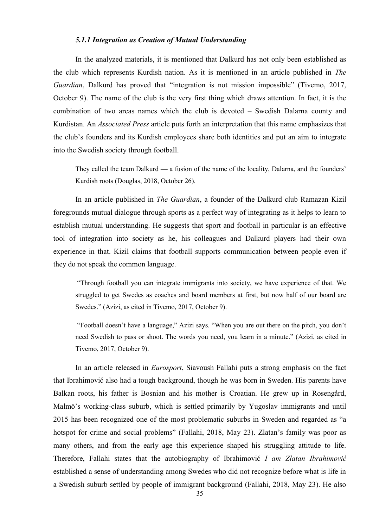#### *5.1.1 Integration as Creation of Mutual Understanding*

In the analyzed materials, it is mentioned that Dalkurd has not only been established as the club which represents Kurdish nation. As it is mentioned in an article published in *The Guardian*, Dalkurd has proved that "integration is not mission impossible" (Tivemo, 2017, October 9). The name of the club is the very first thing which draws attention. In fact, it is the combination of two areas names which the club is devoted – Swedish Dalarna county and Kurdistan. An *Associated Press* article puts forth an interpretation that this name emphasizes that the club's founders and its Kurdish employees share both identities and put an aim to integrate into the Swedish society through football.

They called the team Dalkurd — a fusion of the name of the locality, Dalarna, and the founders' Kurdish roots (Douglas, 2018, October 26).

In an article published in *The Guardian*, a founder of the Dalkurd club Ramazan Kizil foregrounds mutual dialogue through sports as a perfect way of integrating as it helps to learn to establish mutual understanding. He suggests that sport and football in particular is an effective tool of integration into society as he, his colleagues and Dalkurd players had their own experience in that. Kizil claims that football supports communication between people even if they do not speak the common language.

―Through football you can integrate immigrants into society, we have experience of that. We struggled to get Swedes as coaches and board members at first, but now half of our board are Swedes." (Azizi, as cited in Tivemo, 2017, October 9).

"Football doesn't have a language," Azizi says. "When you are out there on the pitch, you don't need Swedish to pass or shoot. The words you need, you learn in a minute." (Azizi, as cited in Tivemo, 2017, October 9).

In an article released in *Eurosport*, Siavoush Fallahi puts a strong emphasis on the fact that Ibrahimović also had a tough background, though he was born in Sweden. His parents have Balkan roots, his father is Bosnian and his mother is Croatian. He grew up in Rosengård, Malmö's working-class suburb, which is settled primarily by Yugoslav immigrants and until 2015 has been recognized one of the most problematic suburbs in Sweden and regarded as "a hotspot for crime and social problems" (Fallahi, 2018, May 23). Zlatan's family was poor as many others, and from the early age this experience shaped his struggling attitude to life. Therefore, Fallahi states that the autobiography of Ibrahimović *I am Zlatan Ibrahimović* established a sense of understanding among Swedes who did not recognize before what is life in a Swedish suburb settled by people of immigrant background (Fallahi, 2018, May 23). He also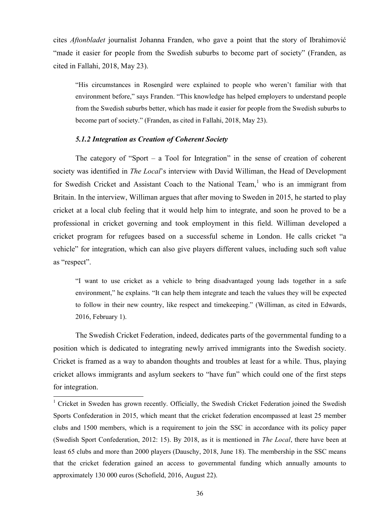cites *Aftonbladet* journalist Johanna Franden, who gave a point that the story of Ibrahimović "made it easier for people from the Swedish suburbs to become part of society" (Franden, as cited in Fallahi, 2018, May 23).

―His circumstances in Rosengård were explained to people who weren't familiar with that environment before," says Franden. "This knowledge has helped employers to understand people from the Swedish suburbs better, which has made it easier for people from the Swedish suburbs to become part of society." (Franden, as cited in Fallahi, 2018, May 23).

## *5.1.2 Integration as Creation of Coherent Society*

**.** 

The category of "Sport – a Tool for Integration" in the sense of creation of coherent society was identified in *The Local*'s interview with David Williman, the Head of Development for Swedish Cricket and Assistant Coach to the National Team,  $\frac{1}{1}$  who is an immigrant from Britain. In the interview, Williman argues that after moving to Sweden in 2015, he started to play cricket at a local club feeling that it would help him to integrate, and soon he proved to be a professional in cricket governing and took employment in this field. Williman developed a cricket program for refugees based on a successful scheme in London. He calls cricket "a vehicle" for integration, which can also give players different values, including such soft value as "respect".

―I want to use cricket as a vehicle to bring disadvantaged young lads together in a safe environment," he explains. "It can help them integrate and teach the values they will be expected to follow in their new country, like respect and timekeeping." (Williman, as cited in Edwards, 2016, February 1).

The Swedish Cricket Federation, indeed, dedicates parts of the governmental funding to a position which is dedicated to integrating newly arrived immigrants into the Swedish society. Cricket is framed as a way to abandon thoughts and troubles at least for a while. Thus, playing cricket allows immigrants and asylum seekers to "have fun" which could one of the first steps for integration.

<sup>&</sup>lt;sup>1</sup> Cricket in Sweden has grown recently. Officially, the Swedish Cricket Federation joined the Swedish Sports Confederation in 2015, which meant that the cricket federation encompassed at least 25 member clubs and 1500 members, which is a requirement to join the SSC in accordance with its policy paper (Swedish Sport Confederation, 2012: 15). By 2018, as it is mentioned in *The Local*, there have been at least 65 clubs and more than 2000 players (Dauschy, 2018, June 18). The membership in the SSC means that the cricket federation gained an access to governmental funding which annually amounts to approximately 130 000 euros (Schofield, 2016, August 22).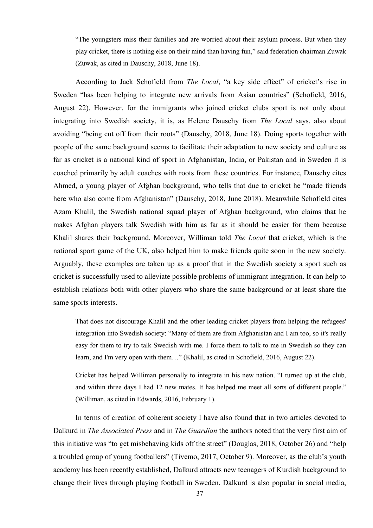―The youngsters miss their families and are worried about their asylum process. But when they play cricket, there is nothing else on their mind than having fun," said federation chairman Zuwak (Zuwak, as cited in Dauschy, 2018, June 18).

According to Jack Schofield from *The Local*, "a key side effect" of cricket's rise in Sweden "has been helping to integrate new arrivals from Asian countries" (Schofield, 2016, August 22). However, for the immigrants who joined cricket clubs sport is not only about integrating into Swedish society, it is, as Helene Dauschy from *The Local* says, also about avoiding "being cut off from their roots" (Dauschy, 2018, June 18). Doing sports together with people of the same background seems to facilitate their adaptation to new society and culture as far as cricket is a national kind of sport in Afghanistan, India, or Pakistan and in Sweden it is coached primarily by adult coaches with roots from these countries. For instance, Dauschy cites Ahmed, a young player of Afghan background, who tells that due to cricket he "made friends" here who also come from Afghanistan" (Dauschy, 2018, June 2018). Meanwhile Schofield cites Azam Khalil, the Swedish national squad player of Afghan background, who claims that he makes Afghan players talk Swedish with him as far as it should be easier for them because Khalil shares their background. Moreover, Williman told *The Local* that cricket, which is the national sport game of the UK, also helped him to make friends quite soon in the new society. Arguably, these examples are taken up as a proof that in the Swedish society a sport such as cricket is successfully used to alleviate possible problems of immigrant integration. It can help to establish relations both with other players who share the same background or at least share the same sports interests.

That does not discourage Khalil and the other leading cricket players from helping the refugees' integration into Swedish society: "Many of them are from Afghanistan and I am too, so it's really easy for them to try to talk Swedish with me. I force them to talk to me in Swedish so they can learn, and I'm very open with them..." (Khalil, as cited in Schofield, 2016, August 22).

Cricket has helped Williman personally to integrate in his new nation. "I turned up at the club, and within three days I had 12 new mates. It has helped me meet all sorts of different people." (Williman, as cited in Edwards, 2016, February 1).

In terms of creation of coherent society I have also found that in two articles devoted to Dalkurd in *The Associated Press* and in *The Guardian* the authors noted that the very first aim of this initiative was "to get misbehaving kids off the street" (Douglas, 2018, October 26) and "help a troubled group of young footballers" (Tivemo, 2017, October 9). Moreover, as the club's youth academy has been recently established, Dalkurd attracts new teenagers of Kurdish background to change their lives through playing football in Sweden. Dalkurd is also popular in social media,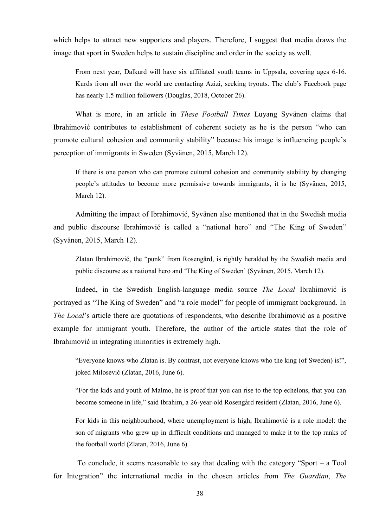which helps to attract new supporters and players. Therefore, I suggest that media draws the image that sport in Sweden helps to sustain discipline and order in the society as well.

From next year, Dalkurd will have six affiliated youth teams in Uppsala, covering ages 6-16. Kurds from all over the world are contacting Azizi, seeking tryouts. The club's Facebook page has nearly 1.5 million followers (Douglas, 2018, October 26).

What is more, in an article in *These Football Times* Luyang Syvänen claims that Ibrahimović contributes to establishment of coherent society as he is the person "who can promote cultural cohesion and community stability" because his image is influencing people's perception of immigrants in Sweden (Syvänen, 2015, March 12).

If there is one person who can promote cultural cohesion and community stability by changing people's attitudes to become more permissive towards immigrants, it is he (Syvänen, 2015, March 12).

Admitting the impact of Ibrahimović, Syvänen also mentioned that in the Swedish media and public discourse Ibrahimović is called a "national hero" and "The King of Sweden" (Syvänen, 2015, March 12).

Zlatan Ibrahimović, the "punk" from Rosengård, is rightly heralded by the Swedish media and public discourse as a national hero and ‗The King of Sweden' (Syvänen, 2015, March 12).

Indeed, in the Swedish English-language media source *The Local* Ibrahimović is portrayed as "The King of Sweden" and "a role model" for people of immigrant background. In *The Local*'s article there are quotations of respondents, who describe Ibrahimović as a positive example for immigrant youth. Therefore, the author of the article states that the role of Ibrahimović in integrating minorities is extremely high.

"Everyone knows who Zlatan is. By contrast, not everyone knows who the king (of Sweden) is!", joked Milosević (Zlatan, 2016, June 6).

―For the kids and youth of Malmo, he is proof that you can rise to the top echelons, that you can become someone in life," said Ibrahim, a 26-year-old Rosengård resident (Zlatan, 2016, June 6).

For kids in this neighbourhood, where unemployment is high, Ibrahimović is a role model: the son of migrants who grew up in difficult conditions and managed to make it to the top ranks of the football world (Zlatan, 2016, June 6).

To conclude, it seems reasonable to say that dealing with the category "Sport – a Tool" for Integration" the international media in the chosen articles from *The Guardian*, *The*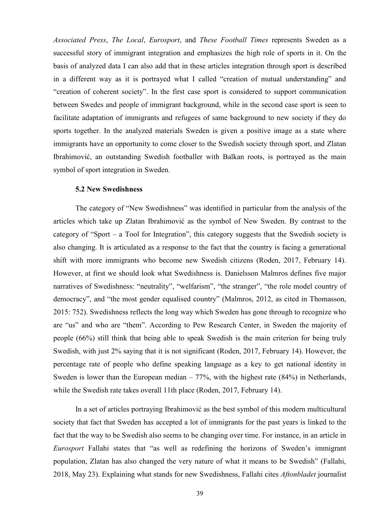*Associated Press*, *The Local*, *Eurosport*, and *These Football Times* represents Sweden as a successful story of immigrant integration and emphasizes the high role of sports in it. On the basis of analyzed data I can also add that in these articles integration through sport is described in a different way as it is portrayed what I called "creation of mutual understanding" and "creation of coherent society". In the first case sport is considered to support communication between Swedes and people of immigrant background, while in the second case sport is seen to facilitate adaptation of immigrants and refugees of same background to new society if they do sports together. In the analyzed materials Sweden is given a positive image as a state where immigrants have an opportunity to come closer to the Swedish society through sport, and Zlatan Ibrahimović, an outstanding Swedish footballer with Balkan roots, is portrayed as the main symbol of sport integration in Sweden.

## **5.2 New Swedishness**

The category of "New Swedishness" was identified in particular from the analysis of the articles which take up Zlatan Ibrahimović as the symbol of New Sweden. By contrast to the category of "Sport – a Tool for Integration", this category suggests that the Swedish society is also changing. It is articulated as a response to the fact that the country is facing a generational shift with more immigrants who become new Swedish citizens (Roden, 2017, February 14). However, at first we should look what Swedishness is. Danielsson Malmros defines five major narratives of Swedishness: "neutrality", "welfarism", "the stranger", "the role model country of democracy", and "the most gender equalised country" (Malmros, 2012, as cited in Thomasson, 2015: 752). Swedishness reflects the long way which Sweden has gone through to recognize who are "us" and who are "them". According to Pew Research Center, in Sweden the majority of people (66%) still think that being able to speak Swedish is the main criterion for being truly Swedish, with just 2% saying that it is not significant (Roden, 2017, February 14). However, the percentage rate of people who define speaking language as a key to get national identity in Sweden is lower than the European median – 77%, with the highest rate (84%) in Netherlands, while the Swedish rate takes overall 11th place (Roden, 2017, February 14).

In a set of articles portraying Ibrahimović as the best symbol of this modern multicultural society that fact that Sweden has accepted a lot of immigrants for the past years is linked to the fact that the way to be Swedish also seems to be changing over time. For instance, in an article in *Eurosport* Fallahi states that "as well as redefining the horizons of Sweden's immigrant population, Zlatan has also changed the very nature of what it means to be Swedish" (Fallahi, 2018, May 23). Explaining what stands for new Swedishness, Fallahi cites *Aftonbladet* journalist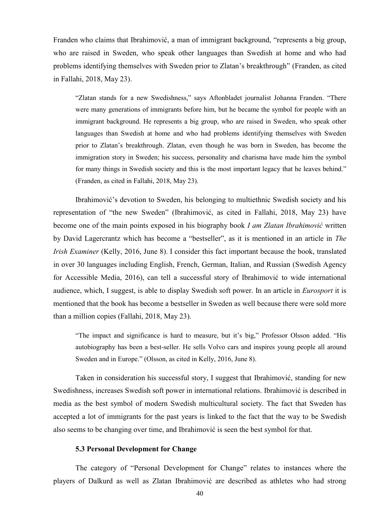Franden who claims that Ibrahimović, a man of immigrant background, "represents a big group, who are raised in Sweden, who speak other languages than Swedish at home and who had problems identifying themselves with Sweden prior to Zlatan's breakthrough" (Franden, as cited in Fallahi, 2018, May 23).

"Zlatan stands for a new Swedishness," says Aftonbladet journalist Johanna Franden. "There were many generations of immigrants before him, but he became the symbol for people with an immigrant background. He represents a big group, who are raised in Sweden, who speak other languages than Swedish at home and who had problems identifying themselves with Sweden prior to Zlatan's breakthrough. Zlatan, even though he was born in Sweden, has become the immigration story in Sweden; his success, personality and charisma have made him the symbol for many things in Swedish society and this is the most important legacy that he leaves behind." (Franden, as cited in Fallahi, 2018, May 23).

Ibrahimović's devotion to Sweden, his belonging to multiethnic Swedish society and his representation of "the new Sweden" (Ibrahimović, as cited in Fallahi, 2018, May 23) have become one of the main points exposed in his biography book *I am Zlatan Ibrahimović* written by David Lagercrantz which has become a "bestseller", as it is mentioned in an article in *The Irish Examiner* (Kelly, 2016, June 8). I consider this fact important because the book, translated in over 30 languages including English, French, German, Italian, and Russian (Swedish Agency for Accessible Media, 2016), can tell a successful story of Ibrahimović to wide international audience, which, I suggest, is able to display Swedish soft power. In an article in *Eurosport* it is mentioned that the book has become a bestseller in Sweden as well because there were sold more than a million copies (Fallahi, 2018, May 23).

"The impact and significance is hard to measure, but it's big," Professor Olsson added. "His autobiography has been a best-seller. He sells Volvo cars and inspires young people all around Sweden and in Europe." (Olsson, as cited in Kelly, 2016, June 8).

Taken in consideration his successful story, I suggest that Ibrahimović, standing for new Swedishness, increases Swedish soft power in international relations. Ibrahimović is described in media as the best symbol of modern Swedish multicultural society. The fact that Sweden has accepted a lot of immigrants for the past years is linked to the fact that the way to be Swedish also seems to be changing over time, and Ibrahimović is seen the best symbol for that.

#### **5.3 Personal Development for Change**

The category of "Personal Development for Change" relates to instances where the players of Dalkurd as well as Zlatan Ibrahimović are described as athletes who had strong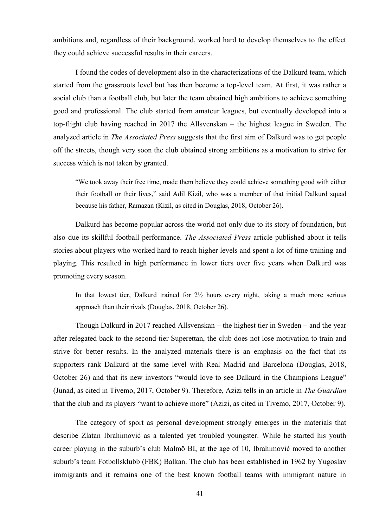ambitions and, regardless of their background, worked hard to develop themselves to the effect they could achieve successful results in their careers.

I found the codes of development also in the characterizations of the Dalkurd team, which started from the grassroots level but has then become a top-level team. At first, it was rather a social club than a football club, but later the team obtained high ambitions to achieve something good and professional. The club started from amateur leagues, but eventually developed into a top-flight club having reached in 2017 the Allsvenskan – the highest league in Sweden. The analyzed article in *The Associated Press* suggests that the first aim of Dalkurd was to get people off the streets, though very soon the club obtained strong ambitions as a motivation to strive for success which is not taken by granted.

―We took away their free time, made them believe they could achieve something good with either their football or their lives," said Adil Kizil, who was a member of that initial Dalkurd squad because his father, Ramazan (Kizil, as cited in Douglas, 2018, October 26).

Dalkurd has become popular across the world not only due to its story of foundation, but also due its skillful football performance. *The Associated Press* article published about it tells stories about players who worked hard to reach higher levels and spent a lot of time training and playing. This resulted in high performance in lower tiers over five years when Dalkurd was promoting every season.

In that lowest tier, Dalkurd trained for 2½ hours every night, taking a much more serious approach than their rivals (Douglas, 2018, October 26).

Though Dalkurd in 2017 reached Allsvenskan – the highest tier in Sweden – and the year after relegated back to the second-tier Superettan, the club does not lose motivation to train and strive for better results. In the analyzed materials there is an emphasis on the fact that its supporters rank Dalkurd at the same level with Real Madrid and Barcelona (Douglas, 2018, October 26) and that its new investors "would love to see Dalkurd in the Champions League" (Junad, as cited in Tivemo, 2017, October 9). Therefore, Azizi tells in an article in *The Guardian* that the club and its players "want to achieve more" (Azizi, as cited in Tivemo, 2017, October 9).

The category of sport as personal development strongly emerges in the materials that describe Zlatan Ibrahimović as a talented yet troubled youngster. While he started his youth career playing in the suburb's club Malmö BI, at the age of 10, Ibrahimović moved to another suburb's team Fotbollsklubb (FBK) Balkan. The club has been established in 1962 by Yugoslav immigrants and it remains one of the best known football teams with immigrant nature in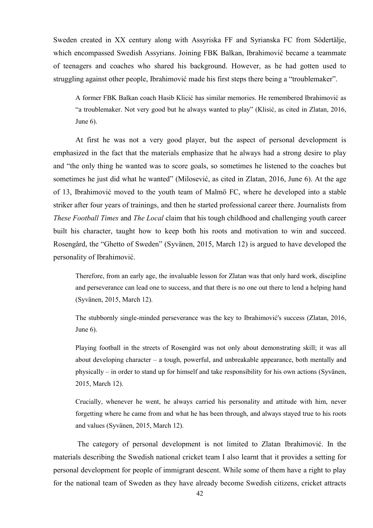Sweden created in XX century along with Assyriska FF and Syrianska FC from Södertälje, which encompassed Swedish Assyrians. Joining FBK Balkan, Ibrahimović became a teammate of teenagers and coaches who shared his background. However, as he had gotten used to struggling against other people, Ibrahimović made his first steps there being a "troublemaker".

A former FBK Balkan coach Hasib Klicić has similar memories. He remembered Ibrahimović as "a troublemaker. Not very good but he always wanted to play" (Klisić, as cited in Zlatan, 2016, June 6).

At first he was not a very good player, but the aspect of personal development is emphasized in the fact that the materials emphasize that he always had a strong desire to play and "the only thing he wanted was to score goals, so sometimes he listened to the coaches but sometimes he just did what he wanted" (Milosević, as cited in Zlatan, 2016, June 6). At the age of 13, Ibrahimović moved to the youth team of Malmö FC, where he developed into a stable striker after four years of trainings, and then he started professional career there. Journalists from *These Football Times* and *The Local* claim that his tough childhood and challenging youth career built his character, taught how to keep both his roots and motivation to win and succeed. Rosengård, the "Ghetto of Sweden" (Syvänen, 2015, March 12) is argued to have developed the personality of Ibrahimović.

Therefore, from an early age, the invaluable lesson for Zlatan was that only hard work, discipline and perseverance can lead one to success, and that there is no one out there to lend a helping hand (Syvänen, 2015, March 12).

The stubbornly single-minded perseverance was the key to Ibrahimović's success (Zlatan, 2016, June 6).

Playing football in the streets of Rosengård was not only about demonstrating skill; it was all about developing character – a tough, powerful, and unbreakable appearance, both mentally and physically – in order to stand up for himself and take responsibility for his own actions (Syvänen, 2015, March 12).

Crucially, whenever he went, he always carried his personality and attitude with him, never forgetting where he came from and what he has been through, and always stayed true to his roots and values (Syvänen, 2015, March 12).

The category of personal development is not limited to Zlatan Ibrahimović. In the materials describing the Swedish national cricket team I also learnt that it provides a setting for personal development for people of immigrant descent. While some of them have a right to play for the national team of Sweden as they have already become Swedish citizens, cricket attracts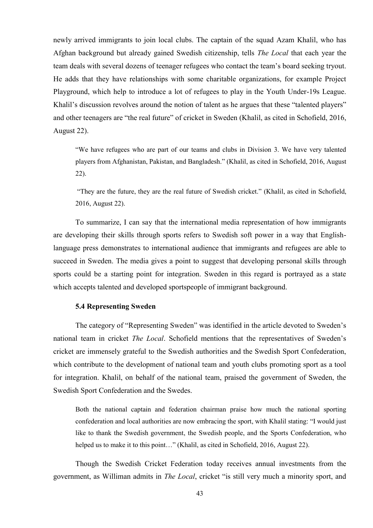newly arrived immigrants to join local clubs. The captain of the squad Azam Khalil, who has Afghan background but already gained Swedish citizenship, tells *The Local* that each year the team deals with several dozens of teenager refugees who contact the team's board seeking tryout. He adds that they have relationships with some charitable organizations, for example Project Playground, which help to introduce a lot of refugees to play in the Youth Under-19s League. Khalil's discussion revolves around the notion of talent as he argues that these "talented players" and other teenagers are "the real future" of cricket in Sweden (Khalil, as cited in Schofield, 2016, August 22).

―We have refugees who are part of our teams and clubs in Division 3. We have very talented players from Afghanistan, Pakistan, and Bangladesh." (Khalil, as cited in Schofield, 2016, August 22).

―They are the future, they are the real future of Swedish cricket.‖ (Khalil, as cited in Schofield, 2016, August 22).

To summarize, I can say that the international media representation of how immigrants are developing their skills through sports refers to Swedish soft power in a way that Englishlanguage press demonstrates to international audience that immigrants and refugees are able to succeed in Sweden. The media gives a point to suggest that developing personal skills through sports could be a starting point for integration. Sweden in this regard is portrayed as a state which accepts talented and developed sportspeople of immigrant background.

#### **5.4 Representing Sweden**

The category of "Representing Sweden" was identified in the article devoted to Sweden's national team in cricket *The Local*. Schofield mentions that the representatives of Sweden's cricket are immensely grateful to the Swedish authorities and the Swedish Sport Confederation, which contribute to the development of national team and youth clubs promoting sport as a tool for integration. Khalil, on behalf of the national team, praised the government of Sweden, the Swedish Sport Confederation and the Swedes.

Both the national captain and federation chairman praise how much the national sporting confederation and local authorities are now embracing the sport, with Khalil stating: "I would just like to thank the Swedish government, the Swedish people, and the Sports Confederation, who helped us to make it to this point..." (Khalil, as cited in Schofield, 2016, August 22).

Though the Swedish Cricket Federation today receives annual investments from the government, as Williman admits in *The Local*, cricket "is still very much a minority sport, and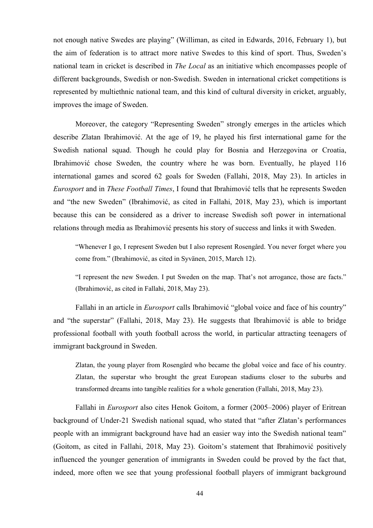not enough native Swedes are playing" (Williman, as cited in Edwards, 2016, February 1), but the aim of federation is to attract more native Swedes to this kind of sport. Thus, Sweden's national team in cricket is described in *The Local* as an initiative which encompasses people of different backgrounds, Swedish or non-Swedish. Sweden in international cricket competitions is represented by multiethnic national team, and this kind of cultural diversity in cricket, arguably, improves the image of Sweden.

Moreover, the category "Representing Sweden" strongly emerges in the articles which describe Zlatan Ibrahimović. At the age of 19, he played his first international game for the Swedish national squad. Though he could play for Bosnia and Herzegovina or Croatia, Ibrahimović chose Sweden, the country where he was born. Eventually, he played 116 international games and scored 62 goals for Sweden (Fallahi, 2018, May 23). In articles in *Eurosport* and in *These Football Times*, I found that Ibrahimović tells that he represents Sweden and "the new Sweden" (Ibrahimović, as cited in Fallahi, 2018, May 23), which is important because this can be considered as a driver to increase Swedish soft power in international relations through media as Ibrahimović presents his story of success and links it with Sweden.

―Whenever I go, I represent Sweden but I also represent Rosengård. You never forget where you come from." (Ibrahimović, as cited in Syvänen, 2015, March 12).

"I represent the new Sweden. I put Sweden on the map. That's not arrogance, those are facts." (Ibrahimović, as cited in Fallahi, 2018, May 23).

Fallahi in an article in *Eurosport* calls Ibrahimović "global voice and face of his country" and "the superstar" (Fallahi, 2018, May 23). He suggests that Ibrahimović is able to bridge professional football with youth football across the world, in particular attracting teenagers of immigrant background in Sweden.

Zlatan, the young player from Rosengård who became the global voice and face of his country. Zlatan, the superstar who brought the great European stadiums closer to the suburbs and transformed dreams into tangible realities for a whole generation (Fallahi, 2018, May 23).

Fallahi in *Eurosport* also cites Henok Goitom, a former (2005–2006) player of Eritrean background of Under-21 Swedish national squad, who stated that "after Zlatan's performances" people with an immigrant background have had an easier way into the Swedish national team" (Goitom, as cited in Fallahi, 2018, May 23). Goitom's statement that Ibrahimović positively influenced the younger generation of immigrants in Sweden could be proved by the fact that, indeed, more often we see that young professional football players of immigrant background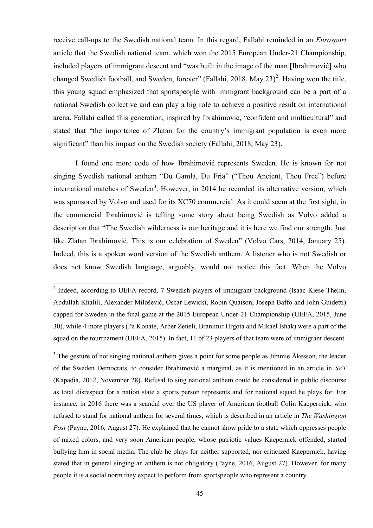receive call-ups to the Swedish national team. In this regard, Fallahi reminded in an *Eurosport* article that the Swedish national team, which won the 2015 European Under-21 Championship, included players of immigrant descent and "was built in the image of the man [Ibrahimović] who changed Swedish football, and Sweden, forever" (Fallahi, 2018, May 23)<sup>2</sup>. Having won the title, this young squad emphasized that sportspeople with immigrant background can be a part of a national Swedish collective and can play a big role to achieve a positive result on international arena. Fallahi called this generation, inspired by Ibrahimović, "confident and multicultural" and stated that "the importance of Zlatan for the country's immigrant population is even more significant" than his impact on the Swedish society (Fallahi, 2018, May 23).

I found one more code of how Ibrahimović represents Sweden. He is known for not singing Swedish national anthem "Du Gamla, Du Fria" ("Thou Ancient, Thou Free") before international matches of Sweden<sup>3</sup>. However, in 2014 he recorded its alternative version, which was sponsored by Volvo and used for its XC70 commercial. As it could seem at the first sight, in the commercial Ibrahimović is telling some story about being Swedish as Volvo added a description that "The Swedish wilderness is our heritage and it is here we find our strength. Just like Zlatan Ibrahimović. This is our celebration of Sweden" (Volvo Cars, 2014, January 25). Indeed, this is a spoken word version of the Swedish anthem. A listener who is not Swedish or does not know Swedish language, arguably, would not notice this fact. When the Volvo

1

<sup>3</sup> The gesture of not singing national anthem gives a point for some people as Jimmie Åkesson, the leader of the Sweden Democrats, to consider Ibrahimović a marginal, as it is mentioned in an article in *SVT* (Kapadia, 2012, November 28). Refusal to sing national anthem could be considered in public discourse as total disrespect for a nation state a sports person represents and for national squad he plays for. For instance, in 2016 there was a scandal over the US player of American football Colin Kaepernick, who refused to stand for national anthem for several times, which is described in an article in *The Washington Post* (Payne, 2016, August 27). He explained that he cannot show pride to a state which oppresses people of mixed colors, and very soon American people, whose patriotic values Kaepernick offended, started bullying him in social media. The club he plays for neither supported, nor criticized Kaepernick, having stated that in general singing an anthem is not obligatory (Payne, 2016, August 27). However, for many people it is a social norm they expect to perform from sportspeople who represent a country.

<sup>&</sup>lt;sup>2</sup> Indeed, according to UEFA record, 7 Swedish players of immigrant background (Isaac Kiese Thelin, Abdullah Khalili, Alexander Milošević, Oscar Lewicki, Robin Quaison, Joseph Baffo and John Guidetti) capped for Sweden in the final game at the 2015 European Under-21 Championship (UEFA, 2015, June 30), while 4 more players (Pa Konate, Arber Zeneli, Branimir Hrgota and Mikael Ishak) were a part of the squad on the tourrnament (UEFA, 2015). In fact, 11 of 23 players of that team were of immigrant descent.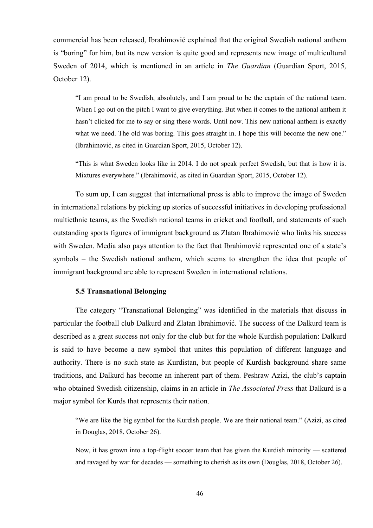commercial has been released, Ibrahimović explained that the original Swedish national anthem is "boring" for him, but its new version is quite good and represents new image of multicultural Sweden of 2014, which is mentioned in an article in *The Guardian* (Guardian Sport, 2015, October 12).

―I am proud to be Swedish, absolutely, and I am proud to be the captain of the national team. When I go out on the pitch I want to give everything. But when it comes to the national anthem it hasn't clicked for me to say or sing these words. Until now. This new national anthem is exactly what we need. The old was boring. This goes straight in. I hope this will become the new one." (Ibrahimović, as cited in Guardian Sport, 2015, October 12).

―This is what Sweden looks like in 2014. I do not speak perfect Swedish, but that is how it is. Mixtures everywhere." (Ibrahimović, as cited in Guardian Sport, 2015, October 12).

To sum up, I can suggest that international press is able to improve the image of Sweden in international relations by picking up stories of successful initiatives in developing professional multiethnic teams, as the Swedish national teams in cricket and football, and statements of such outstanding sports figures of immigrant background as Zlatan Ibrahimović who links his success with Sweden. Media also pays attention to the fact that Ibrahimović represented one of a state's symbols – the Swedish national anthem, which seems to strengthen the idea that people of immigrant background are able to represent Sweden in international relations.

# **5.5 Transnational Belonging**

The category "Transnational Belonging" was identified in the materials that discuss in particular the football club Dalkurd and Zlatan Ibrahimović. The success of the Dalkurd team is described as a great success not only for the club but for the whole Kurdish population: Dalkurd is said to have become a new symbol that unites this population of different language and authority. There is no such state as Kurdistan, but people of Kurdish background share same traditions, and Dalkurd has become an inherent part of them. Peshraw Azizi, the club's captain who obtained Swedish citizenship, claims in an article in *The Associated Press* that Dalkurd is a major symbol for Kurds that represents their nation.

"We are like the big symbol for the Kurdish people. We are their national team." (Azizi, as cited in Douglas, 2018, October 26).

Now, it has grown into a top-flight soccer team that has given the Kurdish minority — scattered and ravaged by war for decades — something to cherish as its own (Douglas, 2018, October 26).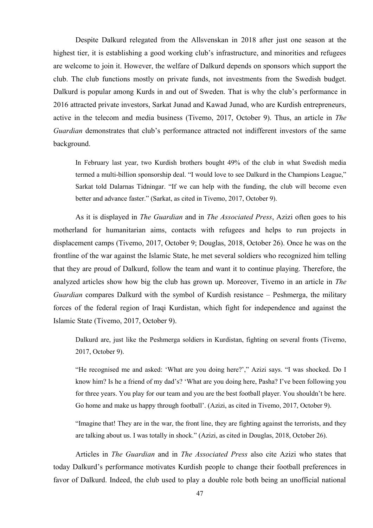Despite Dalkurd relegated from the Allsvenskan in 2018 after just one season at the highest tier, it is establishing a good working club's infrastructure, and minorities and refugees are welcome to join it. However, the welfare of Dalkurd depends on sponsors which support the club. The club functions mostly on private funds, not investments from the Swedish budget. Dalkurd is popular among Kurds in and out of Sweden. That is why the club's performance in 2016 attracted private investors, Sarkat Junad and Kawad Junad, who are Kurdish entrepreneurs, active in the telecom and media business (Tivemo, 2017, October 9). Thus, an article in *The Guardian* demonstrates that club's performance attracted not indifferent investors of the same background.

In February last year, two Kurdish brothers bought 49% of the club in what Swedish media termed a multi-billion sponsorship deal. "I would love to see Dalkurd in the Champions League," Sarkat told Dalarnas Tidningar. "If we can help with the funding, the club will become even better and advance faster." (Sarkat, as cited in Tivemo, 2017, October 9).

As it is displayed in *The Guardian* and in *The Associated Press*, Azizi often goes to his motherland for humanitarian aims, contacts with refugees and helps to run projects in displacement camps (Tivemo, 2017, October 9; Douglas, 2018, October 26). Once he was on the frontline of the war against the Islamic State, he met several soldiers who recognized him telling that they are proud of Dalkurd, follow the team and want it to continue playing. Therefore, the analyzed articles show how big the club has grown up. Moreover, Tivemo in an article in *The Guardian* compares Dalkurd with the symbol of Kurdish resistance – Peshmerga, the military forces of the federal region of Iraqi Kurdistan, which fight for independence and against the Islamic State (Tivemo, 2017, October 9).

Dalkurd are, just like the Peshmerga soldiers in Kurdistan, fighting on several fronts (Tivemo, 2017, October 9).

"He recognised me and asked: 'What are you doing here?'," Azizi says. "I was shocked. Do I know him? Is he a friend of my dad's? 'What are you doing here, Pasha? I've been following you for three years. You play for our team and you are the best football player. You shouldn't be here. Go home and make us happy through football'. (Azizi, as cited in Tivemo, 2017, October 9).

"Imagine that! They are in the war, the front line, they are fighting against the terrorists, and they are talking about us. I was totally in shock." (Azizi, as cited in Douglas, 2018, October 26).

Articles in *The Guardian* and in *The Associated Press* also cite Azizi who states that today Dalkurd's performance motivates Kurdish people to change their football preferences in favor of Dalkurd. Indeed, the club used to play a double role both being an unofficial national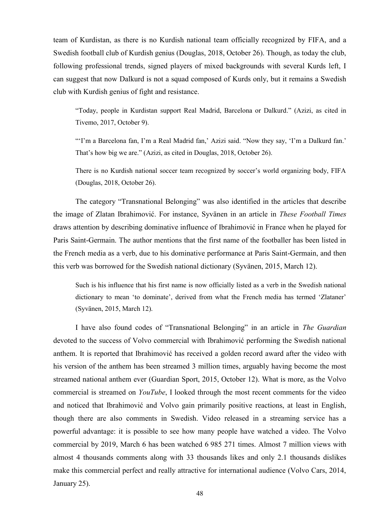team of Kurdistan, as there is no Kurdish national team officially recognized by FIFA, and a Swedish football club of Kurdish genius (Douglas, 2018, October 26). Though, as today the club, following professional trends, signed players of mixed backgrounds with several Kurds left, I can suggest that now Dalkurd is not a squad composed of Kurds only, but it remains a Swedish club with Kurdish genius of fight and resistance.

―Today, people in Kurdistan support Real Madrid, Barcelona or Dalkurd.‖ (Azizi, as cited in Tivemo, 2017, October 9).

"'I'm a Barcelona fan, I'm a Real Madrid fan,' Azizi said. "Now they say, 'I'm a Dalkurd fan.' That's how big we are." (Azizi, as cited in Douglas, 2018, October 26).

There is no Kurdish national soccer team recognized by soccer's world organizing body, FIFA (Douglas, 2018, October 26).

The category "Transnational Belonging" was also identified in the articles that describe the image of Zlatan Ibrahimović. For instance, Syvänen in an article in *These Football Times* draws attention by describing dominative influence of Ibrahimović in France when he played for Paris Saint-Germain. The author mentions that the first name of the footballer has been listed in the French media as a verb, due to his dominative performance at Paris Saint-Germain, and then this verb was borrowed for the Swedish national dictionary (Syvänen, 2015, March 12).

Such is his influence that his first name is now officially listed as a verb in the Swedish national dictionary to mean 'to dominate', derived from what the French media has termed 'Zlataner' (Syvänen, 2015, March 12).

I have also found codes of "Transnational Belonging" in an article in *The Guardian* devoted to the success of Volvo commercial with Ibrahimović performing the Swedish national anthem. It is reported that Ibrahimović has received a golden record award after the video with his version of the anthem has been streamed 3 million times, arguably having become the most streamed national anthem ever (Guardian Sport, 2015, October 12). What is more, as the Volvo commercial is streamed on *YouTube*, I looked through the most recent comments for the video and noticed that Ibrahimović and Volvo gain primarily positive reactions, at least in English, though there are also comments in Swedish. Video released in a streaming service has a powerful advantage: it is possible to see how many people have watched a video. The Volvo commercial by 2019, March 6 has been watched 6 985 271 times. Almost 7 million views with almost 4 thousands comments along with 33 thousands likes and only 2.1 thousands dislikes make this commercial perfect and really attractive for international audience (Volvo Cars, 2014, January 25).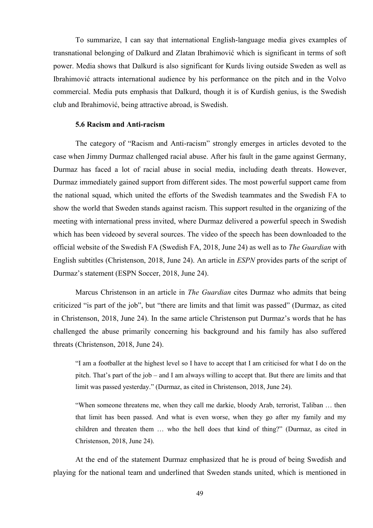To summarize, I can say that international English-language media gives examples of transnational belonging of Dalkurd and Zlatan Ibrahimović which is significant in terms of soft power. Media shows that Dalkurd is also significant for Kurds living outside Sweden as well as Ibrahimović attracts international audience by his performance on the pitch and in the Volvo commercial. Media puts emphasis that Dalkurd, though it is of Kurdish genius, is the Swedish club and Ibrahimović, being attractive abroad, is Swedish.

#### **5.6 Racism and Anti-racism**

The category of "Racism and Anti-racism" strongly emerges in articles devoted to the case when Jimmy Durmaz challenged racial abuse. After his fault in the game against Germany, Durmaz has faced a lot of racial abuse in social media, including death threats. However, Durmaz immediately gained support from different sides. The most powerful support came from the national squad, which united the efforts of the Swedish teammates and the Swedish FA to show the world that Sweden stands against racism. This support resulted in the organizing of the meeting with international press invited, where Durmaz delivered a powerful speech in Swedish which has been videoed by several sources. The video of the speech has been downloaded to the official website of the Swedish FA (Swedish FA, 2018, June 24) as well as to *The Guardian* with English subtitles (Christenson, 2018, June 24). An article in *ESPN* provides parts of the script of Durmaz's statement (ESPN Soccer, 2018, June 24).

Marcus Christenson in an article in *The Guardian* cites Durmaz who admits that being criticized "is part of the job", but "there are limits and that limit was passed" (Durmaz, as cited in Christenson, 2018, June 24). In the same article Christenson put Durmaz's words that he has challenged the abuse primarily concerning his background and his family has also suffered threats (Christenson, 2018, June 24).

―I am a footballer at the highest level so I have to accept that I am criticised for what I do on the pitch. That's part of the job – and I am always willing to accept that. But there are limits and that limit was passed yesterday." (Durmaz, as cited in Christenson, 2018, June 24).

―When someone threatens me, when they call me darkie, bloody Arab, terrorist, Taliban … then that limit has been passed. And what is even worse, when they go after my family and my children and threaten them ... who the hell does that kind of thing?" (Durmaz, as cited in Christenson, 2018, June 24).

At the end of the statement Durmaz emphasized that he is proud of being Swedish and playing for the national team and underlined that Sweden stands united, which is mentioned in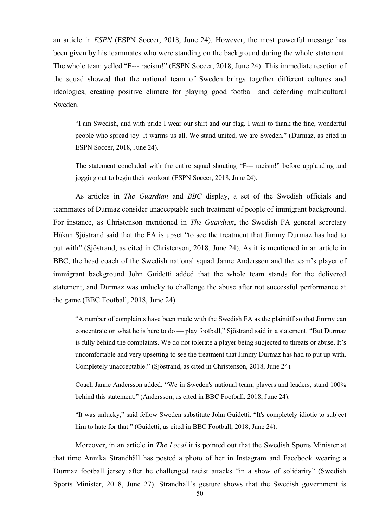an article in *ESPN* (ESPN Soccer, 2018, June 24). However, the most powerful message has been given by his teammates who were standing on the background during the whole statement. The whole team velled "F--- racism!" (ESPN Soccer, 2018, June 24). This immediate reaction of the squad showed that the national team of Sweden brings together different cultures and ideologies, creating positive climate for playing good football and defending multicultural Sweden.

―I am Swedish, and with pride I wear our shirt and our flag. I want to thank the fine, wonderful people who spread joy. It warms us all. We stand united, we are Sweden.‖ (Durmaz, as cited in ESPN Soccer, 2018, June 24).

The statement concluded with the entire squad shouting "F--- racism!" before applauding and jogging out to begin their workout (ESPN Soccer, 2018, June 24).

As articles in *The Guardian* and *BBC* display, a set of the Swedish officials and teammates of Durmaz consider unacceptable such treatment of people of immigrant background. For instance, as Christenson mentioned in *The Guardian*, the Swedish FA general secretary Håkan Sjöstrand said that the FA is upset "to see the treatment that Jimmy Durmaz has had to put with" (Sjöstrand, as cited in Christenson, 2018, June 24). As it is mentioned in an article in BBC, the head coach of the Swedish national squad Janne Andersson and the team's player of immigrant background John Guidetti added that the whole team stands for the delivered statement, and Durmaz was unlucky to challenge the abuse after not successful performance at the game (BBC Football, 2018, June 24).

―A number of complaints have been made with the Swedish FA as the plaintiff so that Jimmy can concentrate on what he is here to do — play football," Sjöstrand said in a statement. "But Durmaz is fully behind the complaints. We do not tolerate a player being subjected to threats or abuse. It's uncomfortable and very upsetting to see the treatment that Jimmy Durmaz has had to put up with. Completely unacceptable." (Sjöstrand, as cited in Christenson, 2018, June 24).

Coach Janne Andersson added: "We in Sweden's national team, players and leaders, stand 100% behind this statement." (Andersson, as cited in BBC Football, 2018, June 24).

"It was unlucky," said fellow Sweden substitute John Guidetti. "It's completely idiotic to subject him to hate for that." (Guidetti, as cited in BBC Football, 2018, June 24).

Moreover, in an article in *The Local* it is pointed out that the Swedish Sports Minister at that time Annika Strandhäll has posted a photo of her in Instagram and Facebook wearing a Durmaz football jersey after he challenged racist attacks "in a show of solidarity" (Swedish Sports Minister, 2018, June 27). Strandhäll's gesture shows that the Swedish government is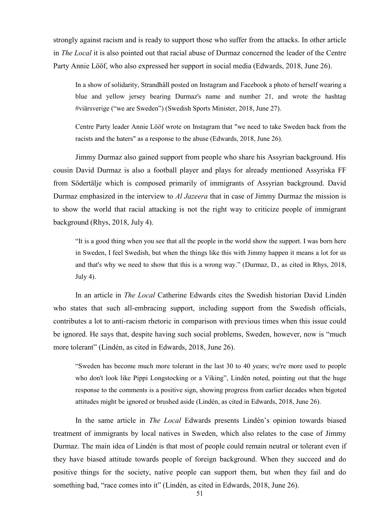strongly against racism and is ready to support those who suffer from the attacks. In other article in *The Local* it is also pointed out that racial abuse of Durmaz concerned the leader of the Centre Party Annie Lööf, who also expressed her support in social media (Edwards, 2018, June 26).

In a show of solidarity, Strandhäll posted on Instagram and Facebook a photo of herself wearing a blue and yellow jersey bearing Durmaz's name and number 21, and wrote the hashtag #viärsverige ("we are Sweden") (Swedish Sports Minister, 2018, June 27).

Centre Party leader Annie Lööf wrote on Instagram that "we need to take Sweden back from the racists and the haters" as a response to the abuse (Edwards, 2018, June 26).

Jimmy Durmaz also gained support from people who share his Assyrian background. His cousin David Durmaz is also a football player and plays for already mentioned Assyriska FF from Södertälje which is composed primarily of immigrants of Assyrian background. David Durmaz emphasized in the interview to *Al Jazeera* that in case of Jimmy Durmaz the mission is to show the world that racial attacking is not the right way to criticize people of immigrant background (Rhys, 2018, July 4).

―It is a good thing when you see that all the people in the world show the support. I was born here in Sweden, I feel Swedish, but when the things like this with Jimmy happen it means a lot for us and that's why we need to show that this is a wrong way." (Durmaz, D., as cited in Rhys, 2018, July 4).

In an article in *The Local* Catherine Edwards cites the Swedish historian David Lindén who states that such all-embracing support, including support from the Swedish officials, contributes a lot to anti-racism rhetoric in comparison with previous times when this issue could be ignored. He says that, despite having such social problems, Sweden, however, now is "much" more tolerant" (Lindén, as cited in Edwards, 2018, June 26).

―Sweden has become much more tolerant in the last 30 to 40 years; we're more used to people who don't look like Pippi Longstocking or a Viking", Lindén noted, pointing out that the huge response to the comments is a positive sign, showing progress from earlier decades when bigoted attitudes might be ignored or brushed aside (Lindén, as cited in Edwards, 2018, June 26).

In the same article in *The Local* Edwards presents Lindén's opinion towards biased treatment of immigrants by local natives in Sweden, which also relates to the case of Jimmy Durmaz. The main idea of Lindén is that most of people could remain neutral or tolerant even if they have biased attitude towards people of foreign background. When they succeed and do positive things for the society, native people can support them, but when they fail and do something bad, "race comes into it" (Lindén, as cited in Edwards, 2018, June 26).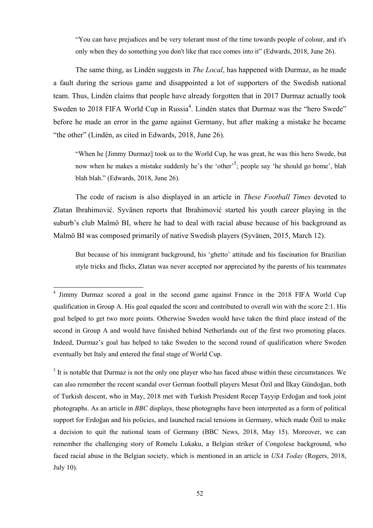―You can have prejudices and be very tolerant most of the time towards people of colour, and it's only when they do something you don't like that race comes into it" (Edwards, 2018, June 26).

The same thing, as Lindén suggests in *The Local*, has happened with Durmaz, as he made a fault during the serious game and disappointed a lot of supporters of the Swedish national team. Thus, Lindén claims that people have already forgotten that in 2017 Durmaz actually took Sweden to 2018 FIFA World Cup in Russia<sup>4</sup>. Lindén states that Durmaz was the "hero Swede" before he made an error in the game against Germany, but after making a mistake he became "the other" (Lindén, as cited in Edwards, 2018, June 26).

―When he [Jimmy Durmaz] took us to the World Cup, he was great, he was this hero Swede, but now when he makes a mistake suddenly he's the 'other'<sup>5</sup>; people say 'he should go home', blah blah blah." (Edwards, 2018, June 26).

The code of racism is also displayed in an article in *These Football Times* devoted to Zlatan Ibrahimović. Syvänen reports that Ibrahimović started his youth career playing in the suburb's club Malmö BI, where he had to deal with racial abuse because of his background as Malmö BI was composed primarily of native Swedish players (Syvänen, 2015, March 12).

But because of his immigrant background, his 'ghetto' attitude and his fascination for Brazilian style tricks and flicks, Zlatan was never accepted nor appreciated by the parents of his teammates

1

 $<sup>5</sup>$  It is notable that Durmaz is not the only one player who has faced abuse within these circumstances. We</sup> can also remember the recent scandal over German football players Mesut Özil and İlkay Gündoğan, both of Turkish descent, who in May, 2018 met with Turkish President Recep Tayyip Erdoğan and took joint photographs. As an article in *BBC* displays, these photographs have been interpreted as a form of political support for Erdoğan and his policies, and launched racial tensions in Germany, which made Özil to make a decision to quit the national team of Germany (BBC News, 2018, May 15). Moreover, we can remember the challenging story of Romelu Lukaku, a Belgian striker of Congolese background, who faced racial abuse in the Belgian society, which is mentioned in an article in *USA Today* (Rogers, 2018, July 10).

<sup>&</sup>lt;sup>4</sup> Jimmy Durmaz scored a goal in the second game against France in the 2018 FIFA World Cup qualification in Group A. His goal equaled the score and contributed to overall win with the score 2:1. His goal helped to get two more points. Otherwise Sweden would have taken the third place instead of the second in Group A and would have finished behind Netherlands out of the first two promoting places. Indeed, Durmaz's goal has helped to take Sweden to the second round of qualification where Sweden eventually bet Italy and entered the final stage of World Cup.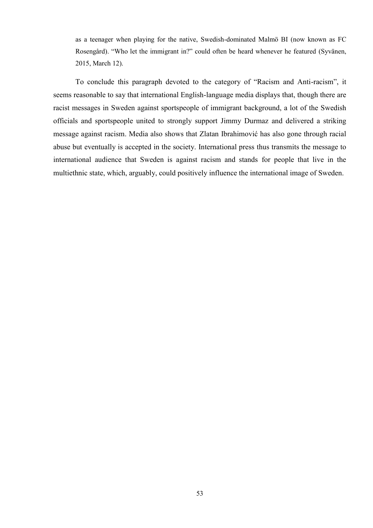as a teenager when playing for the native, Swedish-dominated Malmö BI (now known as FC Rosengård). "Who let the immigrant in?" could often be heard whenever he featured (Syvänen, 2015, March 12).

To conclude this paragraph devoted to the category of "Racism and Anti-racism", it seems reasonable to say that international English-language media displays that, though there are racist messages in Sweden against sportspeople of immigrant background, a lot of the Swedish officials and sportspeople united to strongly support Jimmy Durmaz and delivered a striking message against racism. Media also shows that Zlatan Ibrahimović has also gone through racial abuse but eventually is accepted in the society. International press thus transmits the message to international audience that Sweden is against racism and stands for people that live in the multiethnic state, which, arguably, could positively influence the international image of Sweden.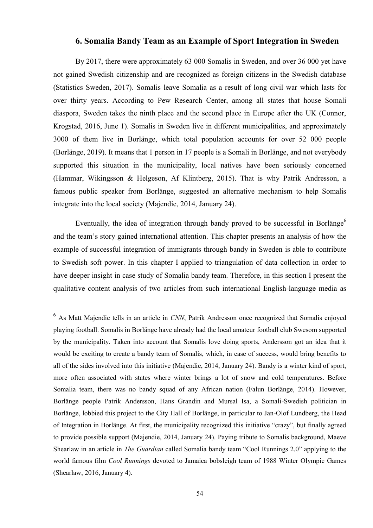# **6. Somalia Bandy Team as an Example of Sport Integration in Sweden**

By 2017, there were approximately 63 000 Somalis in Sweden, and over 36 000 yet have not gained Swedish citizenship and are recognized as foreign citizens in the Swedish database (Statistics Sweden, 2017). Somalis leave Somalia as a result of long civil war which lasts for over thirty years. According to Pew Research Center, among all states that house Somali diaspora, Sweden takes the ninth place and the second place in Europe after the UK (Connor, Krogstad, 2016, June 1). Somalis in Sweden live in different municipalities, and approximately 3000 of them live in Borlänge, which total population accounts for over 52 000 people (Borlänge, 2019). It means that 1 person in 17 people is a Somali in Borlänge, and not everybody supported this situation in the municipality, local natives have been seriously concerned (Hammar, Wikingsson & Helgeson, Af Klintberg, 2015). That is why Patrik Andresson, a famous public speaker from Borlänge, suggested an alternative mechanism to help Somalis integrate into the local society (Majendie, 2014, January 24).

Eventually, the idea of integration through bandy proved to be successful in Borlänge<sup>6</sup> and the team's story gained international attention. This chapter presents an analysis of how the example of successful integration of immigrants through bandy in Sweden is able to contribute to Swedish soft power. In this chapter I applied to triangulation of data collection in order to have deeper insight in case study of Somalia bandy team. Therefore, in this section I present the qualitative content analysis of two articles from such international English-language media as

1

<sup>6</sup> As Matt Majendie tells in an article in *CNN*, Patrik Andresson once recognized that Somalis enjoyed playing football. Somalis in Borlänge have already had the local amateur football club Swesom supported by the municipality. Taken into account that Somalis love doing sports, Andersson got an idea that it would be exciting to create a bandy team of Somalis, which, in case of success, would bring benefits to all of the sides involved into this initiative (Majendie, 2014, January 24). Bandy is a winter kind of sport, more often associated with states where winter brings a lot of snow and cold temperatures. Before Somalia team, there was no bandy squad of any African nation (Falun Borlänge, 2014). However, Borlänge people Patrik Andersson, Hans Grandin and Mursal Isa, a Somali-Swedish politician in Borlänge, lobbied this project to the City Hall of Borlänge, in particular to Jan-Olof Lundberg, the Head of Integration in Borlänge. At first, the municipality recognized this initiative "crazy", but finally agreed to provide possible support (Majendie, 2014, January 24). Paying tribute to Somalis background, Maeve Shearlaw in an article in *The Guardian* called Somalia bandy team "Cool Runnings 2.0" applying to the world famous film *Cool Runnings* devoted to Jamaica bobsleigh team of 1988 Winter Olympic Games (Shearlaw, 2016, January 4).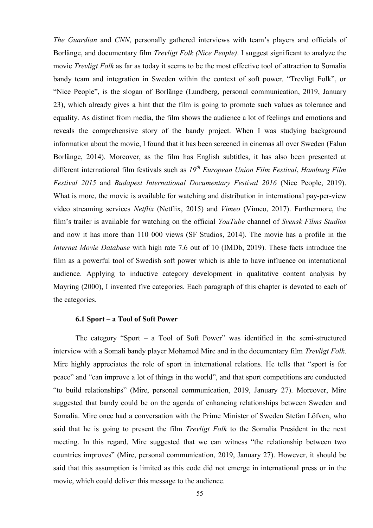*The Guardian* and *CNN*, personally gathered interviews with team's players and officials of Borlänge, and documentary film *Trevligt Folk (Nice People)*. I suggest significant to analyze the movie *Trevligt Folk* as far as today it seems to be the most effective tool of attraction to Somalia bandy team and integration in Sweden within the context of soft power. "Trevligt Folk", or "Nice People", is the slogan of Borlänge (Lundberg, personal communication, 2019, January 23), which already gives a hint that the film is going to promote such values as tolerance and equality. As distinct from media, the film shows the audience a lot of feelings and emotions and reveals the comprehensive story of the bandy project. When I was studying background information about the movie, I found that it has been screened in cinemas all over Sweden (Falun Borlänge, 2014). Moreover, as the film has English subtitles, it has also been presented at different international film festivals such as *19th European Union Film Festival*, *Hamburg Film Festival 2015* and *Budapest International Documentary Festival 2016* (Nice People, 2019). What is more, the movie is available for watching and distribution in international pay-per-view video streaming services *Netflix* (Netflix, 2015) and *Vimeo* (Vimeo, 2017). Furthermore, the film's trailer is available for watching on the official *YouTube* channel of *Svensk Films Studios* and now it has more than 110 000 views (SF Studios, 2014). The movie has a profile in the *Internet Movie Database* with high rate 7.6 out of 10 (IMDb, 2019). These facts introduce the film as a powerful tool of Swedish soft power which is able to have influence on international audience. Applying to inductive category development in qualitative content analysis by Mayring (2000), I invented five categories. Each paragraph of this chapter is devoted to each of the categories.

## **6.1 Sport – a Tool of Soft Power**

The category "Sport – a Tool of Soft Power" was identified in the semi-structured interview with a Somali bandy player Mohamed Mire and in the documentary film *Trevligt Folk*. Mire highly appreciates the role of sport in international relations. He tells that "sport is for peace" and "can improve a lot of things in the world", and that sport competitions are conducted ―to build relationships‖ (Mire, personal communication, 2019, January 27). Moreover, Mire suggested that bandy could be on the agenda of enhancing relationships between Sweden and Somalia. Mire once had a conversation with the Prime Minister of Sweden Stefan Löfven, who said that he is going to present the film *Trevligt Folk* to the Somalia President in the next meeting. In this regard, Mire suggested that we can witness "the relationship between two countries improves" (Mire, personal communication, 2019, January 27). However, it should be said that this assumption is limited as this code did not emerge in international press or in the movie, which could deliver this message to the audience.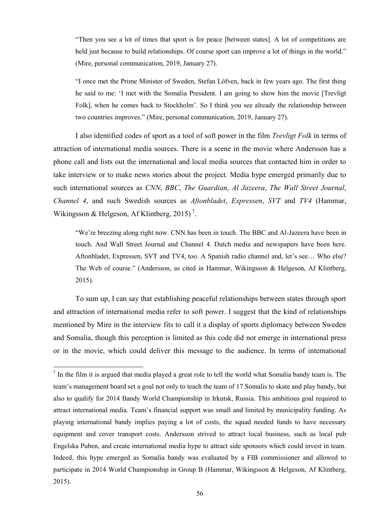―Then you see a lot of times that sport is for peace [between states]. A lot of competitions are held just because to build relationships. Of course sport can improve a lot of things in the world." (Mire, personal communication, 2019, January 27).

―I once met the Prime Minister of Sweden, Stefan Löfven, back in few years ago. The first thing he said to me: 'I met with the Somalia President. I am going to show him the movie [Trevligt] Folk], when he comes back to Stockholm'. So I think you see already the relationship between two countries improves." (Mire, personal communication, 2019, January 27).

I also identified codes of sport as a tool of soft power in the film *Trevligt Folk* in terms of attraction of international media sources. There is a scene in the movie where Andersson has a phone call and lists out the international and local media sources that contacted him in order to take interview or to make news stories about the project. Media hype emerged primarily due to such international sources as *CNN*, *BBC*, *The Guardian*, *Al Jazeera*, *The Wall Street Journal*, *Channel 4*, and such Swedish sources as *Aftonbladet*, *Expressen*, *SVT* and *TV4* (Hammar, Wikingsson & Helgeson, Af Klintberg, 2015)<sup>7</sup>.

"We're breezing along right now. CNN has been in touch. The BBC and Al-Jazeera have been in touch. And Wall Street Journal and Channel 4. Dutch media and newspapers have been here. Aftonbladet, Expressen, SVT and TV4, too. A Spanish radio channel and, let's see… Who else? The Web of course." (Andersson, as cited in Hammar, Wikingsson & Helgeson, Af Klintberg, 2015).

To sum up, I can say that establishing peaceful relationships between states through sport and attraction of international media refer to soft power. I suggest that the kind of relationships mentioned by Mire in the interview fits to call it a display of sports diplomacy between Sweden and Somalia, though this perception is limited as this code did not emerge in international press or in the movie, which could deliver this message to the audience. In terms of international

1

 $<sup>7</sup>$  In the film it is argued that media played a great role to tell the world what Somalia bandy team is. The</sup> team's management board set a goal not only to teach the team of 17 Somalis to skate and play bandy, but also to qualify for 2014 Bandy World Championship in Irkutsk, Russia. This ambitious goal required to attract international media. Team's financial support was small and limited by municipality funding. As playing international bandy implies paying a lot of costs, the squad needed funds to have necessary equipment and cover transport costs. Andersson strived to attract local business, such as local pub Engelska Puben, and create international media hype to attract side sponsors which could invest in team. Indeed, this hype emerged as Somalia bandy was evaluated by a FIB commissioner and allowed to participate in 2014 World Championship in Group B (Hammar, Wikingsson & Helgeson, Af Klintberg, 2015).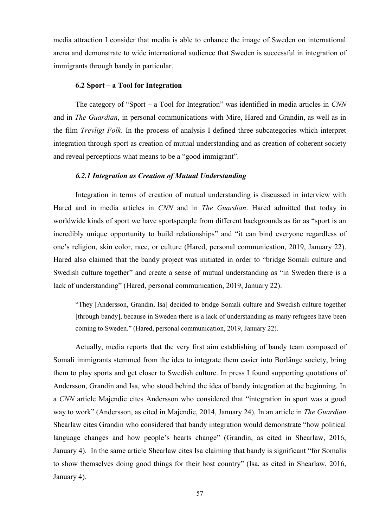media attraction I consider that media is able to enhance the image of Sweden on international arena and demonstrate to wide international audience that Sweden is successful in integration of immigrants through bandy in particular.

#### **6.2 Sport – a Tool for Integration**

The category of "Sport – a Tool for Integration" was identified in media articles in *CNN* and in *The Guardian*, in personal communications with Mire, Hared and Grandin, as well as in the film *Trevligt Folk*. In the process of analysis I defined three subcategories which interpret integration through sport as creation of mutual understanding and as creation of coherent society and reveal perceptions what means to be a "good immigrant".

#### *6.2.1 Integration as Creation of Mutual Understanding*

Integration in terms of creation of mutual understanding is discussed in interview with Hared and in media articles in *CNN* and in *The Guardian*. Hared admitted that today in worldwide kinds of sport we have sportspeople from different backgrounds as far as "sport is an incredibly unique opportunity to build relationships" and "it can bind everyone regardless of one's religion, skin color, race, or culture (Hared, personal communication, 2019, January 22). Hared also claimed that the bandy project was initiated in order to "bridge Somali culture and Swedish culture together" and create a sense of mutual understanding as "in Sweden there is a lack of understanding" (Hared, personal communication, 2019, January 22).

"They [Andersson, Grandin, Isa] decided to bridge Somali culture and Swedish culture together [through bandy], because in Sweden there is a lack of understanding as many refugees have been coming to Sweden." (Hared, personal communication, 2019, January 22).

Actually, media reports that the very first aim establishing of bandy team composed of Somali immigrants stemmed from the idea to integrate them easier into Borlänge society, bring them to play sports and get closer to Swedish culture. In press I found supporting quotations of Andersson, Grandin and Isa, who stood behind the idea of bandy integration at the beginning. In a *CNN* article Majendie cites Andersson who considered that "integration in sport was a good way to work‖ (Andersson, as cited in Majendie, 2014, January 24). In an article in *The Guardian* Shearlaw cites Grandin who considered that bandy integration would demonstrate "how political language changes and how people's hearts change" (Grandin, as cited in Shearlaw, 2016, January 4). In the same article Shearlaw cites Isa claiming that bandy is significant "for Somalis" to show themselves doing good things for their host country" (Isa, as cited in Shearlaw, 2016, January 4).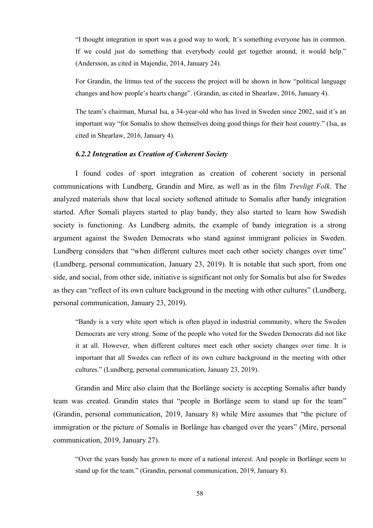―I thought integration in sport was a good way to work. It's something everyone has in common. If we could just do something that everybody could get together around, it would help." (Andersson, as cited in Majendie, 2014, January 24).

For Grandin, the litmus test of the success the project will be shown in how "political language" changes and how people's hearts change". (Grandin, as cited in Shearlaw, 2016, January 4).

The team's chairman, Mursal Isa, a 34-year-old who has lived in Sweden since 2002, said it's an important way "for Somalis to show themselves doing good things for their host country." (Isa, as cited in Shearlaw, 2016, January 4).

# *6.2.2 Integration as Creation of Coherent Society*

I found codes of sport integration as creation of coherent society in personal communications with Lundberg, Grandin and Mire, as well as in the film *Trevligt Folk*. The analyzed materials show that local society softened attitude to Somalis after bandy integration started. After Somali players started to play bandy, they also started to learn how Swedish society is functioning. As Lundberg admits, the example of bandy integration is a strong argument against the Sweden Democrats who stand against immigrant policies in Sweden. Lundberg considers that "when different cultures meet each other society changes over time" (Lundberg, personal communication, January 23, 2019). It is notable that such sport, from one side, and social, from other side, initiative is significant not only for Somalis but also for Swedes as they can "reflect of its own culture background in the meeting with other cultures" (Lundberg, personal communication, January 23, 2019).

―Bandy is a very white sport which is often played in industrial community, where the Sweden Democrats are very strong. Some of the people who voted for the Sweden Democrats did not like it at all. However, when different cultures meet each other society changes over time. It is important that all Swedes can reflect of its own culture background in the meeting with other cultures.‖ (Lundberg, personal communication, January 23, 2019).

Grandin and Mire also claim that the Borlänge society is accepting Somalis after bandy team was created. Grandin states that "people in Borlänge seem to stand up for the team" (Grandin, personal communication, 2019, January 8) while Mire assumes that "the picture of immigration or the picture of Somalis in Borlänge has changed over the years" (Mire, personal communication, 2019, January 27).

―Over the years bandy has grown to more of a national interest. And people in Borlänge seem to stand up for the team." (Grandin, personal communication, 2019, January 8).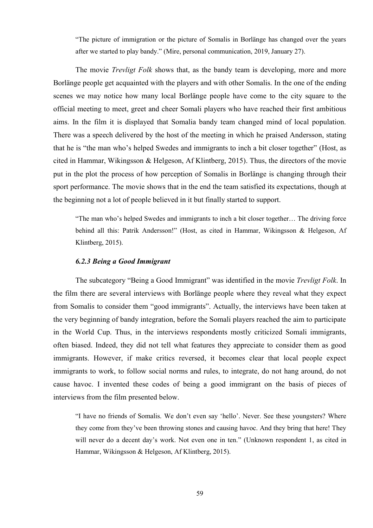―The picture of immigration or the picture of Somalis in Borlänge has changed over the years after we started to play bandy." (Mire, personal communication, 2019, January 27).

The movie *Trevligt Folk* shows that, as the bandy team is developing, more and more Borlänge people get acquainted with the players and with other Somalis. In the one of the ending scenes we may notice how many local Borlänge people have come to the city square to the official meeting to meet, greet and cheer Somali players who have reached their first ambitious aims. In the film it is displayed that Somalia bandy team changed mind of local population. There was a speech delivered by the host of the meeting in which he praised Andersson, stating that he is "the man who's helped Swedes and immigrants to inch a bit closer together" (Host, as cited in Hammar, Wikingsson & Helgeson, Af Klintberg, 2015). Thus, the directors of the movie put in the plot the process of how perception of Somalis in Borlänge is changing through their sport performance. The movie shows that in the end the team satisfied its expectations, though at the beginning not a lot of people believed in it but finally started to support.

―The man who's helped Swedes and immigrants to inch a bit closer together… The driving force behind all this: Patrik Andersson!" (Host, as cited in Hammar, Wikingsson & Helgeson, Af Klintberg, 2015).

#### *6.2.3 Being a Good Immigrant*

The subcategory "Being a Good Immigrant" was identified in the movie *Trevligt Folk*. In the film there are several interviews with Borlänge people where they reveal what they expect from Somalis to consider them "good immigrants". Actually, the interviews have been taken at the very beginning of bandy integration, before the Somali players reached the aim to participate in the World Cup. Thus, in the interviews respondents mostly criticized Somali immigrants, often biased. Indeed, they did not tell what features they appreciate to consider them as good immigrants. However, if make critics reversed, it becomes clear that local people expect immigrants to work, to follow social norms and rules, to integrate, do not hang around, do not cause havoc. I invented these codes of being a good immigrant on the basis of pieces of interviews from the film presented below.

"I have no friends of Somalis. We don't even say 'hello'. Never. See these youngsters? Where they come from they've been throwing stones and causing havoc. And they bring that here! They will never do a decent day's work. Not even one in ten." (Unknown respondent 1, as cited in Hammar, Wikingsson & Helgeson, Af Klintberg, 2015).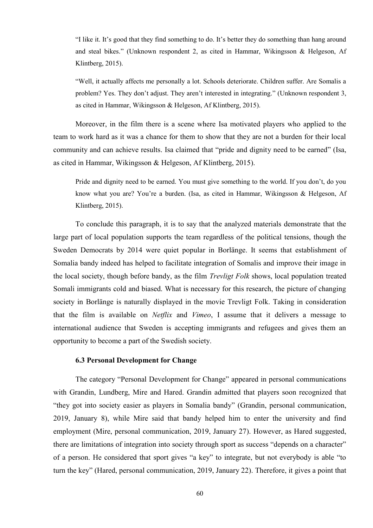―I like it. It's good that they find something to do. It's better they do something than hang around and steal bikes." (Unknown respondent 2, as cited in Hammar, Wikingsson & Helgeson, Af Klintberg, 2015).

―Well, it actually affects me personally a lot. Schools deteriorate. Children suffer. Are Somalis a problem? Yes. They don't adjust. They aren't interested in integrating.‖ (Unknown respondent 3, as cited in Hammar, Wikingsson & Helgeson, Af Klintberg, 2015).

Moreover, in the film there is a scene where Isa motivated players who applied to the team to work hard as it was a chance for them to show that they are not a burden for their local community and can achieve results. Isa claimed that "pride and dignity need to be earned" (Isa, as cited in Hammar, Wikingsson & Helgeson, Af Klintberg, 2015).

Pride and dignity need to be earned. You must give something to the world. If you don't, do you know what you are? You're a burden. (Isa, as cited in Hammar, Wikingsson & Helgeson, Af Klintberg, 2015).

To conclude this paragraph, it is to say that the analyzed materials demonstrate that the large part of local population supports the team regardless of the political tensions, though the Sweden Democrats by 2014 were quiet popular in Borlänge. It seems that establishment of Somalia bandy indeed has helped to facilitate integration of Somalis and improve their image in the local society, though before bandy, as the film *Trevligt Folk* shows, local population treated Somali immigrants cold and biased. What is necessary for this research, the picture of changing society in Borlänge is naturally displayed in the movie Trevligt Folk. Taking in consideration that the film is available on *Netflix* and *Vimeo*, I assume that it delivers a message to international audience that Sweden is accepting immigrants and refugees and gives them an opportunity to become a part of the Swedish society.

#### **6.3 Personal Development for Change**

The category "Personal Development for Change" appeared in personal communications with Grandin, Lundberg, Mire and Hared. Grandin admitted that players soon recognized that "they got into society easier as players in Somalia bandy" (Grandin, personal communication, 2019, January 8), while Mire said that bandy helped him to enter the university and find employment (Mire, personal communication, 2019, January 27). However, as Hared suggested, there are limitations of integration into society through sport as success "depends on a character" of a person. He considered that sport gives "a key" to integrate, but not everybody is able "to turn the key" (Hared, personal communication, 2019, January 22). Therefore, it gives a point that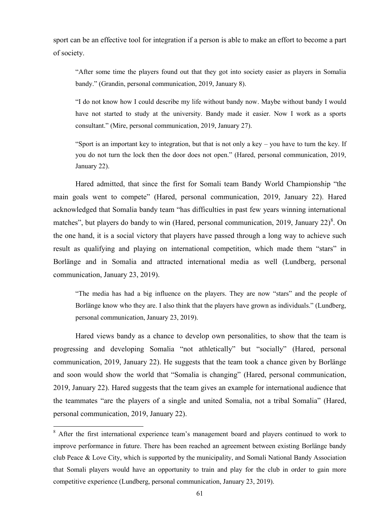sport can be an effective tool for integration if a person is able to make an effort to become a part of society.

―After some time the players found out that they got into society easier as players in Somalia bandy." (Grandin, personal communication, 2019, January 8).

―I do not know how I could describe my life without bandy now. Maybe without bandy I would have not started to study at the university. Bandy made it easier. Now I work as a sports consultant." (Mire, personal communication, 2019, January 27).

―Sport is an important key to integration, but that is not only a key – you have to turn the key. If you do not turn the lock then the door does not open." (Hared, personal communication, 2019, January 22).

Hared admitted, that since the first for Somali team Bandy World Championship "the main goals went to compete" (Hared, personal communication, 2019, January 22). Hared acknowledged that Somalia bandy team "has difficulties in past few years winning international matches", but players do bandy to win (Hared, personal communication, 2019, January  $22)^8$ . On the one hand, it is a social victory that players have passed through a long way to achieve such result as qualifying and playing on international competition, which made them "stars" in Borlänge and in Somalia and attracted international media as well (Lundberg, personal communication, January 23, 2019).

"The media has had a big influence on the players. They are now "stars" and the people of Borlänge know who they are. I also think that the players have grown as individuals." (Lundberg, personal communication, January 23, 2019).

Hared views bandy as a chance to develop own personalities, to show that the team is progressing and developing Somalia "not athletically" but "socially" (Hared, personal communication, 2019, January 22). He suggests that the team took a chance given by Borlänge and soon would show the world that "Somalia is changing" (Hared, personal communication, 2019, January 22). Hared suggests that the team gives an example for international audience that the teammates "are the players of a single and united Somalia, not a tribal Somalia" (Hared, personal communication, 2019, January 22).

1

<sup>&</sup>lt;sup>8</sup> After the first international experience team's management board and players continued to work to improve performance in future. There has been reached an agreement between existing Borlänge bandy club Peace & Love City, which is supported by the municipality, and Somali National Bandy Association that Somali players would have an opportunity to train and play for the club in order to gain more competitive experience (Lundberg, personal communication, January 23, 2019).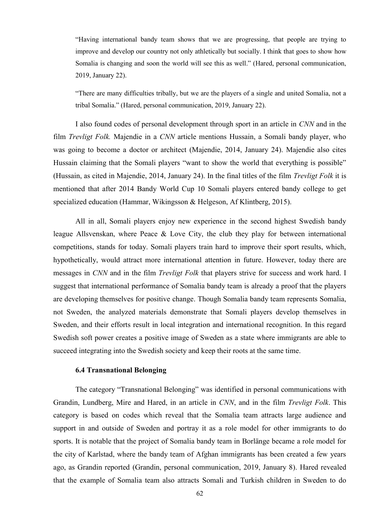―Having international bandy team shows that we are progressing, that people are trying to improve and develop our country not only athletically but socially. I think that goes to show how Somalia is changing and soon the world will see this as well." (Hared, personal communication, 2019, January 22).

―There are many difficulties tribally, but we are the players of a single and united Somalia, not a tribal Somalia.‖ (Hared, personal communication, 2019, January 22).

I also found codes of personal development through sport in an article in *CNN* and in the film *Trevligt Folk.* Majendie in a *CNN* article mentions Hussain, a Somali bandy player, who was going to become a doctor or architect (Majendie, 2014, January 24). Majendie also cites Hussain claiming that the Somali players "want to show the world that everything is possible" (Hussain, as cited in Majendie, 2014, January 24). In the final titles of the film *Trevligt Folk* it is mentioned that after 2014 Bandy World Cup 10 Somali players entered bandy college to get specialized education (Hammar, Wikingsson & Helgeson, Af Klintberg, 2015).

All in all, Somali players enjoy new experience in the second highest Swedish bandy league Allsvenskan, where Peace & Love City, the club they play for between international competitions, stands for today. Somali players train hard to improve their sport results, which, hypothetically, would attract more international attention in future. However, today there are messages in *CNN* and in the film *Trevligt Folk* that players strive for success and work hard. I suggest that international performance of Somalia bandy team is already a proof that the players are developing themselves for positive change. Though Somalia bandy team represents Somalia, not Sweden, the analyzed materials demonstrate that Somali players develop themselves in Sweden, and their efforts result in local integration and international recognition. In this regard Swedish soft power creates a positive image of Sweden as a state where immigrants are able to succeed integrating into the Swedish society and keep their roots at the same time.

# **6.4 Transnational Belonging**

The category "Transnational Belonging" was identified in personal communications with Grandin, Lundberg, Mire and Hared, in an article in *CNN*, and in the film *Trevligt Folk*. This category is based on codes which reveal that the Somalia team attracts large audience and support in and outside of Sweden and portray it as a role model for other immigrants to do sports. It is notable that the project of Somalia bandy team in Borlänge became a role model for the city of Karlstad, where the bandy team of Afghan immigrants has been created a few years ago, as Grandin reported (Grandin, personal communication, 2019, January 8). Hared revealed that the example of Somalia team also attracts Somali and Turkish children in Sweden to do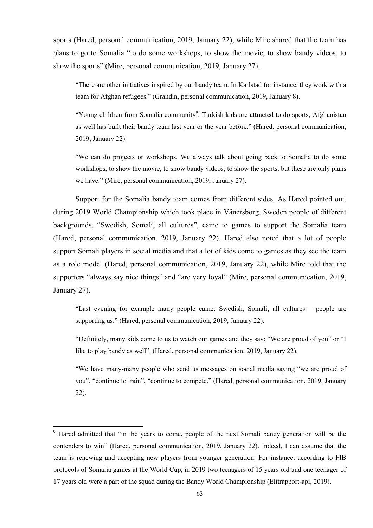sports (Hared, personal communication, 2019, January 22), while Mire shared that the team has plans to go to Somalia "to do some workshops, to show the movie, to show bandy videos, to show the sports" (Mire, personal communication, 2019, January 27).

―There are other initiatives inspired by our bandy team. In Karlstad for instance, they work with a team for Afghan refugees." (Grandin, personal communication, 2019, January 8).

"Young children from Somalia community<sup>9</sup>, Turkish kids are attracted to do sports, Afghanistan as well has built their bandy team last year or the year before." (Hared, personal communication, 2019, January 22).

―We can do projects or workshops. We always talk about going back to Somalia to do some workshops, to show the movie, to show bandy videos, to show the sports, but these are only plans we have." (Mire, personal communication, 2019, January 27).

Support for the Somalia bandy team comes from different sides. As Hared pointed out, during 2019 World Championship which took place in Vänersborg, Sweden people of different backgrounds, "Swedish, Somali, all cultures", came to games to support the Somalia team (Hared, personal communication, 2019, January 22). Hared also noted that a lot of people support Somali players in social media and that a lot of kids come to games as they see the team as a role model (Hared, personal communication, 2019, January 22), while Mire told that the supporters "always say nice things" and "are very loyal" (Mire, personal communication, 2019, January 27).

―Last evening for example many people came: Swedish, Somali, all cultures – people are supporting us." (Hared, personal communication, 2019, January 22).

"Definitely, many kids come to us to watch our games and they say: "We are proud of you" or "I like to play bandy as well". (Hared, personal communication, 2019, January 22).

"We have many-many people who send us messages on social media saying "we are proud of you", "continue to train", "continue to compete." (Hared, personal communication, 2019, January 22).

1

<sup>&</sup>lt;sup>9</sup> Hared admitted that "in the years to come, people of the next Somali bandy generation will be the contenders to win" (Hared, personal communication, 2019, January 22). Indeed, I can assume that the team is renewing and accepting new players from younger generation. For instance, according to FIB protocols of Somalia games at the World Cup, in 2019 two teenagers of 15 years old and one teenager of 17 years old were a part of the squad during the Bandy World Championship (Elitrapport-api, 2019).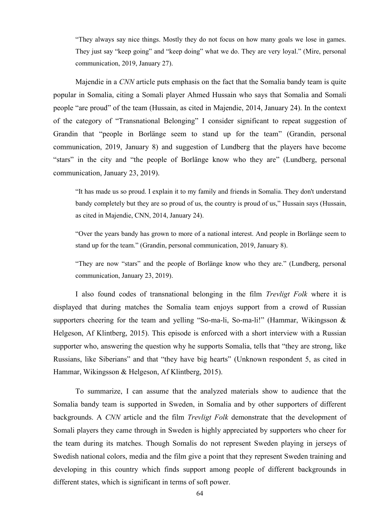―They always say nice things. Mostly they do not focus on how many goals we lose in games. They just say "keep going" and "keep doing" what we do. They are very loyal." (Mire, personal communication, 2019, January 27).

Majendie in a *CNN* article puts emphasis on the fact that the Somalia bandy team is quite popular in Somalia, citing a Somali player Ahmed Hussain who says that Somalia and Somali people "are proud" of the team (Hussain, as cited in Majendie, 2014, January 24). In the context of the category of "Transnational Belonging" I consider significant to repeat suggestion of Grandin that "people in Borlänge seem to stand up for the team" (Grandin, personal communication, 2019, January 8) and suggestion of Lundberg that the players have become "stars" in the city and "the people of Borlänge know who they are" (Lundberg, personal communication, January 23, 2019).

―It has made us so proud. I explain it to my family and friends in Somalia. They don't understand bandy completely but they are so proud of us, the country is proud of us," Hussain says (Hussain, as cited in Majendie, CNN, 2014, January 24).

―Over the years bandy has grown to more of a national interest. And people in Borlänge seem to stand up for the team." (Grandin, personal communication, 2019, January 8).

"They are now "stars" and the people of Borlänge know who they are." (Lundberg, personal communication, January 23, 2019).

I also found codes of transnational belonging in the film *Trevligt Folk* where it is displayed that during matches the Somalia team enjoys support from a crowd of Russian supporters cheering for the team and yelling "So-ma-li, So-ma-li!" (Hammar, Wikingsson  $\&$ Helgeson, Af Klintberg, 2015). This episode is enforced with a short interview with a Russian supporter who, answering the question why he supports Somalia, tells that "they are strong, like Russians, like Siberians" and that "they have big hearts" (Unknown respondent 5, as cited in Hammar, Wikingsson & Helgeson, Af Klintberg, 2015).

To summarize, I can assume that the analyzed materials show to audience that the Somalia bandy team is supported in Sweden, in Somalia and by other supporters of different backgrounds. A *CNN* article and the film *Trevligt Folk* demonstrate that the development of Somali players they came through in Sweden is highly appreciated by supporters who cheer for the team during its matches. Though Somalis do not represent Sweden playing in jerseys of Swedish national colors, media and the film give a point that they represent Sweden training and developing in this country which finds support among people of different backgrounds in different states, which is significant in terms of soft power.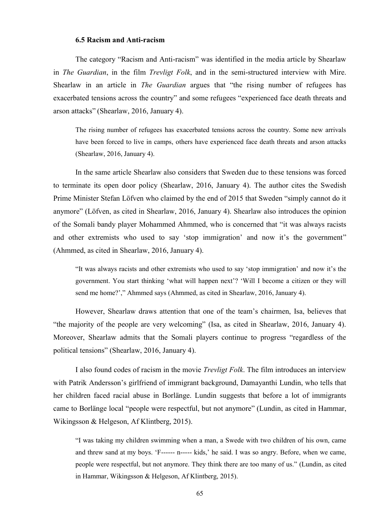## **6.5 Racism and Anti-racism**

The category "Racism and Anti-racism" was identified in the media article by Shearlaw in *The Guardian*, in the film *Trevligt Folk*, and in the semi-structured interview with Mire. Shearlaw in an article in *The Guardian* argues that "the rising number of refugees has exacerbated tensions across the country" and some refugees "experienced face death threats and arson attacks‖ (Shearlaw, 2016, January 4).

The rising number of refugees has exacerbated tensions across the country. Some new arrivals have been forced to live in camps, others have experienced face death threats and arson attacks (Shearlaw, 2016, January 4).

In the same article Shearlaw also considers that Sweden due to these tensions was forced to terminate its open door policy (Shearlaw, 2016, January 4). The author cites the Swedish Prime Minister Stefan Löfven who claimed by the end of 2015 that Sweden "simply cannot do it anymore" (Löfven, as cited in Shearlaw, 2016, January 4). Shearlaw also introduces the opinion of the Somali bandy player Mohammed Ahmmed, who is concerned that "it was always racists" and other extremists who used to say 'stop immigration' and now it's the government" (Ahmmed, as cited in Shearlaw, 2016, January 4).

―It was always racists and other extremists who used to say ‗stop immigration' and now it's the government. You start thinking ‗what will happen next'? ‗Will I become a citizen or they will send me home?'," Ahmmed says (Ahmmed, as cited in Shearlaw, 2016, January 4).

However, Shearlaw draws attention that one of the team's chairmen, Isa, believes that "the majority of the people are very welcoming" (Isa, as cited in Shearlaw, 2016, January 4). Moreover, Shearlaw admits that the Somali players continue to progress "regardless of the political tensions" (Shearlaw, 2016, January 4).

I also found codes of racism in the movie *Trevligt Folk*. The film introduces an interview with Patrik Andersson's girlfriend of immigrant background, Damayanthi Lundin, who tells that her children faced racial abuse in Borlänge. Lundin suggests that before a lot of immigrants came to Borlänge local "people were respectful, but not anymore" (Lundin, as cited in Hammar, Wikingsson & Helgeson, Af Klintberg, 2015).

―I was taking my children swimming when a man, a Swede with two children of his own, came and threw sand at my boys. ‗F------ n----- kids,' he said. I was so angry. Before, when we came, people were respectful, but not anymore. They think there are too many of us." (Lundin, as cited in Hammar, Wikingsson & Helgeson, Af Klintberg, 2015).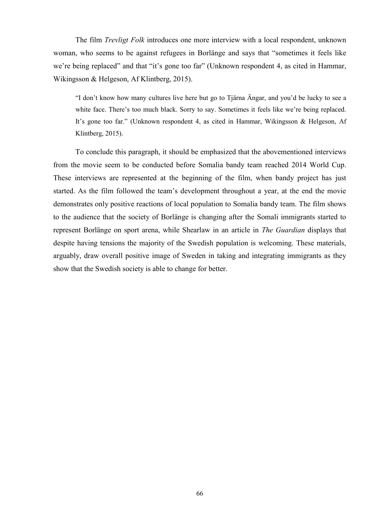The film *Trevligt Folk* introduces one more interview with a local respondent, unknown woman, who seems to be against refugees in Borlänge and says that "sometimes it feels like we're being replaced" and that "it's gone too far" (Unknown respondent 4, as cited in Hammar, Wikingsson & Helgeson, Af Klintberg, 2015).

―I don't know how many cultures live here but go to Tjärna Ängar, and you'd be lucky to see a white face. There's too much black. Sorry to say. Sometimes it feels like we're being replaced. It's gone too far." (Unknown respondent 4, as cited in Hammar, Wikingsson & Helgeson, Af Klintberg, 2015).

To conclude this paragraph, it should be emphasized that the abovementioned interviews from the movie seem to be conducted before Somalia bandy team reached 2014 World Cup. These interviews are represented at the beginning of the film, when bandy project has just started. As the film followed the team's development throughout a year, at the end the movie demonstrates only positive reactions of local population to Somalia bandy team. The film shows to the audience that the society of Borlänge is changing after the Somali immigrants started to represent Borlänge on sport arena, while Shearlaw in an article in *The Guardian* displays that despite having tensions the majority of the Swedish population is welcoming. These materials, arguably, draw overall positive image of Sweden in taking and integrating immigrants as they show that the Swedish society is able to change for better.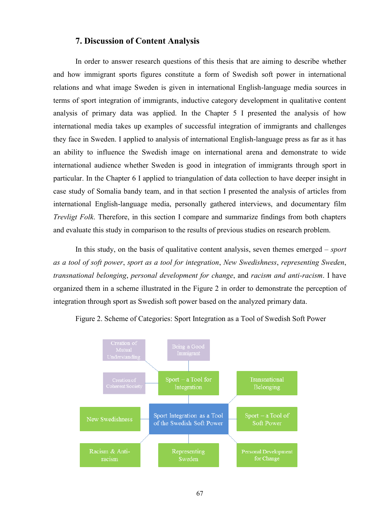# **7. Discussion of Content Analysis**

In order to answer research questions of this thesis that are aiming to describe whether and how immigrant sports figures constitute a form of Swedish soft power in international relations and what image Sweden is given in international English-language media sources in terms of sport integration of immigrants, inductive category development in qualitative content analysis of primary data was applied. In the Chapter 5 I presented the analysis of how international media takes up examples of successful integration of immigrants and challenges they face in Sweden. I applied to analysis of international English-language press as far as it has an ability to influence the Swedish image on international arena and demonstrate to wide international audience whether Sweden is good in integration of immigrants through sport in particular. In the Chapter 6 I applied to triangulation of data collection to have deeper insight in case study of Somalia bandy team, and in that section I presented the analysis of articles from international English-language media, personally gathered interviews, and documentary film *Trevligt Folk*. Therefore, in this section I compare and summarize findings from both chapters and evaluate this study in comparison to the results of previous studies on research problem.

In this study, on the basis of qualitative content analysis, seven themes emerged – *sport as a tool of soft power*, *sport as a tool for integration*, *New Swedishness*, *representing Sweden*, *transnational belonging*, *personal development for change*, and *racism and anti-racism*. I have organized them in a scheme illustrated in the Figure 2 in order to demonstrate the perception of integration through sport as Swedish soft power based on the analyzed primary data.



Figure 2. Scheme of Categories: Sport Integration as a Tool of Swedish Soft Power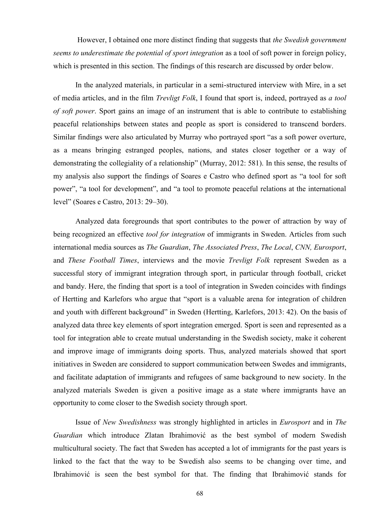However, I obtained one more distinct finding that suggests that *the Swedish government seems to underestimate the potential of sport integration* as a tool of soft power in foreign policy, which is presented in this section. The findings of this research are discussed by order below.

In the analyzed materials, in particular in a semi-structured interview with Mire, in a set of media articles, and in the film *Trevligt Folk*, I found that sport is, indeed, portrayed as *a tool of soft power*. Sport gains an image of an instrument that is able to contribute to establishing peaceful relationships between states and people as sport is considered to transcend borders. Similar findings were also articulated by Murray who portrayed sport "as a soft power overture, as a means bringing estranged peoples, nations, and states closer together or a way of demonstrating the collegiality of a relationship" (Murray, 2012: 581). In this sense, the results of my analysis also support the findings of Soares e Castro who defined sport as "a tool for soft power", "a tool for development", and "a tool to promote peaceful relations at the international level" (Soares e Castro, 2013: 29–30).

Analyzed data foregrounds that sport contributes to the power of attraction by way of being recognized an effective *tool for integration* of immigrants in Sweden. Articles from such international media sources as *The Guardian*, *The Associated Press*, *The Local*, *CNN, Eurosport*, and *These Football Times*, interviews and the movie *Trevligt Folk* represent Sweden as a successful story of immigrant integration through sport, in particular through football, cricket and bandy. Here, the finding that sport is a tool of integration in Sweden coincides with findings of Hertting and Karlefors who argue that "sport is a valuable arena for integration of children and youth with different background" in Sweden (Hertting, Karlefors, 2013: 42). On the basis of analyzed data three key elements of sport integration emerged. Sport is seen and represented as a tool for integration able to create mutual understanding in the Swedish society, make it coherent and improve image of immigrants doing sports. Thus, analyzed materials showed that sport initiatives in Sweden are considered to support communication between Swedes and immigrants, and facilitate adaptation of immigrants and refugees of same background to new society. In the analyzed materials Sweden is given a positive image as a state where immigrants have an opportunity to come closer to the Swedish society through sport.

Issue of *New Swedishness* was strongly highlighted in articles in *Eurosport* and in *The Guardian* which introduce Zlatan Ibrahimović as the best symbol of modern Swedish multicultural society. The fact that Sweden has accepted a lot of immigrants for the past years is linked to the fact that the way to be Swedish also seems to be changing over time, and Ibrahimović is seen the best symbol for that. The finding that Ibrahimović stands for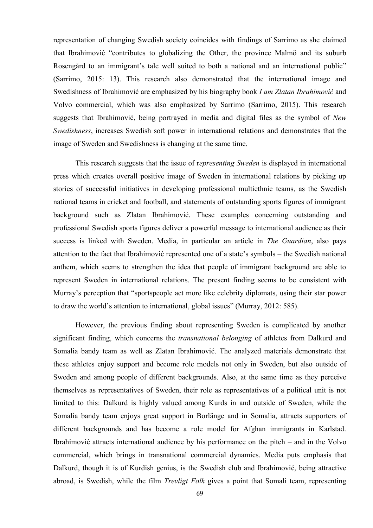representation of changing Swedish society coincides with findings of Sarrimo as she claimed that Ibrahimović "contributes to globalizing the Other, the province Malmö and its suburb Rosengård to an immigrant's tale well suited to both a national and an international public" (Sarrimo, 2015: 13). This research also demonstrated that the international image and Swedishness of Ibrahimović are emphasized by his biography book *I am Zlatan Ibrahimović* and Volvo commercial, which was also emphasized by Sarrimo (Sarrimo, 2015). This research suggests that Ibrahimović, being portrayed in media and digital files as the symbol of *New Swedishness*, increases Swedish soft power in international relations and demonstrates that the image of Sweden and Swedishness is changing at the same time.

This research suggests that the issue of r*epresenting Sweden* is displayed in international press which creates overall positive image of Sweden in international relations by picking up stories of successful initiatives in developing professional multiethnic teams, as the Swedish national teams in cricket and football, and statements of outstanding sports figures of immigrant background such as Zlatan Ibrahimović. These examples concerning outstanding and professional Swedish sports figures deliver a powerful message to international audience as their success is linked with Sweden. Media, in particular an article in *The Guardian*, also pays attention to the fact that Ibrahimović represented one of a state's symbols – the Swedish national anthem, which seems to strengthen the idea that people of immigrant background are able to represent Sweden in international relations. The present finding seems to be consistent with Murray's perception that "sportspeople act more like celebrity diplomats, using their star power to draw the world's attention to international, global issues" (Murray, 2012: 585).

However, the previous finding about representing Sweden is complicated by another significant finding, which concerns the *transnational belonging* of athletes from Dalkurd and Somalia bandy team as well as Zlatan Ibrahimović. The analyzed materials demonstrate that these athletes enjoy support and become role models not only in Sweden, but also outside of Sweden and among people of different backgrounds. Also, at the same time as they perceive themselves as representatives of Sweden, their role as representatives of a political unit is not limited to this: Dalkurd is highly valued among Kurds in and outside of Sweden, while the Somalia bandy team enjoys great support in Borlänge and in Somalia, attracts supporters of different backgrounds and has become a role model for Afghan immigrants in Karlstad. Ibrahimović attracts international audience by his performance on the pitch – and in the Volvo commercial, which brings in transnational commercial dynamics. Media puts emphasis that Dalkurd, though it is of Kurdish genius, is the Swedish club and Ibrahimović, being attractive abroad, is Swedish, while the film *Trevligt Folk* gives a point that Somali team, representing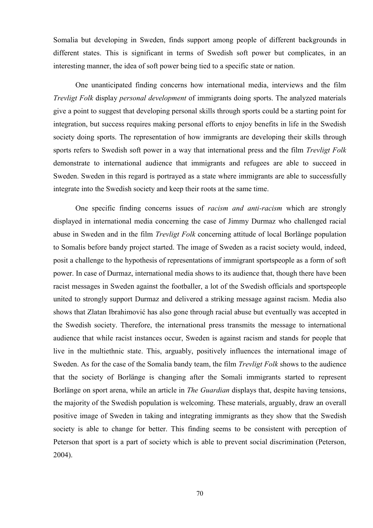Somalia but developing in Sweden, finds support among people of different backgrounds in different states. This is significant in terms of Swedish soft power but complicates, in an interesting manner, the idea of soft power being tied to a specific state or nation.

One unanticipated finding concerns how international media, interviews and the film *Trevligt Folk* display *personal development* of immigrants doing sports. The analyzed materials give a point to suggest that developing personal skills through sports could be a starting point for integration, but success requires making personal efforts to enjoy benefits in life in the Swedish society doing sports. The representation of how immigrants are developing their skills through sports refers to Swedish soft power in a way that international press and the film *Trevligt Folk* demonstrate to international audience that immigrants and refugees are able to succeed in Sweden. Sweden in this regard is portrayed as a state where immigrants are able to successfully integrate into the Swedish society and keep their roots at the same time.

One specific finding concerns issues of *racism and anti-racism* which are strongly displayed in international media concerning the case of Jimmy Durmaz who challenged racial abuse in Sweden and in the film *Trevligt Folk* concerning attitude of local Borlänge population to Somalis before bandy project started. The image of Sweden as a racist society would, indeed, posit a challenge to the hypothesis of representations of immigrant sportspeople as a form of soft power. In case of Durmaz, international media shows to its audience that, though there have been racist messages in Sweden against the footballer, a lot of the Swedish officials and sportspeople united to strongly support Durmaz and delivered a striking message against racism. Media also shows that Zlatan Ibrahimović has also gone through racial abuse but eventually was accepted in the Swedish society. Therefore, the international press transmits the message to international audience that while racist instances occur, Sweden is against racism and stands for people that live in the multiethnic state. This, arguably, positively influences the international image of Sweden. As for the case of the Somalia bandy team, the film *Trevligt Folk* shows to the audience that the society of Borlänge is changing after the Somali immigrants started to represent Borlänge on sport arena, while an article in *The Guardian* displays that, despite having tensions, the majority of the Swedish population is welcoming. These materials, arguably, draw an overall positive image of Sweden in taking and integrating immigrants as they show that the Swedish society is able to change for better. This finding seems to be consistent with perception of Peterson that sport is a part of society which is able to prevent social discrimination (Peterson, 2004).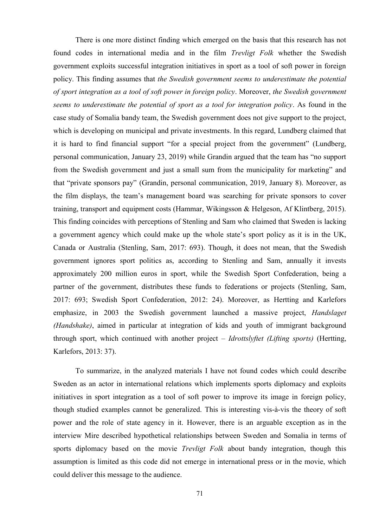There is one more distinct finding which emerged on the basis that this research has not found codes in international media and in the film *Trevligt Folk* whether the Swedish government exploits successful integration initiatives in sport as a tool of soft power in foreign policy. This finding assumes that *the Swedish government seems to underestimate the potential of sport integration as a tool of soft power in foreign policy*. Moreover, *the Swedish government seems to underestimate the potential of sport as a tool for integration policy*. As found in the case study of Somalia bandy team, the Swedish government does not give support to the project, which is developing on municipal and private investments. In this regard, Lundberg claimed that it is hard to find financial support "for a special project from the government" (Lundberg, personal communication, January 23, 2019) while Grandin argued that the team has "no support from the Swedish government and just a small sum from the municipality for marketing" and that "private sponsors pay" (Grandin, personal communication, 2019, January 8). Moreover, as the film displays, the team's management board was searching for private sponsors to cover training, transport and equipment costs (Hammar, Wikingsson & Helgeson, Af Klintberg, 2015). This finding coincides with perceptions of Stenling and Sam who claimed that Sweden is lacking a government agency which could make up the whole state's sport policy as it is in the UK, Canada or Australia (Stenling, Sam, 2017: 693). Though, it does not mean, that the Swedish government ignores sport politics as, according to Stenling and Sam, annually it invests approximately 200 million euros in sport, while the Swedish Sport Confederation, being a partner of the government, distributes these funds to federations or projects (Stenling, Sam, 2017: 693; Swedish Sport Confederation, 2012: 24). Moreover, as Hertting and Karlefors emphasize, in 2003 the Swedish government launched a massive project, *Handslaget (Handshake)*, aimed in particular at integration of kids and youth of immigrant background through sport, which continued with another project – *Idrottslyftet (Lifting sports)* (Hertting, Karlefors, 2013: 37).

To summarize, in the analyzed materials I have not found codes which could describe Sweden as an actor in international relations which implements sports diplomacy and exploits initiatives in sport integration as a tool of soft power to improve its image in foreign policy, though studied examples cannot be generalized. This is interesting vis-à-vis the theory of soft power and the role of state agency in it. However, there is an arguable exception as in the interview Mire described hypothetical relationships between Sweden and Somalia in terms of sports diplomacy based on the movie *Trevligt Folk* about bandy integration, though this assumption is limited as this code did not emerge in international press or in the movie, which could deliver this message to the audience.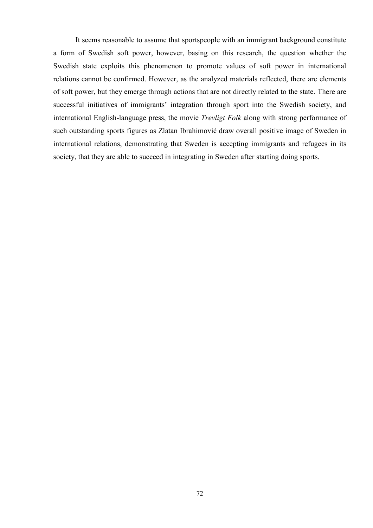It seems reasonable to assume that sportspeople with an immigrant background constitute a form of Swedish soft power, however, basing on this research, the question whether the Swedish state exploits this phenomenon to promote values of soft power in international relations cannot be confirmed. However, as the analyzed materials reflected, there are elements of soft power, but they emerge through actions that are not directly related to the state. There are successful initiatives of immigrants' integration through sport into the Swedish society, and international English-language press, the movie *Trevligt Folk* along with strong performance of such outstanding sports figures as Zlatan Ibrahimović draw overall positive image of Sweden in international relations, demonstrating that Sweden is accepting immigrants and refugees in its society, that they are able to succeed in integrating in Sweden after starting doing sports.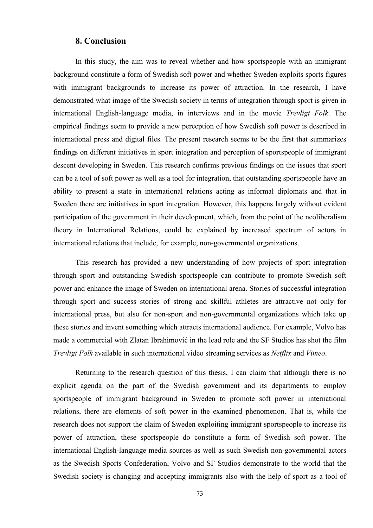### **8. Conclusion**

In this study, the aim was to reveal whether and how sportspeople with an immigrant background constitute a form of Swedish soft power and whether Sweden exploits sports figures with immigrant backgrounds to increase its power of attraction. In the research, I have demonstrated what image of the Swedish society in terms of integration through sport is given in international English-language media, in interviews and in the movie *Trevligt Folk*. The empirical findings seem to provide a new perception of how Swedish soft power is described in international press and digital files. The present research seems to be the first that summarizes findings on different initiatives in sport integration and perception of sportspeople of immigrant descent developing in Sweden. This research confirms previous findings on the issues that sport can be a tool of soft power as well as a tool for integration, that outstanding sportspeople have an ability to present a state in international relations acting as informal diplomats and that in Sweden there are initiatives in sport integration. However, this happens largely without evident participation of the government in their development, which, from the point of the neoliberalism theory in International Relations, could be explained by increased spectrum of actors in international relations that include, for example, non-governmental organizations.

This research has provided a new understanding of how projects of sport integration through sport and outstanding Swedish sportspeople can contribute to promote Swedish soft power and enhance the image of Sweden on international arena. Stories of successful integration through sport and success stories of strong and skillful athletes are attractive not only for international press, but also for non-sport and non-governmental organizations which take up these stories and invent something which attracts international audience. For example, Volvo has made a commercial with Zlatan Ibrahimović in the lead role and the SF Studios has shot the film *Trevligt Folk* available in such international video streaming services as *Netflix* and *Vimeo*.

Returning to the research question of this thesis, I can claim that although there is no explicit agenda on the part of the Swedish government and its departments to employ sportspeople of immigrant background in Sweden to promote soft power in international relations, there are elements of soft power in the examined phenomenon. That is, while the research does not support the claim of Sweden exploiting immigrant sportspeople to increase its power of attraction, these sportspeople do constitute a form of Swedish soft power. The international English-language media sources as well as such Swedish non-governmental actors as the Swedish Sports Confederation, Volvo and SF Studios demonstrate to the world that the Swedish society is changing and accepting immigrants also with the help of sport as a tool of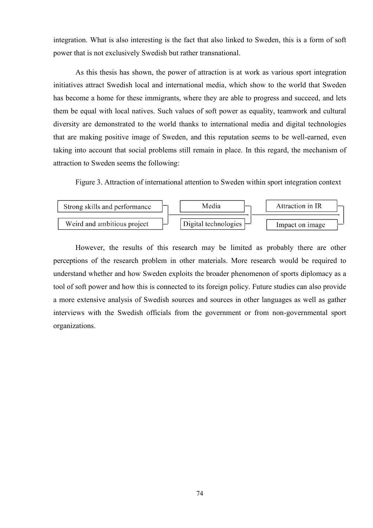integration. What is also interesting is the fact that also linked to Sweden, this is a form of soft power that is not exclusively Swedish but rather transnational.

As this thesis has shown, the power of attraction is at work as various sport integration initiatives attract Swedish local and international media, which show to the world that Sweden has become a home for these immigrants, where they are able to progress and succeed, and lets them be equal with local natives. Such values of soft power as equality, teamwork and cultural diversity are demonstrated to the world thanks to international media and digital technologies that are making positive image of Sweden, and this reputation seems to be well-earned, even taking into account that social problems still remain in place. In this regard, the mechanism of attraction to Sweden seems the following:

Figure 3. Attraction of international attention to Sweden within sport integration context



However, the results of this research may be limited as probably there are other perceptions of the research problem in other materials. More research would be required to understand whether and how Sweden exploits the broader phenomenon of sports diplomacy as a tool of soft power and how this is connected to its foreign policy. Future studies can also provide a more extensive analysis of Swedish sources and sources in other languages as well as gather interviews with the Swedish officials from the government or from non-governmental sport organizations.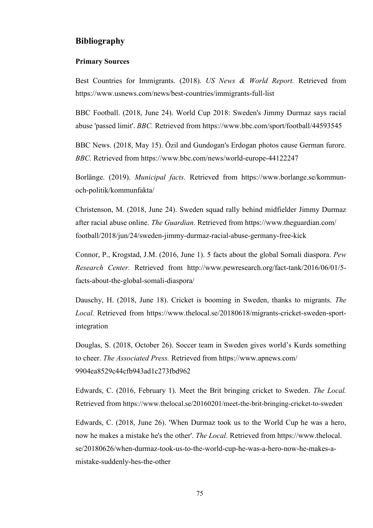## **Bibliography**

#### **Primary Sources**

Best Countries for Immigrants. (2018). *US News & World Report.* Retrieved from https://www.usnews.com/news/best-countries/immigrants-full-list

BBC Football. (2018, June 24). World Cup 2018: Sweden's Jimmy Durmaz says racial abuse 'passed limit'. *BBC.* Retrieved from https://www.bbc.com/sport/football/44593545

BBC News. (2018, May 15). Özil and Gundogan's Erdogan photos cause German furore. *BBC.* Retrieved from https://www.bbc.com/news/world-europe-44122247

Borlänge. (2019). *Municipal facts.* Retrieved from https://www.borlange.se/kommunoch-politik/kommunfakta/

Christenson, M. (2018, June 24). Sweden squad rally behind midfielder Jimmy Durmaz after racial abuse online. *The Guardian.* Retrieved from https://www.theguardian.com/ football/2018/jun/24/sweden-jimmy-durmaz-racial-abuse-germany-free-kick

Connor, P., Krogstad, J.M. (2016, June 1). 5 facts about the global Somali diaspora. *Pew Research Center.* Retrieved from http://www.pewresearch.org/fact-tank/2016/06/01/5 facts-about-the-global-somali-diaspora/

Dauschy, H. (2018, June 18). Cricket is booming in Sweden, thanks to migrants. *The Local.* Retrieved from https://www.thelocal.se/20180618/migrants-cricket-sweden-sportintegration

Douglas, S. (2018, October 26). Soccer team in Sweden gives world's Kurds something to cheer. *The Associated Press.* Retrieved from https://www.apnews.com/ 9904ea8529c44cfb943ad1c273fbd962

Edwards, C. (2016, February 1). Meet the Brit bringing cricket to Sweden. *The Local.* Retrieved from https://www.thelocal.se/20160201/meet-the-brit-bringing-cricket-to-sweden

Edwards, C. (2018, June 26). 'When Durmaz took us to the World Cup he was a hero, now he makes a mistake he's the other'. *The Local.* Retrieved from https://www.thelocal. se/20180626/when-durmaz-took-us-to-the-world-cup-he-was-a-hero-now-he-makes-amistake-suddenly-hes-the-other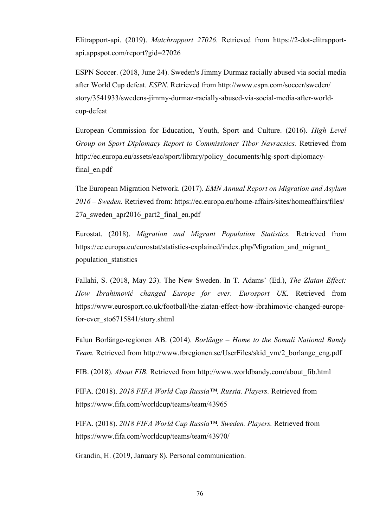Elitrapport-api. (2019). *Matchrapport 27026*. Retrieved from https://2-dot-elitrapportapi.appspot.com/report?gid=27026

ESPN Soccer. (2018, June 24). Sweden's Jimmy Durmaz racially abused via social media after World Cup defeat. *ESPN.* Retrieved from http://www.espn.com/soccer/sweden/ story/3541933/swedens-jimmy-durmaz-racially-abused-via-social-media-after-worldcup-defeat

European Commission for Education, Youth, Sport and Culture. (2016). *High Level Group on Sport Diplomacy Report to Commissioner Tibor Navracsics.* Retrieved from http://ec.europa.eu/assets/eac/sport/library/policy\_documents/hlg-sport-diplomacyfinal\_en.pdf

The European Migration Network. (2017). *EMN Annual Report on Migration and Asylum 2016 – Sweden.* Retrieved from: https://ec.europa.eu/home-affairs/sites/homeaffairs/files/ 27a\_sweden\_apr2016\_part2\_final\_en.pdf

Eurostat. (2018). *Migration and Migrant Population Statistics.* Retrieved from https://ec.europa.eu/eurostat/statistics-explained/index.php/Migration\_and\_migrant\_ population\_statistics

Fallahi, S. (2018, May 23). The New Sweden. In T. Adams' (Ed.), *The Zlatan Effect: How Ibrahimović changed Europe for ever. Eurosport UK.* Retrieved from https://www.eurosport.co.uk/football/the-zlatan-effect-how-ibrahimovic-changed-europefor-ever\_sto6715841/story.shtml

Falun Borlänge-regionen AB. (2014). *Borlänge – Home to the Somali National Bandy Team.* Retrieved from http://www.fbregionen.se/UserFiles/skid\_vm/2\_borlange\_eng.pdf

FIB. (2018). *About FIB.* Retrieved from http://www.worldbandy.com/about\_fib.html

FIFA. (2018). *2018 FIFA World Cup Russia™. Russia. Players.* Retrieved from https://www.fifa.com/worldcup/teams/team/43965

FIFA. (2018). *2018 FIFA World Cup Russia™. Sweden. Players.* Retrieved from https://www.fifa.com/worldcup/teams/team/43970/

Grandin, H. (2019, January 8). Personal communication.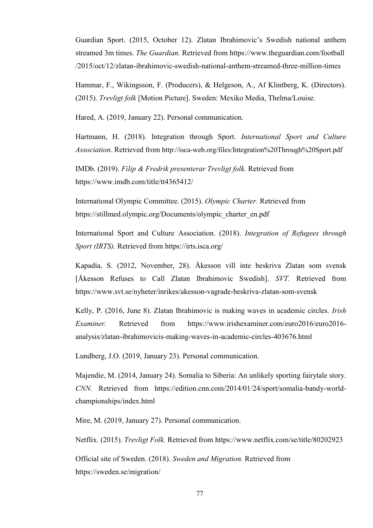Guardian Sport. (2015, October 12). Zlatan Ibrahimovic's Swedish national anthem streamed 3m times. *The Guardian.* Retrieved from https://www.theguardian.com/football /2015/oct/12/zlatan-ibrahimovic-swedish-national-anthem-streamed-three-million-times

Hammar, F., Wikingsson, F. (Producers), & Helgeson, A., Af Klintberg, K. (Directors). (2015). *Trevligt folk* [Motion Picture]. Sweden: Mexiko Media, Thelma/Louise.

Hared, A. (2019, January 22). Personal communication.

Hartmann, H. (2018). Integration through Sport. *International Sport and Culture Association*. Retrieved from http://isca-web.org/files/Integration%20Through%20Sport.pdf

IMDb. (2019). *Filip & Fredrik presenterar Trevligt folk.* Retrieved from https://www.imdb.com/title/tt4365412/

International Olympic Committee. (2015). *Olympic Charter.* Retrieved from https://stillmed.olympic.org/Documents/olympic\_charter\_en.pdf

International Sport and Culture Association. (2018). *Integration of Refugees through Sport (IRTS).* Retrieved from https://irts.isca.org/

Kapadia, S. (2012, November, 28). Åkesson vill inte beskriva Zlatan som svensk [Åkesson Refuses to Call Zlatan Ibrahimovic Swedish]. *SVT.* Retrieved from https://www.svt.se/nyheter/inrikes/akesson-vagrade-beskriva-zlatan-som-svensk

Kelly, P. (2016, June 8). Zlatan Ibrahimovic is making waves in academic circles. *Irish Examiner.* Retrieved from https://www.irishexaminer.com/euro2016/euro2016 analysis/zlatan-ibrahimovicis-making-waves-in-academic-circles-403676.html

Lundberg, J.O. (2019, January 23). Personal communication.

Majendie, M. (2014, January 24). Somalia to Siberia: An unlikely sporting fairytale story. *CNN.* Retrieved from https://edition.cnn.com/2014/01/24/sport/somalia-bandy-worldchampionships/index.html

Mire, M. (2019, January 27). Personal communication.

Netflix. (2015). *Trevligt Folk.* Retrieved from https://www.netflix.com/se/title/80202923

Official site of Sweden. (2018). *Sweden and Migration.* Retrieved from https://sweden.se/migration/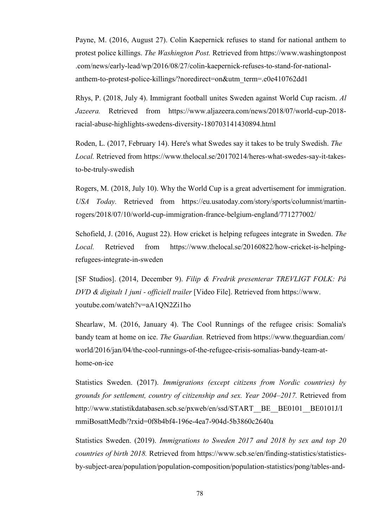Payne, M. (2016, August 27). Colin Kaepernick refuses to stand for national anthem to protest police killings. *The Washington Post.* Retrieved from https://www.washingtonpost .com/news/early-lead/wp/2016/08/27/colin-kaepernick-refuses-to-stand-for-nationalanthem-to-protest-police-killings/?noredirect=on&utm\_term=.e0e410762dd1

Rhys, P. (2018, July 4). Immigrant football unites Sweden against World Cup racism. *Al Jazeera.* Retrieved from https://www.aljazeera.com/news/2018/07/world-cup-2018 racial-abuse-highlights-swedens-diversity-180703141430894.html

Roden, L. (2017, February 14). Here's what Swedes say it takes to be truly Swedish. *The Local.* Retrieved from https://www.thelocal.se/20170214/heres-what-swedes-say-it-takesto-be-truly-swedish

Rogers, M. (2018, July 10). Why the World Cup is a great advertisement for immigration. *USA Today.* Retrieved from https://eu.usatoday.com/story/sports/columnist/martinrogers/2018/07/10/world-cup-immigration-france-belgium-england/771277002/

Schofield, J. (2016, August 22). How cricket is helping refugees integrate in Sweden. *The Local.* Retrieved from https://www.thelocal.se/20160822/how-cricket-is-helpingrefugees-integrate-in-sweden

[SF Studios]. (2014, December 9). *Filip & Fredrik presenterar TREVLIGT FOLK: På DVD & digitalt 1 juni - officiell trailer* [Video File]. Retrieved from https://www. youtube.com/watch?v=aA1QN2Zi1ho

Shearlaw, M. (2016, January 4). The Cool Runnings of the refugee crisis: Somalia's bandy team at home on ice. *The Guardian.* Retrieved from https://www.theguardian.com/ world/2016/jan/04/the-cool-runnings-of-the-refugee-crisis-somalias-bandy-team-athome-on-ice

Statistics Sweden. (2017). *Immigrations (except citizens from Nordic countries) by grounds for settlement, country of citizenship and sex. Year 2004–2017.* Retrieved from http://www.statistikdatabasen.scb.se/pxweb/en/ssd/START\_\_BE\_\_BE0101\_BE0101J/I mmiBosattMedb/?rxid=0f8b4bf4-196e-4ea7-904d-5b3860c2640a

Statistics Sweden. (2019). *Immigrations to Sweden 2017 and 2018 by sex and top 20 countries of birth 2018.* Retrieved from https://www.scb.se/en/finding-statistics/statisticsby-subject-area/population/population-composition/population-statistics/pong/tables-and-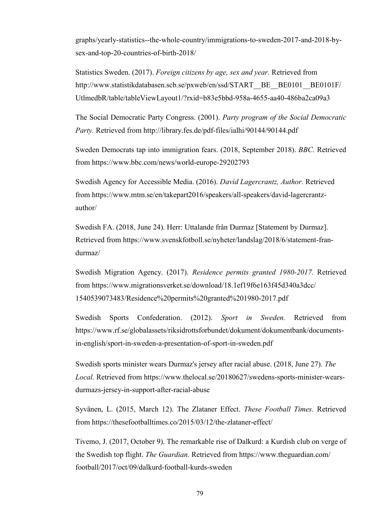graphs/yearly-statistics--the-whole-country/immigrations-to-sweden-2017-and-2018-bysex-and-top-20-countries-of-birth-2018/

Statistics Sweden. (2017). *Foreign citizens by age, sex and year.* Retrieved from http://www.statistikdatabasen.scb.se/pxweb/en/ssd/START\_BE\_BE0101\_BE0101F/ UtlmedbR/table/tableViewLayout1/?rxid=b83e5bbd-958a-4655-aa40-486ba2ca09a3

The Social Democratic Party Congress. (2001). *Party program of the Social Democratic Party.* Retrieved from http://library.fes.de/pdf-files/ialhi/90144/90144.pdf

Sweden Democrats tap into immigration fears. (2018, September 2018). *BBC.* Retrieved from https://www.bbc.com/news/world-europe-29202793

Swedish Agency for Accessible Media. (2016). *David Lagercrantz, Author.* Retrieved from https://www.mtm.se/en/takepart2016/speakers/all-speakers/david-lagercrantzauthor/

Swedish FA. (2018, June 24). Herr: Uttalande från Durmaz [Statement by Durmaz]. Retrieved from https://www.svenskfotboll.se/nyheter/landslag/2018/6/statement-frandurmaz/

Swedish Migration Agency. (2017). *Residence permits granted 1980-2017.* Retrieved from https://www.migrationsverket.se/download/18.1ef19f6e163f45d340a3dcc/ 1540539073483/Residence%20permits%20granted%201980-2017.pdf

Swedish Sports Confederation. (2012). *Sport in Sweden.* Retrieved from https://www.rf.se/globalassets/riksidrottsforbundet/dokument/dokumentbank/documentsin-english/sport-in-sweden-a-presentation-of-sport-in-sweden.pdf

Swedish sports minister wears Durmaz's jersey after racial abuse. (2018, June 27). *The Local.* Retrieved from https://www.thelocal.se/20180627/swedens-sports-minister-wearsdurmazs-jersey-in-support-after-racial-abuse

Syvänen, L. (2015, March 12). The Zlataner Effect. *These Football Times.* Retrieved from https://thesefootballtimes.co/2015/03/12/the-zlataner-effect/

Tivemo, J. (2017, October 9). The remarkable rise of Dalkurd: a Kurdish club on verge of the Swedish top flight. *The Guardian.* Retrieved from https://www.theguardian.com/ football/2017/oct/09/dalkurd-football-kurds-sweden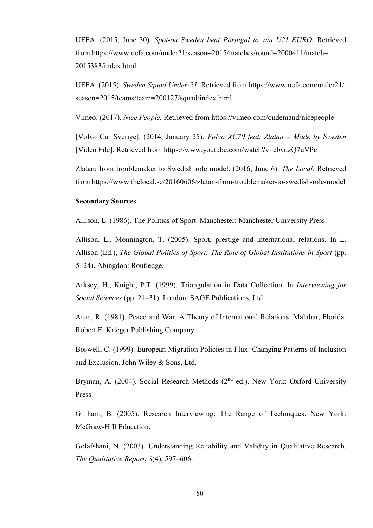UEFA. (2015, June 30). *Spot-on Sweden beat Portugal to win U21 EURO.* Retrieved from https://www.uefa.com/under21/season=2015/matches/round=2000411/match= 2015383/index.html

UEFA. (2015). *Sweden Squad Under-21.* Retrieved from https://www.uefa.com/under21/ season=2015/teams/team=200127/squad/index.html

Vimeo. (2017). *Nice People.* Retrieved from https://vimeo.com/ondemand/nicepeople

[Volvo Car Sverige]. (2014, January 25). *Volvo XC70 feat. Zlatan – Made by Sweden* [Video File]. Retrieved from https://www.youtube.com/watch?v=cbvdzQ7uVPc

Zlatan: from troublemaker to Swedish role model. (2016, June 6). *The Local.* Retrieved from https://www.thelocal.se/20160606/zlatan-from-troublemaker-to-swedish-role-model

#### **Secondary Sources**

Allison, L. (1986). The Politics of Sport. Manchester: Manchester University Press.

Allison, L., Monnington, T. (2005). Sport, prestige and international relations. In L. Allison (Ed.), *The Global Politics of Sport: The Role of Global Institutions in Sport* (pp. 5–24). Abingdon: Routledge.

Arksey, H., Knight, P.T. (1999). Triangulation in Data Collection. In *Interviewing for Social Sciences* (pp. 21–31). London: SAGE Publications, Ltd.

Aron, R. (1981). Peace and War. A Theory of International Relations. Malabar, Florida: Robert E. Krieger Publishing Company.

Boswell, C. (1999). European Migration Policies in Flux: Changing Patterns of Inclusion and Exclusion. John Wiley & Sons, Ltd.

Bryman, A. (2004). Social Research Methods ( $2<sup>nd</sup>$  ed.). New York: Oxford University Press.

Gillham, B. (2005). Research Interviewing: The Range of Techniques. New York: McGraw-Hill Education.

Golafshani, N. (2003). Understanding Reliability and Validity in Qualitative Research. *The Qualitative Report*, *8*(4), 597–606.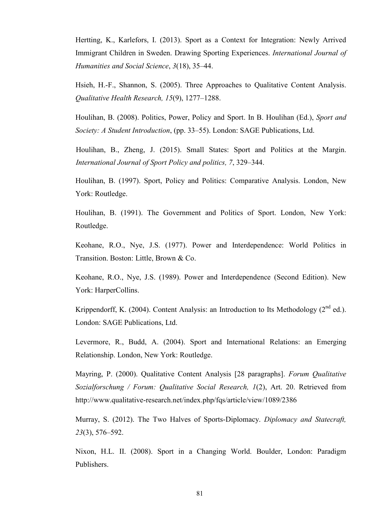Hertting, K., Karlefors, I. (2013). Sport as a Context for Integration: Newly Arrived Immigrant Children in Sweden. Drawing Sporting Experiences. *International Journal of Humanities and Social Science*, *3*(18), 35–44.

Hsieh, H.-F., Shannon, S. (2005). Three Approaches to Qualitative Content Analysis. *Qualitative Health Research, 15*(9), 1277–1288.

Houlihan, B. (2008). Politics, Power, Policy and Sport. In B. Houlihan (Ed.), *Sport and Society: A Student Introduction*, (pp. 33–55). London: SAGE Publications, Ltd.

Houlihan, B., Zheng, J. (2015). Small States: Sport and Politics at the Margin. *International Journal of Sport Policy and politics, 7*, 329–344.

Houlihan, B. (1997). Sport, Policy and Politics: Comparative Analysis. London, New York: Routledge.

Houlihan, B. (1991). The Government and Politics of Sport. London, New York: Routledge.

Keohane, R.O., Nye, J.S. (1977). Power and Interdependence: World Politics in Transition. Boston: Little, Brown & Co.

Keohane, R.O., Nye, J.S. (1989). Power and Interdependence (Second Edition). New York: HarperCollins.

Krippendorff, K. (2004). Content Analysis: an Introduction to Its Methodology ( $2<sup>nd</sup>$  ed.). London: SAGE Publications, Ltd.

Levermore, R., Budd, A. (2004). Sport and International Relations: an Emerging Relationship. London, New York: Routledge.

Mayring, P. (2000). Qualitative Content Analysis [28 paragraphs]. *Forum Qualitative Sozialforschung / Forum: Qualitative Social Research, 1*(2), Art. 20. Retrieved from http://www.qualitative-research.net/index.php/fqs/article/view/1089/2386

Murray, S. (2012). The Two Halves of Sports-Diplomacy. *Diplomacy and Statecraft, 23*(3), 576–592.

Nixon, H.L. II. (2008). Sport in a Changing World. Boulder, London: Paradigm Publishers.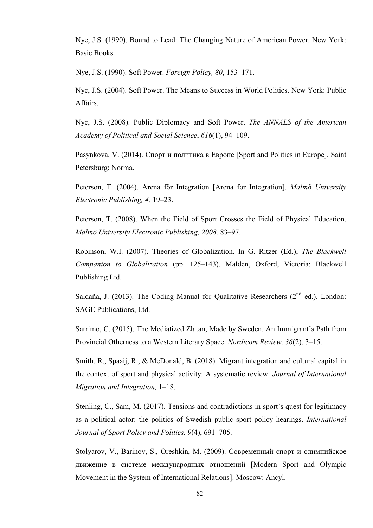Nye, J.S. (1990). Bound to Lead: The Changing Nature of American Power. New York: Basic Books.

Nye, J.S. (1990). Soft Power. *Foreign Policy, 80*, 153–171.

Nye, J.S. (2004). Soft Power. The Means to Success in World Politics. New York: Public Affairs.

Nye, J.S. (2008). Public Diplomacy and Soft Power. *The ANNALS of the American Academy of Political and Social Science*, *616*(1), 94–109.

Pasynkova, V. (2014). Спорт и политика в Европе [Sport and Politics in Europe]. Saint Petersburg: Norma.

Peterson, T. (2004). Arena för Integration [Arena for Integration]. *Malmö University Electronic Publishing, 4,* 19–23.

Peterson, T. (2008). When the Field of Sport Crosses the Field of Physical Education. *Malmö University Electronic Publishing, 2008,* 83–97.

Robinson, W.I. (2007). Theories of Globalization. In G. Ritzer (Ed.), *The Blackwell Companion to Globalization* (pp. 125–143). Malden, Oxford, Victoria: Blackwell Publishing Ltd.

Saldaña, J. (2013). The Coding Manual for Qualitative Researchers ( $2<sup>nd</sup>$  ed.). London: SAGE Publications, Ltd.

Sarrimo, C. (2015). The Mediatized Zlatan, Made by Sweden. An Immigrant's Path from Provincial Otherness to a Western Literary Space. *Nordicom Review, 36*(2), 3–15.

Smith, R., Spaaij, R., & McDonald, B. (2018). Migrant integration and cultural capital in the context of sport and physical activity: A systematic review. *Journal of International Migration and Integration,* 1–18.

Stenling, C., Sam, M. (2017). Tensions and contradictions in sport's quest for legitimacy as a political actor: the politics of Swedish public sport policy hearings. *International Journal of Sport Policy and Politics, 9*(4), 691–705.

Stolyarov, V., Barinov, S., Oreshkin, M. (2009). Современный спорт и олимпийское движение в системе международных отношений [Modern Sport and Olympic Movement in the System of International Relations]. Moscow: Ancyl.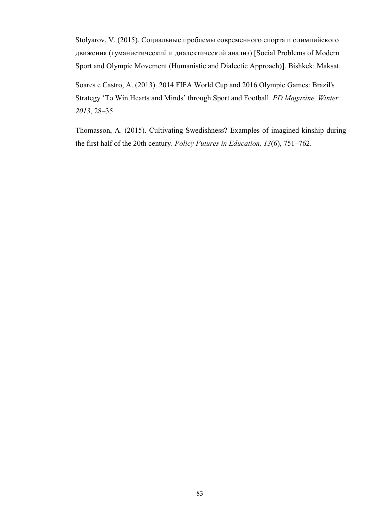Stolyarov, V. (2015). Социальные проблемы современного спорта и олимпийского движения (гуманистический и диалектический анализ) [Social Problems of Modern Sport and Olympic Movement (Humanistic and Dialectic Approach)]. Bishkek: Maksat.

Soares e Castro, A. (2013). 2014 FIFA World Cup and 2016 Olympic Games: Brazil's Strategy ‗To Win Hearts and Minds' through Sport and Football. *PD Magazine, Winter 2013*, 28–35.

Thomasson, A. (2015). Cultivating Swedishness? Examples of imagined kinship during the first half of the 20th century. *Policy Futures in Education, 13*(6), 751–762.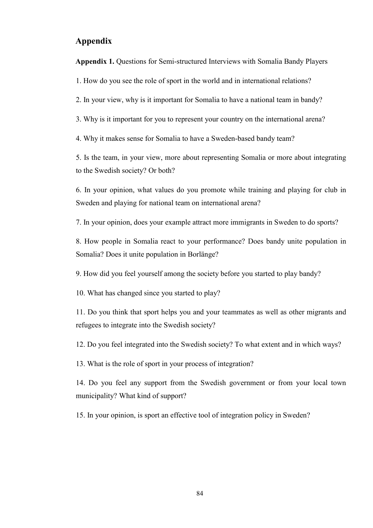# **Appendix**

**Appendix 1.** Questions for Semi-structured Interviews with Somalia Bandy Players

1. How do you see the role of sport in the world and in international relations?

2. In your view, why is it important for Somalia to have a national team in bandy?

3. Why is it important for you to represent your country on the international arena?

4. Why it makes sense for Somalia to have a Sweden-based bandy team?

5. Is the team, in your view, more about representing Somalia or more about integrating to the Swedish society? Or both?

6. In your opinion, what values do you promote while training and playing for club in Sweden and playing for national team on international arena?

7. In your opinion, does your example attract more immigrants in Sweden to do sports?

8. How people in Somalia react to your performance? Does bandy unite population in Somalia? Does it unite population in Borlänge?

9. How did you feel yourself among the society before you started to play bandy?

10. What has changed since you started to play?

11. Do you think that sport helps you and your teammates as well as other migrants and refugees to integrate into the Swedish society?

12. Do you feel integrated into the Swedish society? To what extent and in which ways?

13. What is the role of sport in your process of integration?

14. Do you feel any support from the Swedish government or from your local town municipality? What kind of support?

15. In your opinion, is sport an effective tool of integration policy in Sweden?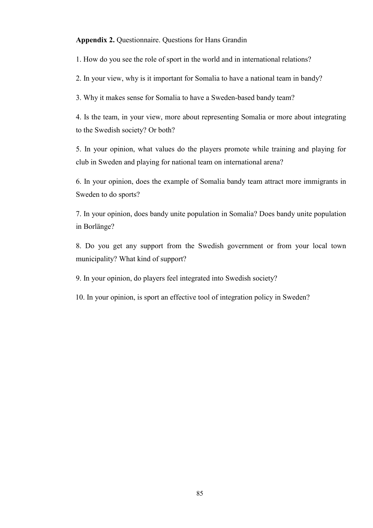**Appendix 2.** Questionnaire. Questions for Hans Grandin

1. How do you see the role of sport in the world and in international relations?

2. In your view, why is it important for Somalia to have a national team in bandy?

3. Why it makes sense for Somalia to have a Sweden-based bandy team?

4. Is the team, in your view, more about representing Somalia or more about integrating to the Swedish society? Or both?

5. In your opinion, what values do the players promote while training and playing for club in Sweden and playing for national team on international arena?

6. In your opinion, does the example of Somalia bandy team attract more immigrants in Sweden to do sports?

7. In your opinion, does bandy unite population in Somalia? Does bandy unite population in Borlänge?

8. Do you get any support from the Swedish government or from your local town municipality? What kind of support?

9. In your opinion, do players feel integrated into Swedish society?

10. In your opinion, is sport an effective tool of integration policy in Sweden?